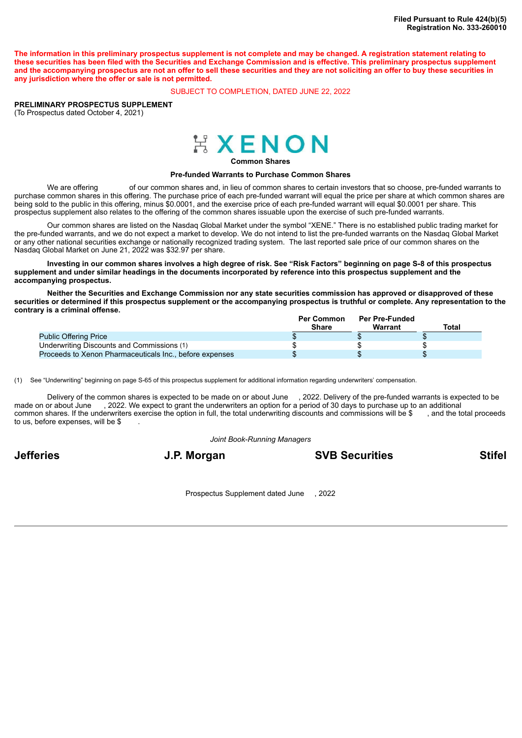The information in this preliminary prospectus supplement is not complete and may be changed. A registration statement relating to these securities has been filed with the Securities and Exchange Commission and is effective. This preliminary prospectus supplement and the accompanying prospectus are not an offer to sell these securities and they are not soliciting an offer to buy these securities in **any jurisdiction where the offer or sale is not permitted.**

## SUBJECT TO COMPLETION, DATED JUNE 22, 2022

**PRELIMINARY PROSPECTUS SUPPLEMENT** (To Prospectus dated October 4, 2021)



**Common Shares**

#### **Pre-funded Warrants to Purchase Common Shares**

We are offering of our common shares and, in lieu of common shares to certain investors that so choose, pre-funded warrants to purchase common shares in this offering. The purchase price of each pre-funded warrant will equal the price per share at which common shares are being sold to the public in this offering, minus \$0.0001, and the exercise price of each pre-funded warrant will equal \$0.0001 per share. This prospectus supplement also relates to the offering of the common shares issuable upon the exercise of such pre-funded warrants.

Our common shares are listed on the Nasdaq Global Market under the symbol "XENE." There is no established public trading market for the pre-funded warrants, and we do not expect a market to develop. We do not intend to list the pre-funded warrants on the Nasdaq Global Market or any other national securities exchange or nationally recognized trading system. The last reported sale price of our common shares on the Nasdaq Global Market on June 21, 2022 was \$32.97 per share.

Investing in our common shares involves a high degree of risk. See "Risk Factors" beginning on page S-8 of this prospectus supplement and under similar headings in the documents incorporated by reference into this prospectus supplement and the **accompanying prospectus.**

Neither the Securities and Exchange Commission nor any state securities commission has approved or disapproved of these securities or determined if this prospectus supplement or the accompanying prospectus is truthful or complete. Any representation to the **contrary is a criminal offense.**

|                                                         | <b>Per Common</b><br>Share | <b>Per Pre-Funded</b><br><b>Warrant</b> | Total |
|---------------------------------------------------------|----------------------------|-----------------------------------------|-------|
| <b>Public Offering Price</b>                            |                            |                                         |       |
| Underwriting Discounts and Commissions (1)              |                            |                                         |       |
| Proceeds to Xenon Pharmaceuticals Inc., before expenses |                            |                                         |       |

(1) See "Underwriting" beginning on page S-65 of this prospectus supplement for additional information regarding underwriters' compensation.

Delivery of the common shares is expected to be made on or about June , 2022. Delivery of the pre-funded warrants is expected to be made on or about June , 2022. We expect to grant the underwriters an option for a period of 30 days to purchase up to an additional common shares. If the underwriters exercise the option in full, the total underwriting discounts and commissions will be \$ , and the total proceeds to us, before expenses, will be \$

*Joint Book-Running Managers*

**Jefferies J.P. Morgan SVB Securities Stifel**

Prospectus Supplement dated June , 2022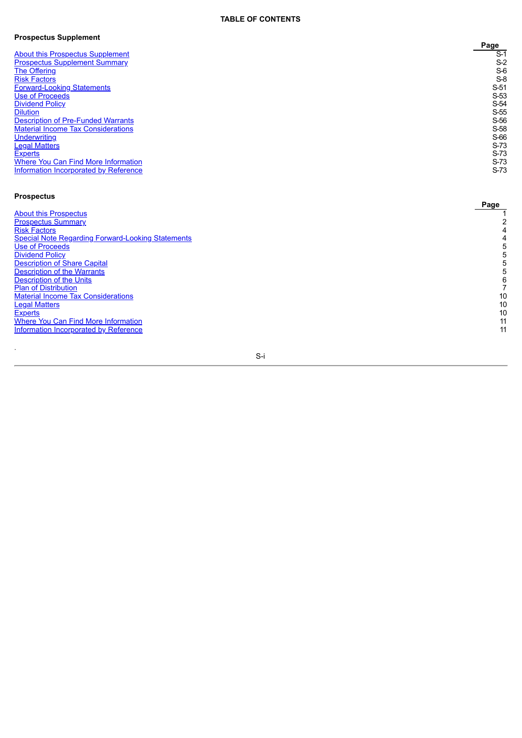## **TABLE OF CONTENTS**

#### **Prospectus Supplement**

|                                              | Page   |
|----------------------------------------------|--------|
| <b>About this Prospectus Supplement</b>      | $S-1$  |
| <b>Prospectus Supplement Summary</b>         | $S-2$  |
| The Offering                                 | $S-6$  |
| <b>Risk Factors</b>                          | $S-8$  |
| <b>Forward-Looking Statements</b>            | $S-51$ |
| Use of Proceeds                              | $S-53$ |
| <b>Dividend Policy</b>                       | S-54   |
| <b>Dilution</b>                              | $S-55$ |
| <b>Description of Pre-Funded Warrants</b>    | S-56   |
| <b>Material Income Tax Considerations</b>    | S-58   |
| <b>Underwriting</b>                          | S-66   |
| <b>Legal Matters</b>                         | $S-73$ |
| <b>Experts</b>                               | $S-73$ |
| Where You Can Find More Information          | $S-73$ |
| <b>Information Incorporated by Reference</b> | $S-73$ |

# **Prospectus**

.

| <b>About this Prospectus</b>                             |    |
|----------------------------------------------------------|----|
| <b>Prospectus Summary</b>                                |    |
| <b>Risk Factors</b>                                      |    |
| <b>Special Note Regarding Forward-Looking Statements</b> |    |
| <b>Use of Proceeds</b>                                   |    |
| <b>Dividend Policy</b>                                   |    |
| <b>Description of Share Capital</b>                      |    |
| <b>Description of the Warrants</b>                       |    |
| <b>Description of the Units</b>                          |    |
| <b>Plan of Distribution</b>                              |    |
| <b>Material Income Tax Considerations</b>                | 10 |
| <u>Legal Matter</u> s                                    | 10 |
| <b>Experts</b>                                           | 10 |
| <b>Where You Can Find More Information</b>               | 11 |
| Information Incorporated by Reference                    | 11 |
|                                                          |    |

S-i

Page<br>
1<br>
2<br>
4<br>
4<br>
4<br>
5<br>
5<br>
5<br>
5<br>
5<br>
5<br>
6<br>
7<br>
10<br>
10<br>
11<br>
11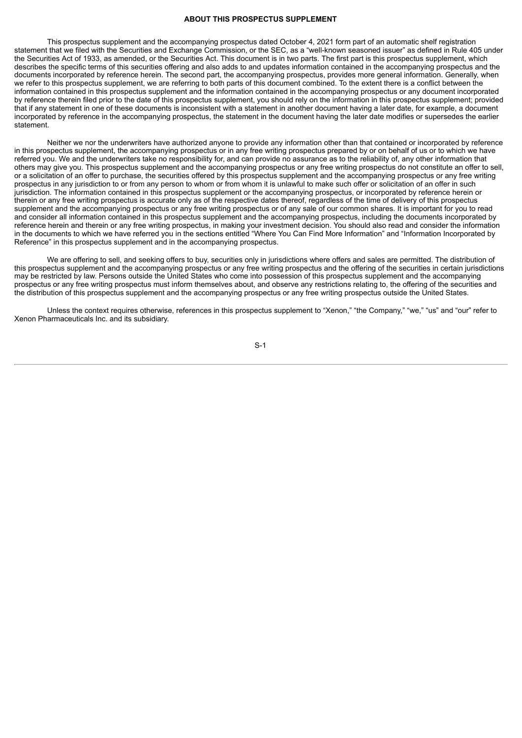#### **ABOUT THIS PROSPECTUS SUPPLEMENT**

<span id="page-2-0"></span>This prospectus supplement and the accompanying prospectus dated October 4, 2021 form part of an automatic shelf registration statement that we filed with the Securities and Exchange Commission, or the SEC, as a "well-known seasoned issuer" as defined in Rule 405 under the Securities Act of 1933, as amended, or the Securities Act. This document is in two parts. The first part is this prospectus supplement, which describes the specific terms of this securities offering and also adds to and updates information contained in the accompanying prospectus and the documents incorporated by reference herein. The second part, the accompanying prospectus, provides more general information. Generally, when we refer to this prospectus supplement, we are referring to both parts of this document combined. To the extent there is a conflict between the information contained in this prospectus supplement and the information contained in the accompanying prospectus or any document incorporated by reference therein filed prior to the date of this prospectus supplement, you should rely on the information in this prospectus supplement; provided that if any statement in one of these documents is inconsistent with a statement in another document having a later date, for example, a document incorporated by reference in the accompanying prospectus, the statement in the document having the later date modifies or supersedes the earlier statement.

Neither we nor the underwriters have authorized anyone to provide any information other than that contained or incorporated by reference in this prospectus supplement, the accompanying prospectus or in any free writing prospectus prepared by or on behalf of us or to which we have referred you. We and the underwriters take no responsibility for, and can provide no assurance as to the reliability of, any other information that others may give you. This prospectus supplement and the accompanying prospectus or any free writing prospectus do not constitute an offer to sell, or a solicitation of an offer to purchase, the securities offered by this prospectus supplement and the accompanying prospectus or any free writing prospectus in any jurisdiction to or from any person to whom or from whom it is unlawful to make such offer or solicitation of an offer in such jurisdiction. The information contained in this prospectus supplement or the accompanying prospectus, or incorporated by reference herein or therein or any free writing prospectus is accurate only as of the respective dates thereof, regardless of the time of delivery of this prospectus supplement and the accompanying prospectus or any free writing prospectus or of any sale of our common shares. It is important for you to read and consider all information contained in this prospectus supplement and the accompanying prospectus, including the documents incorporated by reference herein and therein or any free writing prospectus, in making your investment decision. You should also read and consider the information in the documents to which we have referred you in the sections entitled "Where You Can Find More Information" and "Information Incorporated by Reference" in this prospectus supplement and in the accompanying prospectus.

We are offering to sell, and seeking offers to buy, securities only in jurisdictions where offers and sales are permitted. The distribution of this prospectus supplement and the accompanying prospectus or any free writing prospectus and the offering of the securities in certain jurisdictions may be restricted by law. Persons outside the United States who come into possession of this prospectus supplement and the accompanying prospectus or any free writing prospectus must inform themselves about, and observe any restrictions relating to, the offering of the securities and the distribution of this prospectus supplement and the accompanying prospectus or any free writing prospectus outside the United States.

Unless the context requires otherwise, references in this prospectus supplement to "Xenon," "the Company," "we," "us" and "our" refer to Xenon Pharmaceuticals Inc. and its subsidiary.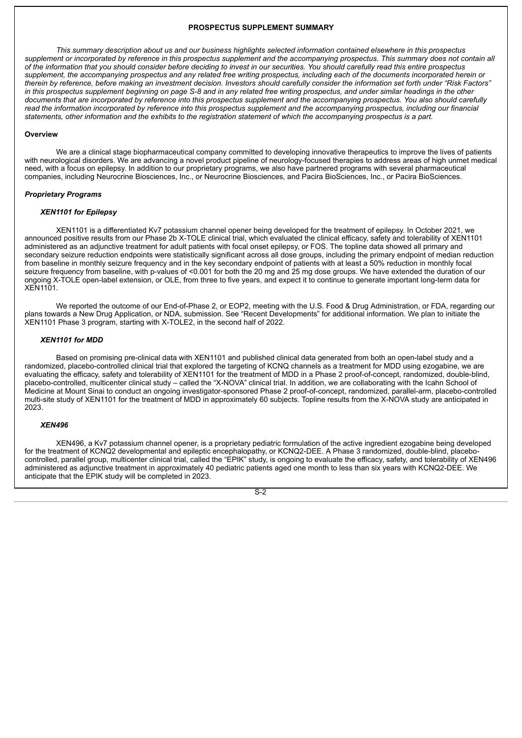## **PROSPECTUS SUPPLEMENT SUMMARY**

<span id="page-3-0"></span>This summary description about us and our business highlights selected information contained elsewhere in this prospectus supplement or incorporated by reference in this prospectus supplement and the accompanying prospectus. This summary does not contain all of the information that you should consider before deciding to invest in our securities. You should carefully read this entire prospectus supplement, the accompanying prospectus and any related free writing prospectus, including each of the documents incorporated herein or therein by reference, before making an investment decision. Investors should carefully consider the information set forth under "Risk Factors" in this prospectus supplement beginning on page S-8 and in any related free writing prospectus, and under similar headings in the other documents that are incorporated by reference into this prospectus supplement and the accompanying prospectus. You also should carefully read the information incorporated by reference into this prospectus supplement and the accompanying prospectus, including our financial statements, other information and the exhibits to the registration statement of which the accompanying prospectus is a part.

## **Overview**

We are a clinical stage biopharmaceutical company committed to developing innovative therapeutics to improve the lives of patients with neurological disorders. We are advancing a novel product pipeline of neurology-focused therapies to address areas of high unmet medical need, with a focus on epilepsy. In addition to our proprietary programs, we also have partnered programs with several pharmaceutical companies, including Neurocrine Biosciences, Inc., or Neurocrine Biosciences, and Pacira BioSciences, Inc., or Pacira BioSciences.

#### *Proprietary Programs*

## *XEN1101 for Epilepsy*

XEN1101 is a differentiated Kv7 potassium channel opener being developed for the treatment of epilepsy. In October 2021, we announced positive results from our Phase 2b X-TOLE clinical trial, which evaluated the clinical efficacy, safety and tolerability of XEN1101 administered as an adjunctive treatment for adult patients with focal onset epilepsy, or FOS. The topline data showed all primary and secondary seizure reduction endpoints were statistically significant across all dose groups, including the primary endpoint of median reduction from baseline in monthly seizure frequency and in the key secondary endpoint of patients with at least a 50% reduction in monthly focal seizure frequency from baseline, with p-values of <0.001 for both the 20 mg and 25 mg dose groups. We have extended the duration of our ongoing X-TOLE open-label extension, or OLE, from three to five years, and expect it to continue to generate important long-term data for XEN1101.

We reported the outcome of our End-of-Phase 2, or EOP2, meeting with the U.S. Food & Drug Administration, or FDA, regarding our plans towards a New Drug Application, or NDA, submission. See "Recent Developments" for additional information. We plan to initiate the XEN1101 Phase 3 program, starting with X-TOLE2, in the second half of 2022.

## *XEN1101 for MDD*

Based on promising pre-clinical data with XEN1101 and published clinical data generated from both an open-label study and a randomized, placebo-controlled clinical trial that explored the targeting of KCNQ channels as a treatment for MDD using ezogabine, we are evaluating the efficacy, safety and tolerability of XEN1101 for the treatment of MDD in a Phase 2 proof-of-concept, randomized, double-blind, placebo-controlled, multicenter clinical study – called the "X-NOVA" clinical trial. In addition, we are collaborating with the Icahn School of Medicine at Mount Sinai to conduct an ongoing investigator-sponsored Phase 2 proof-of-concept, randomized, parallel-arm, placebo-controlled multi-site study of XEN1101 for the treatment of MDD in approximately 60 subjects. Topline results from the X-NOVA study are anticipated in 2023.

#### *XEN496*

XEN496, a Kv7 potassium channel opener, is a proprietary pediatric formulation of the active ingredient ezogabine being developed for the treatment of KCNQ2 developmental and epileptic encephalopathy, or KCNQ2-DEE. A Phase 3 randomized, double-blind, placebocontrolled, parallel group, multicenter clinical trial, called the "EPIK" study, is ongoing to evaluate the efficacy, safety, and tolerability of XEN496 administered as adjunctive treatment in approximately 40 pediatric patients aged one month to less than six years with KCNQ2-DEE. We anticipate that the EPIK study will be completed in 2023.

 $\overline{S-2}$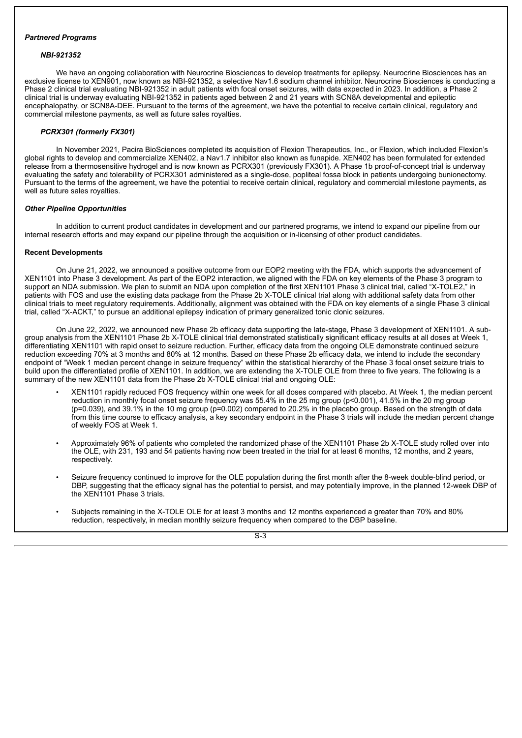# *Partnered Programs*

## *NBI-921352*

We have an ongoing collaboration with Neurocrine Biosciences to develop treatments for epilepsy. Neurocrine Biosciences has an exclusive license to XEN901, now known as NBI-921352, a selective Nav1.6 sodium channel inhibitor. Neurocrine Biosciences is conducting a Phase 2 clinical trial evaluating NBI-921352 in adult patients with focal onset seizures, with data expected in 2023. In addition, a Phase 2 clinical trial is underway evaluating NBI-921352 in patients aged between 2 and 21 years with SCN8A developmental and epileptic encephalopathy, or SCN8A-DEE. Pursuant to the terms of the agreement, we have the potential to receive certain clinical, regulatory and commercial milestone payments, as well as future sales royalties.

## *PCRX301 (formerly FX301)*

In November 2021, Pacira BioSciences completed its acquisition of Flexion Therapeutics, Inc., or Flexion, which included Flexion's global rights to develop and commercialize XEN402, a Nav1.7 inhibitor also known as funapide. XEN402 has been formulated for extended release from a thermosensitive hydrogel and is now known as PCRX301 (previously FX301). A Phase 1b proof-of-concept trial is underway evaluating the safety and tolerability of PCRX301 administered as a single-dose, popliteal fossa block in patients undergoing bunionectomy. Pursuant to the terms of the agreement, we have the potential to receive certain clinical, regulatory and commercial milestone payments, as well as future sales royalties.

## *Other Pipeline Opportunities*

In addition to current product candidates in development and our partnered programs, we intend to expand our pipeline from our internal research efforts and may expand our pipeline through the acquisition or in-licensing of other product candidates.

## **Recent Developments**

On June 21, 2022, we announced a positive outcome from our EOP2 meeting with the FDA, which supports the advancement of XEN1101 into Phase 3 development. As part of the EOP2 interaction, we aligned with the FDA on key elements of the Phase 3 program to support an NDA submission. We plan to submit an NDA upon completion of the first XEN1101 Phase 3 clinical trial, called "X-TOLE2," in patients with FOS and use the existing data package from the Phase 2b X-TOLE clinical trial along with additional safety data from other clinical trials to meet regulatory requirements. Additionally, alignment was obtained with the FDA on key elements of a single Phase 3 clinical trial, called "X-ACKT," to pursue an additional epilepsy indication of primary generalized tonic clonic seizures.

On June 22, 2022, we announced new Phase 2b efficacy data supporting the late-stage, Phase 3 development of XEN1101. A subgroup analysis from the XEN1101 Phase 2b X-TOLE clinical trial demonstrated statistically significant efficacy results at all doses at Week 1, differentiating XEN1101 with rapid onset to seizure reduction. Further, efficacy data from the ongoing OLE demonstrate continued seizure reduction exceeding 70% at 3 months and 80% at 12 months. Based on these Phase 2b efficacy data, we intend to include the secondary endpoint of "Week 1 median percent change in seizure frequency" within the statistical hierarchy of the Phase 3 focal onset seizure trials to build upon the differentiated profile of XEN1101. In addition, we are extending the X-TOLE OLE from three to five years. The following is a summary of the new XEN1101 data from the Phase 2b X-TOLE clinical trial and ongoing OLE:

- XEN1101 rapidly reduced FOS frequency within one week for all doses compared with placebo. At Week 1, the median percent reduction in monthly focal onset seizure frequency was 55.4% in the 25 mg group (p<0.001), 41.5% in the 20 mg group  $(p=0.039)$ , and 39.1% in the 10 mg group  $(p=0.002)$  compared to 20.2% in the placebo group. Based on the strength of data from this time course to efficacy analysis, a key secondary endpoint in the Phase 3 trials will include the median percent change of weekly FOS at Week 1.
- Approximately 96% of patients who completed the randomized phase of the XEN1101 Phase 2b X-TOLE study rolled over into the OLE, with 231, 193 and 54 patients having now been treated in the trial for at least 6 months, 12 months, and 2 years, respectively.
- Seizure frequency continued to improve for the OLE population during the first month after the 8-week double-blind period, or DBP, suggesting that the efficacy signal has the potential to persist, and may potentially improve, in the planned 12-week DBP of the XEN1101 Phase 3 trials.
- Subjects remaining in the X-TOLE OLE for at least 3 months and 12 months experienced a greater than 70% and 80% reduction, respectively, in median monthly seizure frequency when compared to the DBP baseline.

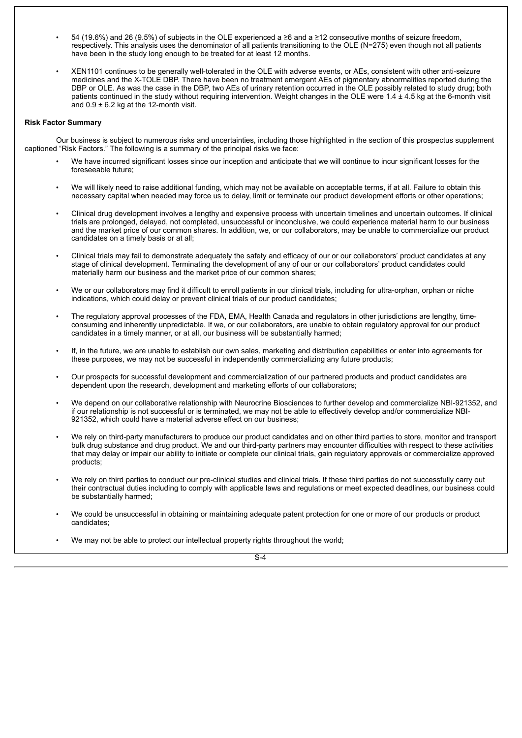- 54 (19.6%) and 26 (9.5%) of subjects in the OLE experienced a ≥6 and a ≥12 consecutive months of seizure freedom, respectively. This analysis uses the denominator of all patients transitioning to the OLE (N=275) even though not all patients have been in the study long enough to be treated for at least 12 months.
- XEN1101 continues to be generally well-tolerated in the OLE with adverse events, or AEs, consistent with other anti-seizure medicines and the X-TOLE DBP. There have been no treatment emergent AEs of pigmentary abnormalities reported during the DBP or OLE. As was the case in the DBP, two AEs of urinary retention occurred in the OLE possibly related to study drug; both patients continued in the study without requiring intervention. Weight changes in the OLE were 1.4 ± 4.5 kg at the 6-month visit and  $0.9 \pm 6.2$  kg at the 12-month visit.

## **Risk Factor Summary**

Our business is subject to numerous risks and uncertainties, including those highlighted in the section of this prospectus supplement captioned "Risk Factors." The following is a summary of the principal risks we face:

- We have incurred significant losses since our inception and anticipate that we will continue to incur significant losses for the foreseeable future;
- We will likely need to raise additional funding, which may not be available on acceptable terms, if at all. Failure to obtain this necessary capital when needed may force us to delay, limit or terminate our product development efforts or other operations;
- Clinical drug development involves a lengthy and expensive process with uncertain timelines and uncertain outcomes. If clinical trials are prolonged, delayed, not completed, unsuccessful or inconclusive, we could experience material harm to our business and the market price of our common shares. In addition, we, or our collaborators, may be unable to commercialize our product candidates on a timely basis or at all;
- Clinical trials may fail to demonstrate adequately the safety and efficacy of our or our collaborators' product candidates at any stage of clinical development. Terminating the development of any of our or our collaborators' product candidates could materially harm our business and the market price of our common shares;
- We or our collaborators may find it difficult to enroll patients in our clinical trials, including for ultra-orphan, orphan or niche indications, which could delay or prevent clinical trials of our product candidates;
- The regulatory approval processes of the FDA, EMA, Health Canada and regulators in other jurisdictions are lengthy, timeconsuming and inherently unpredictable. If we, or our collaborators, are unable to obtain regulatory approval for our product candidates in a timely manner, or at all, our business will be substantially harmed;
- If, in the future, we are unable to establish our own sales, marketing and distribution capabilities or enter into agreements for these purposes, we may not be successful in independently commercializing any future products;
- Our prospects for successful development and commercialization of our partnered products and product candidates are dependent upon the research, development and marketing efforts of our collaborators;
- We depend on our collaborative relationship with Neurocrine Biosciences to further develop and commercialize NBI-921352, and if our relationship is not successful or is terminated, we may not be able to effectively develop and/or commercialize NBI-921352, which could have a material adverse effect on our business;
- We rely on third-party manufacturers to produce our product candidates and on other third parties to store, monitor and transport bulk drug substance and drug product. We and our third-party partners may encounter difficulties with respect to these activities that may delay or impair our ability to initiate or complete our clinical trials, gain regulatory approvals or commercialize approved products;
- We rely on third parties to conduct our pre-clinical studies and clinical trials. If these third parties do not successfully carry out their contractual duties including to comply with applicable laws and regulations or meet expected deadlines, our business could be substantially harmed;
- We could be unsuccessful in obtaining or maintaining adequate patent protection for one or more of our products or product candidates;
- We may not be able to protect our intellectual property rights throughout the world;

 $S-A$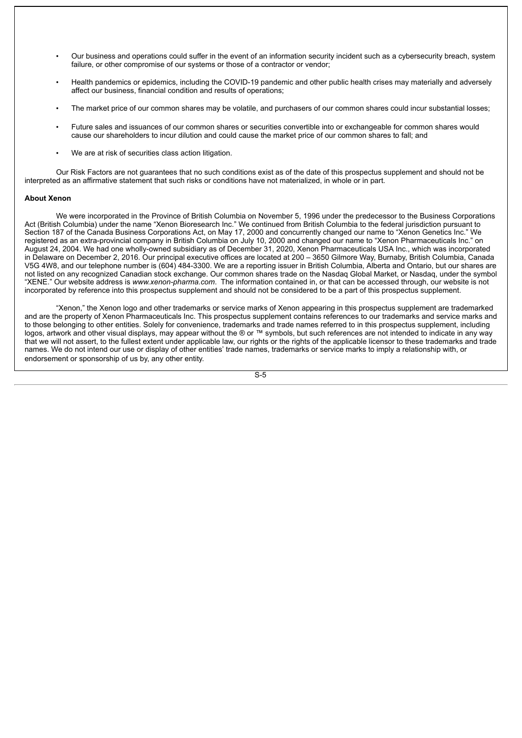- Our business and operations could suffer in the event of an information security incident such as a cybersecurity breach, system failure, or other compromise of our systems or those of a contractor or vendor;
- Health pandemics or epidemics, including the COVID-19 pandemic and other public health crises may materially and adversely affect our business, financial condition and results of operations;
- The market price of our common shares may be volatile, and purchasers of our common shares could incur substantial losses;
- Future sales and issuances of our common shares or securities convertible into or exchangeable for common shares would cause our shareholders to incur dilution and could cause the market price of our common shares to fall; and
- We are at risk of securities class action litigation.

Our Risk Factors are not guarantees that no such conditions exist as of the date of this prospectus supplement and should not be interpreted as an affirmative statement that such risks or conditions have not materialized, in whole or in part.

## **About Xenon**

We were incorporated in the Province of British Columbia on November 5, 1996 under the predecessor to the Business Corporations Act (British Columbia) under the name "Xenon Bioresearch Inc." We continued from British Columbia to the federal jurisdiction pursuant to Section 187 of the Canada Business Corporations Act, on May 17, 2000 and concurrently changed our name to "Xenon Genetics Inc." We registered as an extra-provincial company in British Columbia on July 10, 2000 and changed our name to "Xenon Pharmaceuticals Inc." on August 24, 2004. We had one wholly-owned subsidiary as of December 31, 2020, Xenon Pharmaceuticals USA Inc., which was incorporated in Delaware on December 2, 2016. Our principal executive offices are located at 200 – 3650 Gilmore Way, Burnaby, British Columbia, Canada V5G 4W8, and our telephone number is (604) 484-3300. We are a reporting issuer in British Columbia, Alberta and Ontario, but our shares are not listed on any recognized Canadian stock exchange. Our common shares trade on the Nasdaq Global Market, or Nasdaq, under the symbol "XENE." Our website address is *www.xenon-pharma.com*. The information contained in, or that can be accessed through, our website is not incorporated by reference into this prospectus supplement and should not be considered to be a part of this prospectus supplement.

"Xenon," the Xenon logo and other trademarks or service marks of Xenon appearing in this prospectus supplement are trademarked and are the property of Xenon Pharmaceuticals Inc. This prospectus supplement contains references to our trademarks and service marks and to those belonging to other entities. Solely for convenience, trademarks and trade names referred to in this prospectus supplement, including logos, artwork and other visual displays, may appear without the ® or ™ symbols, but such references are not intended to indicate in any way that we will not assert, to the fullest extent under applicable law, our rights or the rights of the applicable licensor to these trademarks and trade names. We do not intend our use or display of other entities' trade names, trademarks or service marks to imply a relationship with, or endorsement or sponsorship of us by, any other entity.

 $\overline{S-5}$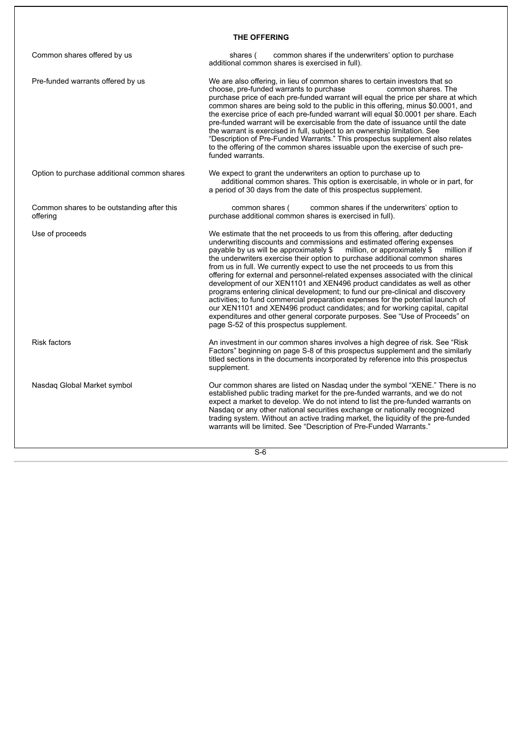# **THE OFFERING**

<span id="page-7-0"></span>

| Common shares offered by us                            | common shares if the underwriters' option to purchase<br>shares (<br>additional common shares is exercised in full).                                                                                                                                                                                                                                                                                                                                                                                                                                                                                                                                                                                                                                                                                                                                                                                                                                          |
|--------------------------------------------------------|---------------------------------------------------------------------------------------------------------------------------------------------------------------------------------------------------------------------------------------------------------------------------------------------------------------------------------------------------------------------------------------------------------------------------------------------------------------------------------------------------------------------------------------------------------------------------------------------------------------------------------------------------------------------------------------------------------------------------------------------------------------------------------------------------------------------------------------------------------------------------------------------------------------------------------------------------------------|
| Pre-funded warrants offered by us                      | We are also offering, in lieu of common shares to certain investors that so<br>choose, pre-funded warrants to purchase<br>common shares. The<br>purchase price of each pre-funded warrant will equal the price per share at which<br>common shares are being sold to the public in this offering, minus \$0.0001, and<br>the exercise price of each pre-funded warrant will equal \$0.0001 per share. Each<br>pre-funded warrant will be exercisable from the date of issuance until the date<br>the warrant is exercised in full, subject to an ownership limitation. See<br>"Description of Pre-Funded Warrants." This prospectus supplement also relates<br>to the offering of the common shares issuable upon the exercise of such pre-<br>funded warrants.                                                                                                                                                                                               |
| Option to purchase additional common shares            | We expect to grant the underwriters an option to purchase up to<br>additional common shares. This option is exercisable, in whole or in part, for<br>a period of 30 days from the date of this prospectus supplement.                                                                                                                                                                                                                                                                                                                                                                                                                                                                                                                                                                                                                                                                                                                                         |
| Common shares to be outstanding after this<br>offering | common shares if the underwriters' option to<br>common shares (<br>purchase additional common shares is exercised in full).                                                                                                                                                                                                                                                                                                                                                                                                                                                                                                                                                                                                                                                                                                                                                                                                                                   |
| Use of proceeds                                        | We estimate that the net proceeds to us from this offering, after deducting<br>underwriting discounts and commissions and estimated offering expenses<br>payable by us will be approximately \$<br>million, or approximately \$<br>million if<br>the underwriters exercise their option to purchase additional common shares<br>from us in full. We currently expect to use the net proceeds to us from this<br>offering for external and personnel-related expenses associated with the clinical<br>development of our XEN1101 and XEN496 product candidates as well as other<br>programs entering clinical development; to fund our pre-clinical and discovery<br>activities; to fund commercial preparation expenses for the potential launch of<br>our XEN1101 and XEN496 product candidates; and for working capital, capital<br>expenditures and other general corporate purposes. See "Use of Proceeds" on<br>page S-52 of this prospectus supplement. |
| Risk factors                                           | An investment in our common shares involves a high degree of risk. See "Risk"<br>Factors" beginning on page S-8 of this prospectus supplement and the similarly<br>titled sections in the documents incorporated by reference into this prospectus<br>supplement.                                                                                                                                                                                                                                                                                                                                                                                                                                                                                                                                                                                                                                                                                             |
| Nasdaq Global Market symbol                            | Our common shares are listed on Nasdaq under the symbol "XENE." There is no<br>established public trading market for the pre-funded warrants, and we do not<br>expect a market to develop. We do not intend to list the pre-funded warrants on<br>Nasdaq or any other national securities exchange or nationally recognized<br>trading system. Without an active trading market, the liquidity of the pre-funded<br>warrants will be limited. See "Description of Pre-Funded Warrants."                                                                                                                                                                                                                                                                                                                                                                                                                                                                       |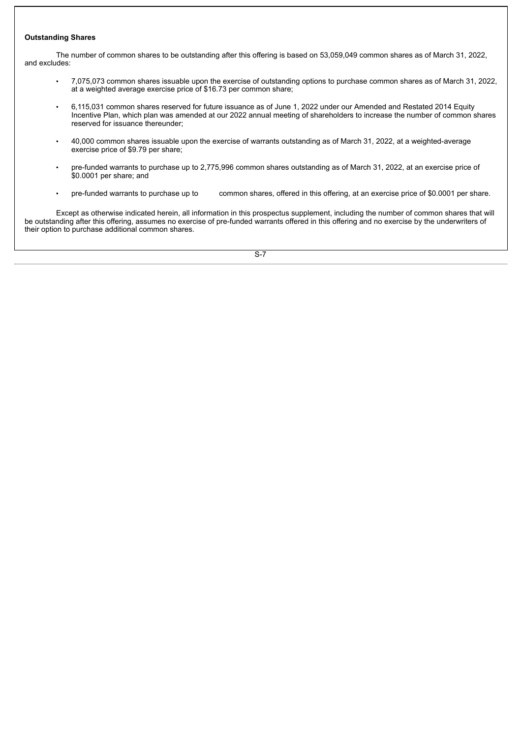## **Outstanding Shares**

The number of common shares to be outstanding after this offering is based on 53,059,049 common shares as of March 31, 2022, and excludes:

- 7,075,073 common shares issuable upon the exercise of outstanding options to purchase common shares as of March 31, 2022, at a weighted average exercise price of \$16.73 per common share;
- 6,115,031 common shares reserved for future issuance as of June 1, 2022 under our Amended and Restated 2014 Equity Incentive Plan, which plan was amended at our 2022 annual meeting of shareholders to increase the number of common shares reserved for issuance thereunder;
- 40,000 common shares issuable upon the exercise of warrants outstanding as of March 31, 2022, at a weighted-average exercise price of \$9.79 per share;
- pre-funded warrants to purchase up to 2,775,996 common shares outstanding as of March 31, 2022, at an exercise price of \$0.0001 per share; and
- pre-funded warrants to purchase up to common shares, offered in this offering, at an exercise price of \$0.0001 per share.

Except as otherwise indicated herein, all information in this prospectus supplement, including the number of common shares that will be outstanding after this offering, assumes no exercise of pre-funded warrants offered in this offering and no exercise by the underwriters of their option to purchase additional common shares.

 $\overline{S-7}$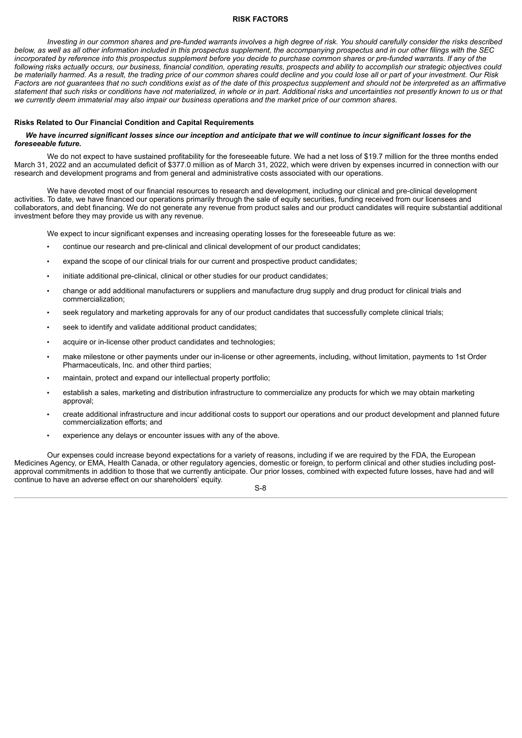## **RISK FACTORS**

<span id="page-9-0"></span>Investing in our common shares and pre-funded warrants involves a high degree of risk. You should carefully consider the risks described below, as well as all other information included in this prospectus supplement, the accompanying prospectus and in our other filings with the SEC incorporated by reference into this prospectus supplement before you decide to purchase common shares or pre-funded warrants. If any of the following risks actually occurs, our business, financial condition, operating results, prospects and ability to accomplish our strategic objectives could be materially harmed. As a result, the trading price of our common shares could decline and you could lose all or part of your investment. Our Risk Factors are not quarantees that no such conditions exist as of the date of this prospectus supplement and should not be interpreted as an affirmative statement that such risks or conditions have not materialized, in whole or in part. Additional risks and uncertainties not presently known to us or that we currently deem immaterial may also impair our business operations and the market price of our common shares.

#### **Risks Related to Our Financial Condition and Capital Requirements**

## We have incurred significant losses since our inception and anticipate that we will continue to incur significant losses for the *foreseeable future.*

We do not expect to have sustained profitability for the foreseeable future. We had a net loss of \$19.7 million for the three months ended March 31, 2022 and an accumulated deficit of \$377.0 million as of March 31, 2022, which were driven by expenses incurred in connection with our research and development programs and from general and administrative costs associated with our operations.

We have devoted most of our financial resources to research and development, including our clinical and pre-clinical development activities. To date, we have financed our operations primarily through the sale of equity securities, funding received from our licensees and collaborators, and debt financing. We do not generate any revenue from product sales and our product candidates will require substantial additional investment before they may provide us with any revenue.

We expect to incur significant expenses and increasing operating losses for the foreseeable future as we:

- continue our research and pre-clinical and clinical development of our product candidates;
- expand the scope of our clinical trials for our current and prospective product candidates;
- initiate additional pre-clinical, clinical or other studies for our product candidates;
- change or add additional manufacturers or suppliers and manufacture drug supply and drug product for clinical trials and commercialization;
- seek regulatory and marketing approvals for any of our product candidates that successfully complete clinical trials;
- seek to identify and validate additional product candidates;
- acquire or in-license other product candidates and technologies:
- make milestone or other payments under our in-license or other agreements, including, without limitation, payments to 1st Order Pharmaceuticals, Inc. and other third parties;
- maintain, protect and expand our intellectual property portfolio;
- establish a sales, marketing and distribution infrastructure to commercialize any products for which we may obtain marketing approval;
- create additional infrastructure and incur additional costs to support our operations and our product development and planned future commercialization efforts; and
- experience any delays or encounter issues with any of the above.

Our expenses could increase beyond expectations for a variety of reasons, including if we are required by the FDA, the European Medicines Agency, or EMA, Health Canada, or other regulatory agencies, domestic or foreign, to perform clinical and other studies including postapproval commitments in addition to those that we currently anticipate. Our prior losses, combined with expected future losses, have had and will continue to have an adverse effect on our shareholders' equity.

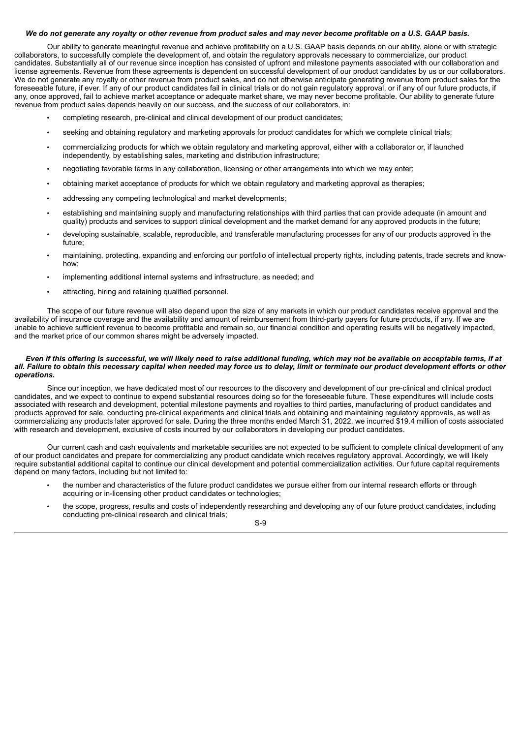#### We do not generate any royalty or other revenue from product sales and may never become profitable on a U.S. GAAP basis.

Our ability to generate meaningful revenue and achieve profitability on a U.S. GAAP basis depends on our ability, alone or with strategic collaborators, to successfully complete the development of, and obtain the regulatory approvals necessary to commercialize, our product candidates. Substantially all of our revenue since inception has consisted of upfront and milestone payments associated with our collaboration and license agreements. Revenue from these agreements is dependent on successful development of our product candidates by us or our collaborators. We do not generate any royalty or other revenue from product sales, and do not otherwise anticipate generating revenue from product sales for the foreseeable future, if ever. If any of our product candidates fail in clinical trials or do not gain regulatory approval, or if any of our future products, if any, once approved, fail to achieve market acceptance or adequate market share, we may never become profitable. Our ability to generate future revenue from product sales depends heavily on our success, and the success of our collaborators, in:

- completing research, pre-clinical and clinical development of our product candidates;
- seeking and obtaining regulatory and marketing approvals for product candidates for which we complete clinical trials;
- commercializing products for which we obtain regulatory and marketing approval, either with a collaborator or, if launched independently, by establishing sales, marketing and distribution infrastructure;
- negotiating favorable terms in any collaboration, licensing or other arrangements into which we may enter;
- obtaining market acceptance of products for which we obtain regulatory and marketing approval as therapies;
- addressing any competing technological and market developments;
- establishing and maintaining supply and manufacturing relationships with third parties that can provide adequate (in amount and quality) products and services to support clinical development and the market demand for any approved products in the future;
- developing sustainable, scalable, reproducible, and transferable manufacturing processes for any of our products approved in the future;
- maintaining, protecting, expanding and enforcing our portfolio of intellectual property rights, including patents, trade secrets and knowhow;
- implementing additional internal systems and infrastructure, as needed; and
- attracting, hiring and retaining qualified personnel.

The scope of our future revenue will also depend upon the size of any markets in which our product candidates receive approval and the availability of insurance coverage and the availability and amount of reimbursement from third-party payers for future products, if any. If we are unable to achieve sufficient revenue to become profitable and remain so, our financial condition and operating results will be negatively impacted, and the market price of our common shares might be adversely impacted.

#### Even if this offering is successful, we will likely need to raise additional funding, which may not be available on acceptable terms, if at all. Failure to obtain this necessary capital when needed may force us to delay, limit or terminate our product development efforts or other *operations.*

Since our inception, we have dedicated most of our resources to the discovery and development of our pre-clinical and clinical product candidates, and we expect to continue to expend substantial resources doing so for the foreseeable future. These expenditures will include costs associated with research and development, potential milestone payments and royalties to third parties, manufacturing of product candidates and products approved for sale, conducting pre-clinical experiments and clinical trials and obtaining and maintaining regulatory approvals, as well as commercializing any products later approved for sale. During the three months ended March 31, 2022, we incurred \$19.4 million of costs associated with research and development, exclusive of costs incurred by our collaborators in developing our product candidates.

Our current cash and cash equivalents and marketable securities are not expected to be sufficient to complete clinical development of any of our product candidates and prepare for commercializing any product candidate which receives regulatory approval. Accordingly, we will likely require substantial additional capital to continue our clinical development and potential commercialization activities. Our future capital requirements depend on many factors, including but not limited to:

- the number and characteristics of the future product candidates we pursue either from our internal research efforts or through acquiring or in-licensing other product candidates or technologies;
- the scope, progress, results and costs of independently researching and developing any of our future product candidates, including conducting pre-clinical research and clinical trials;

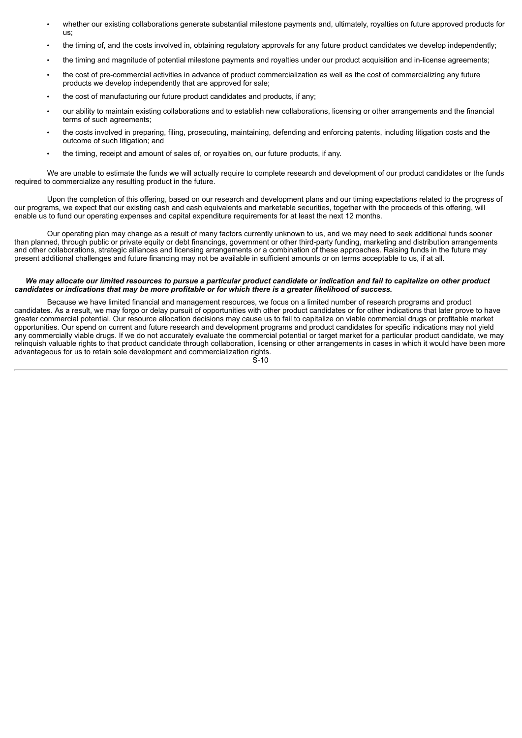- whether our existing collaborations generate substantial milestone payments and, ultimately, royalties on future approved products for us;
- the timing of, and the costs involved in, obtaining regulatory approvals for any future product candidates we develop independently;
- the timing and magnitude of potential milestone payments and royalties under our product acquisition and in-license agreements;
- the cost of pre-commercial activities in advance of product commercialization as well as the cost of commercializing any future products we develop independently that are approved for sale;
- the cost of manufacturing our future product candidates and products, if any;
- our ability to maintain existing collaborations and to establish new collaborations, licensing or other arrangements and the financial terms of such agreements;
- the costs involved in preparing, filing, prosecuting, maintaining, defending and enforcing patents, including litigation costs and the outcome of such litigation; and
- the timing, receipt and amount of sales of, or royalties on, our future products, if any.

We are unable to estimate the funds we will actually require to complete research and development of our product candidates or the funds required to commercialize any resulting product in the future.

Upon the completion of this offering, based on our research and development plans and our timing expectations related to the progress of our programs, we expect that our existing cash and cash equivalents and marketable securities, together with the proceeds of this offering, will enable us to fund our operating expenses and capital expenditure requirements for at least the next 12 months.

Our operating plan may change as a result of many factors currently unknown to us, and we may need to seek additional funds sooner than planned, through public or private equity or debt financings, government or other third-party funding, marketing and distribution arrangements and other collaborations, strategic alliances and licensing arrangements or a combination of these approaches. Raising funds in the future may present additional challenges and future financing may not be available in sufficient amounts or on terms acceptable to us, if at all.

## We may allocate our limited resources to pursue a particular product candidate or indication and fail to capitalize on other product candidates or indications that may be more profitable or for which there is a greater likelihood of success.

Because we have limited financial and management resources, we focus on a limited number of research programs and product candidates. As a result, we may forgo or delay pursuit of opportunities with other product candidates or for other indications that later prove to have greater commercial potential. Our resource allocation decisions may cause us to fail to capitalize on viable commercial drugs or profitable market opportunities. Our spend on current and future research and development programs and product candidates for specific indications may not yield any commercially viable drugs. If we do not accurately evaluate the commercial potential or target market for a particular product candidate, we may relinquish valuable rights to that product candidate through collaboration, licensing or other arrangements in cases in which it would have been more advantageous for us to retain sole development and commercialization rights.  $S-10$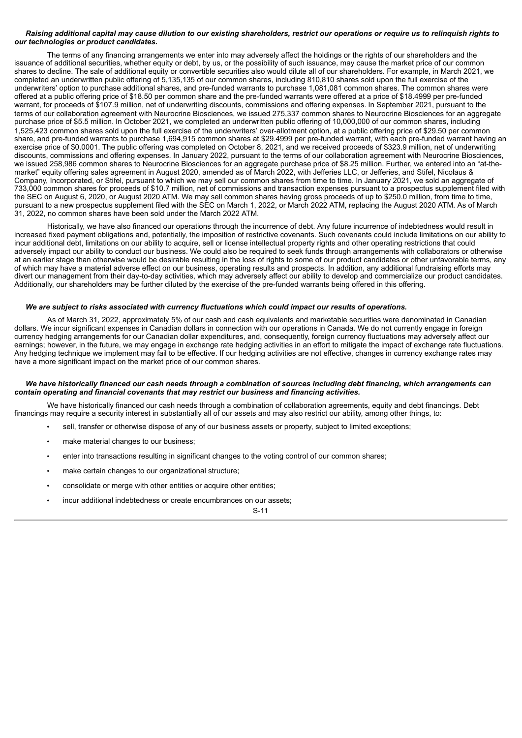## Raising additional capital may cause dilution to our existing shareholders, restrict our operations or require us to relinquish rights to *our technologies or product candidates.*

The terms of any financing arrangements we enter into may adversely affect the holdings or the rights of our shareholders and the issuance of additional securities, whether equity or debt, by us, or the possibility of such issuance, may cause the market price of our common shares to decline. The sale of additional equity or convertible securities also would dilute all of our shareholders. For example, in March 2021, we completed an underwritten public offering of 5,135,135 of our common shares, including 810,810 shares sold upon the full exercise of the underwriters' option to purchase additional shares, and pre-funded warrants to purchase 1,081,081 common shares. The common shares were offered at a public offering price of \$18.50 per common share and the pre-funded warrants were offered at a price of \$18.4999 per pre-funded warrant, for proceeds of \$107.9 million, net of underwriting discounts, commissions and offering expenses. In September 2021, pursuant to the terms of our collaboration agreement with Neurocrine Biosciences, we issued 275,337 common shares to Neurocrine Biosciences for an aggregate purchase price of \$5.5 million. In October 2021, we completed an underwritten public offering of 10,000,000 of our common shares, including 1,525,423 common shares sold upon the full exercise of the underwriters' over-allotment option, at a public offering price of \$29.50 per common share, and pre-funded warrants to purchase 1,694,915 common shares at \$29.4999 per pre-funded warrant, with each pre-funded warrant having an exercise price of \$0.0001. The public offering was completed on October 8, 2021, and we received proceeds of \$323.9 million, net of underwriting discounts, commissions and offering expenses. In January 2022, pursuant to the terms of our collaboration agreement with Neurocrine Biosciences, we issued 258,986 common shares to Neurocrine Biosciences for an aggregate purchase price of \$8.25 million. Further, we entered into an "at-themarket" equity offering sales agreement in August 2020, amended as of March 2022, with Jefferies LLC, or Jefferies, and Stifel, Nicolaus & Company, Incorporated, or Stifel, pursuant to which we may sell our common shares from time to time. In January 2021, we sold an aggregate of 733,000 common shares for proceeds of \$10.7 million, net of commissions and transaction expenses pursuant to a prospectus supplement filed with the SEC on August 6, 2020, or August 2020 ATM. We may sell common shares having gross proceeds of up to \$250.0 million, from time to time, pursuant to a new prospectus supplement filed with the SEC on March 1, 2022, or March 2022 ATM, replacing the August 2020 ATM. As of March 31, 2022, no common shares have been sold under the March 2022 ATM.

Historically, we have also financed our operations through the incurrence of debt. Any future incurrence of indebtedness would result in increased fixed payment obligations and, potentially, the imposition of restrictive covenants. Such covenants could include limitations on our ability to incur additional debt, limitations on our ability to acquire, sell or license intellectual property rights and other operating restrictions that could adversely impact our ability to conduct our business. We could also be required to seek funds through arrangements with collaborators or otherwise at an earlier stage than otherwise would be desirable resulting in the loss of rights to some of our product candidates or other unfavorable terms, any of which may have a material adverse effect on our business, operating results and prospects. In addition, any additional fundraising efforts may divert our management from their day-to-day activities, which may adversely affect our ability to develop and commercialize our product candidates. Additionally, our shareholders may be further diluted by the exercise of the pre-funded warrants being offered in this offering.

#### *We are subject to risks associated with currency fluctuations which could impact our results of operations.*

As of March 31, 2022, approximately 5% of our cash and cash equivalents and marketable securities were denominated in Canadian dollars. We incur significant expenses in Canadian dollars in connection with our operations in Canada. We do not currently engage in foreign currency hedging arrangements for our Canadian dollar expenditures, and, consequently, foreign currency fluctuations may adversely affect our earnings; however, in the future, we may engage in exchange rate hedging activities in an effort to mitigate the impact of exchange rate fluctuations. Any hedging technique we implement may fail to be effective. If our hedging activities are not effective, changes in currency exchange rates may have a more significant impact on the market price of our common shares.

#### We have historically financed our cash needs through a combination of sources including debt financing, which arrangements can *contain operating and financial covenants that may restrict our business and financing activities.*

We have historically financed our cash needs through a combination of collaboration agreements, equity and debt financings. Debt financings may require a security interest in substantially all of our assets and may also restrict our ability, among other things, to:

- sell, transfer or otherwise dispose of any of our business assets or property, subject to limited exceptions;
- make material changes to our business;
- enter into transactions resulting in significant changes to the voting control of our common shares;
- make certain changes to our organizational structure;
- consolidate or merge with other entities or acquire other entities;
- incur additional indebtedness or create encumbrances on our assets;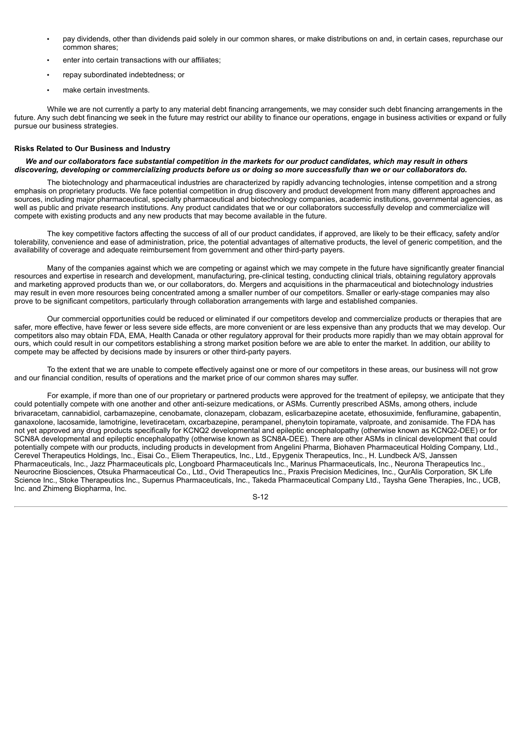- pay dividends, other than dividends paid solely in our common shares, or make distributions on and, in certain cases, repurchase our common shares;
- enter into certain transactions with our affiliates;
- repay subordinated indebtedness; or
- make certain investments.

While we are not currently a party to any material debt financing arrangements, we may consider such debt financing arrangements in the future. Any such debt financing we seek in the future may restrict our ability to finance our operations, engage in business activities or expand or fully pursue our business strategies.

# **Risks Related to Our Business and Industry**

#### We and our collaborators face substantial competition in the markets for our product candidates, which may result in others discovering, developing or commercializing products before us or doing so more successfully than we or our collaborators do.

The biotechnology and pharmaceutical industries are characterized by rapidly advancing technologies, intense competition and a strong emphasis on proprietary products. We face potential competition in drug discovery and product development from many different approaches and sources, including major pharmaceutical, specialty pharmaceutical and biotechnology companies, academic institutions, governmental agencies, as well as public and private research institutions. Any product candidates that we or our collaborators successfully develop and commercialize will compete with existing products and any new products that may become available in the future.

The key competitive factors affecting the success of all of our product candidates, if approved, are likely to be their efficacy, safety and/or tolerability, convenience and ease of administration, price, the potential advantages of alternative products, the level of generic competition, and the availability of coverage and adequate reimbursement from government and other third-party payers.

Many of the companies against which we are competing or against which we may compete in the future have significantly greater financial resources and expertise in research and development, manufacturing, pre-clinical testing, conducting clinical trials, obtaining regulatory approvals and marketing approved products than we, or our collaborators, do. Mergers and acquisitions in the pharmaceutical and biotechnology industries may result in even more resources being concentrated among a smaller number of our competitors. Smaller or early-stage companies may also prove to be significant competitors, particularly through collaboration arrangements with large and established companies.

Our commercial opportunities could be reduced or eliminated if our competitors develop and commercialize products or therapies that are safer, more effective, have fewer or less severe side effects, are more convenient or are less expensive than any products that we may develop. Our competitors also may obtain FDA, EMA, Health Canada or other regulatory approval for their products more rapidly than we may obtain approval for ours, which could result in our competitors establishing a strong market position before we are able to enter the market. In addition, our ability to compete may be affected by decisions made by insurers or other third-party payers.

To the extent that we are unable to compete effectively against one or more of our competitors in these areas, our business will not grow and our financial condition, results of operations and the market price of our common shares may suffer.

For example, if more than one of our proprietary or partnered products were approved for the treatment of epilepsy, we anticipate that they could potentially compete with one another and other anti-seizure medications, or ASMs. Currently prescribed ASMs, among others, include brivaracetam, cannabidiol, carbamazepine, cenobamate, clonazepam, clobazam, eslicarbazepine acetate, ethosuximide, fenfluramine, gabapentin, ganaxolone, lacosamide, lamotrigine, levetiracetam, oxcarbazepine, perampanel, phenytoin topiramate, valproate, and zonisamide. The FDA has not yet approved any drug products specifically for KCNQ2 developmental and epileptic encephalopathy (otherwise known as KCNQ2-DEE) or for SCN8A developmental and epileptic encephalopathy (otherwise known as SCN8A-DEE). There are other ASMs in clinical development that could potentially compete with our products, including products in development from Angelini Pharma, Biohaven Pharmaceutical Holding Company, Ltd., Cerevel Therapeutics Holdings, Inc., Eisai Co., Eliem Therapeutics, Inc., Ltd., Epygenix Therapeutics, Inc., H. Lundbeck A/S, Janssen Pharmaceuticals, Inc., Jazz Pharmaceuticals plc, Longboard Pharmaceuticals Inc., Marinus Pharmaceuticals, Inc., Neurona Therapeutics Inc., Neurocrine Biosciences, Otsuka Pharmaceutical Co., Ltd., Ovid Therapeutics Inc., Praxis Precision Medicines, Inc., QurAlis Corporation, SK Life Science Inc., Stoke Therapeutics Inc., Supernus Pharmaceuticals, Inc., Takeda Pharmaceutical Company Ltd., Taysha Gene Therapies, Inc., UCB, Inc. and Zhimeng Biopharma, Inc.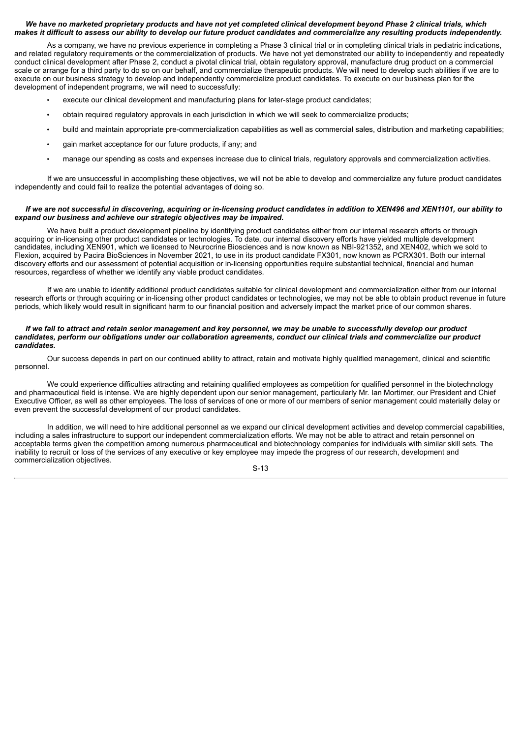## We have no marketed proprietary products and have not yet completed clinical development beyond Phase 2 clinical trials, which makes it difficult to assess our ability to develop our future product candidates and commercialize any resulting products independently.

As a company, we have no previous experience in completing a Phase 3 clinical trial or in completing clinical trials in pediatric indications, and related regulatory requirements or the commercialization of products. We have not yet demonstrated our ability to independently and repeatedly conduct clinical development after Phase 2, conduct a pivotal clinical trial, obtain regulatory approval, manufacture drug product on a commercial scale or arrange for a third party to do so on our behalf, and commercialize therapeutic products. We will need to develop such abilities if we are to execute on our business strategy to develop and independently commercialize product candidates. To execute on our business plan for the development of independent programs, we will need to successfully:

- execute our clinical development and manufacturing plans for later-stage product candidates;
- obtain required regulatory approvals in each jurisdiction in which we will seek to commercialize products;
- build and maintain appropriate pre-commercialization capabilities as well as commercial sales, distribution and marketing capabilities;
- gain market acceptance for our future products, if any; and
- manage our spending as costs and expenses increase due to clinical trials, regulatory approvals and commercialization activities.

If we are unsuccessful in accomplishing these objectives, we will not be able to develop and commercialize any future product candidates independently and could fail to realize the potential advantages of doing so.

## If we are not successful in discovering, acquiring or in-licensing product candidates in addition to XEN496 and XEN1101, our ability to *expand our business and achieve our strategic objectives may be impaired.*

We have built a product development pipeline by identifying product candidates either from our internal research efforts or through acquiring or in-licensing other product candidates or technologies. To date, our internal discovery efforts have yielded multiple development candidates, including XEN901, which we licensed to Neurocrine Biosciences and is now known as NBI-921352, and XEN402, which we sold to Flexion, acquired by Pacira BioSciences in November 2021, to use in its product candidate FX301, now known as PCRX301. Both our internal discovery efforts and our assessment of potential acquisition or in-licensing opportunities require substantial technical, financial and human resources, regardless of whether we identify any viable product candidates.

If we are unable to identify additional product candidates suitable for clinical development and commercialization either from our internal research efforts or through acquiring or in-licensing other product candidates or technologies, we may not be able to obtain product revenue in future periods, which likely would result in significant harm to our financial position and adversely impact the market price of our common shares.

#### If we fail to attract and retain senior management and key personnel, we may be unable to successfully develop our product candidates, perform our obligations under our collaboration agreements, conduct our clinical trials and commercialize our product *candidates.*

Our success depends in part on our continued ability to attract, retain and motivate highly qualified management, clinical and scientific personnel.

We could experience difficulties attracting and retaining qualified employees as competition for qualified personnel in the biotechnology and pharmaceutical field is intense. We are highly dependent upon our senior management, particularly Mr. Ian Mortimer, our President and Chief Executive Officer, as well as other employees. The loss of services of one or more of our members of senior management could materially delay or even prevent the successful development of our product candidates.

In addition, we will need to hire additional personnel as we expand our clinical development activities and develop commercial capabilities, including a sales infrastructure to support our independent commercialization efforts. We may not be able to attract and retain personnel on acceptable terms given the competition among numerous pharmaceutical and biotechnology companies for individuals with similar skill sets. The inability to recruit or loss of the services of any executive or key employee may impede the progress of our research, development and commercialization objectives.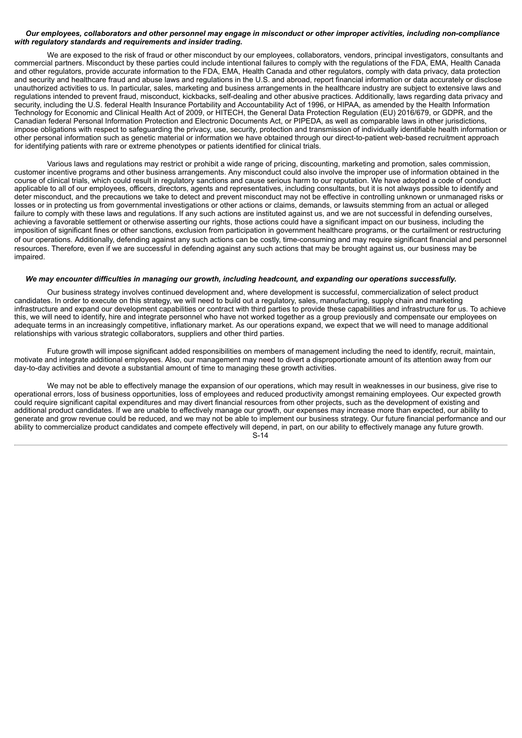## Our employees, collaborators and other personnel may engage in misconduct or other improper activities, including non-compliance *with regulatory standards and requirements and insider trading.*

We are exposed to the risk of fraud or other misconduct by our employees, collaborators, vendors, principal investigators, consultants and commercial partners. Misconduct by these parties could include intentional failures to comply with the regulations of the FDA, EMA, Health Canada and other regulators, provide accurate information to the FDA, EMA, Health Canada and other regulators, comply with data privacy, data protection and security and healthcare fraud and abuse laws and regulations in the U.S. and abroad, report financial information or data accurately or disclose unauthorized activities to us. In particular, sales, marketing and business arrangements in the healthcare industry are subject to extensive laws and regulations intended to prevent fraud, misconduct, kickbacks, self-dealing and other abusive practices. Additionally, laws regarding data privacy and security, including the U.S. federal Health Insurance Portability and Accountability Act of 1996, or HIPAA, as amended by the Health Information Technology for Economic and Clinical Health Act of 2009, or HITECH, the General Data Protection Regulation (EU) 2016/679, or GDPR, and the Canadian federal Personal Information Protection and Electronic Documents Act, or PIPEDA, as well as comparable laws in other jurisdictions, impose obligations with respect to safeguarding the privacy, use, security, protection and transmission of individually identifiable health information or other personal information such as genetic material or information we have obtained through our direct-to-patient web-based recruitment approach for identifying patients with rare or extreme phenotypes or patients identified for clinical trials.

Various laws and regulations may restrict or prohibit a wide range of pricing, discounting, marketing and promotion, sales commission, customer incentive programs and other business arrangements. Any misconduct could also involve the improper use of information obtained in the course of clinical trials, which could result in regulatory sanctions and cause serious harm to our reputation. We have adopted a code of conduct applicable to all of our employees, officers, directors, agents and representatives, including consultants, but it is not always possible to identify and deter misconduct, and the precautions we take to detect and prevent misconduct may not be effective in controlling unknown or unmanaged risks or losses or in protecting us from governmental investigations or other actions or claims, demands, or lawsuits stemming from an actual or alleged failure to comply with these laws and regulations. If any such actions are instituted against us, and we are not successful in defending ourselves, achieving a favorable settlement or otherwise asserting our rights, those actions could have a significant impact on our business, including the imposition of significant fines or other sanctions, exclusion from participation in government healthcare programs, or the curtailment or restructuring of our operations. Additionally, defending against any such actions can be costly, time-consuming and may require significant financial and personnel resources. Therefore, even if we are successful in defending against any such actions that may be brought against us, our business may be impaired.

#### *We may encounter difficulties in managing our growth, including headcount, and expanding our operations successfully.*

Our business strategy involves continued development and, where development is successful, commercialization of select product candidates. In order to execute on this strategy, we will need to build out a regulatory, sales, manufacturing, supply chain and marketing infrastructure and expand our development capabilities or contract with third parties to provide these capabilities and infrastructure for us. To achieve this, we will need to identify, hire and integrate personnel who have not worked together as a group previously and compensate our employees on adequate terms in an increasingly competitive, inflationary market. As our operations expand, we expect that we will need to manage additional relationships with various strategic collaborators, suppliers and other third parties.

Future growth will impose significant added responsibilities on members of management including the need to identify, recruit, maintain, motivate and integrate additional employees. Also, our management may need to divert a disproportionate amount of its attention away from our day-to-day activities and devote a substantial amount of time to managing these growth activities.

We may not be able to effectively manage the expansion of our operations, which may result in weaknesses in our business, give rise to operational errors, loss of business opportunities, loss of employees and reduced productivity amongst remaining employees. Our expected growth could require significant capital expenditures and may divert financial resources from other projects, such as the development of existing and additional product candidates. If we are unable to effectively manage our growth, our expenses may increase more than expected, our ability to generate and grow revenue could be reduced, and we may not be able to implement our business strategy. Our future financial performance and our ability to commercialize product candidates and compete effectively will depend, in part, on our ability to effectively manage any future growth. S-14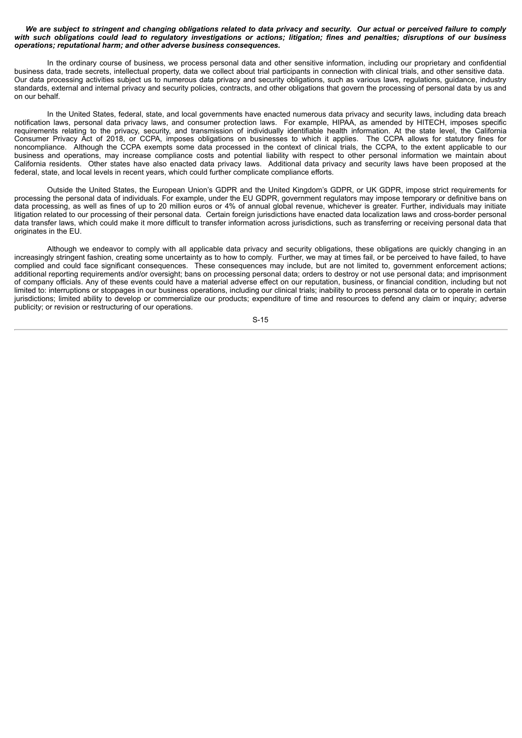#### We are subject to stringent and changing obligations related to data privacy and security. Our actual or perceived failure to comply with such obligations could lead to regulatory investigations or actions; litigation; fines and penalties; disruptions of our business *operations; reputational harm; and other adverse business consequences.*

In the ordinary course of business, we process personal data and other sensitive information, including our proprietary and confidential business data, trade secrets, intellectual property, data we collect about trial participants in connection with clinical trials, and other sensitive data. Our data processing activities subject us to numerous data privacy and security obligations, such as various laws, regulations, guidance, industry standards, external and internal privacy and security policies, contracts, and other obligations that govern the processing of personal data by us and on our behalf.

In the United States, federal, state, and local governments have enacted numerous data privacy and security laws, including data breach notification laws, personal data privacy laws, and consumer protection laws. For example, HIPAA, as amended by HITECH, imposes specific requirements relating to the privacy, security, and transmission of individually identifiable health information. At the state level, the California Consumer Privacy Act of 2018, or CCPA, imposes obligations on businesses to which it applies. The CCPA allows for statutory fines for noncompliance. Although the CCPA exempts some data processed in the context of clinical trials, the CCPA, to the extent applicable to our business and operations, may increase compliance costs and potential liability with respect to other personal information we maintain about California residents. Other states have also enacted data privacy laws. Additional data privacy and security laws have been proposed at the federal, state, and local levels in recent years, which could further complicate compliance efforts.

Outside the United States, the European Union's GDPR and the United Kingdom's GDPR, or UK GDPR, impose strict requirements for processing the personal data of individuals. For example, under the EU GDPR, government regulators may impose temporary or definitive bans on data processing, as well as fines of up to 20 million euros or 4% of annual global revenue, whichever is greater. Further, individuals may initiate litigation related to our processing of their personal data. Certain foreign jurisdictions have enacted data localization laws and cross-border personal data transfer laws, which could make it more difficult to transfer information across jurisdictions, such as transferring or receiving personal data that originates in the EU.

Although we endeavor to comply with all applicable data privacy and security obligations, these obligations are quickly changing in an increasingly stringent fashion, creating some uncertainty as to how to comply. Further, we may at times fail, or be perceived to have failed, to have complied and could face significant consequences. These consequences may include, but are not limited to, government enforcement actions; additional reporting requirements and/or oversight; bans on processing personal data; orders to destroy or not use personal data; and imprisonment of company officials. Any of these events could have a material adverse effect on our reputation, business, or financial condition, including but not limited to: interruptions or stoppages in our business operations, including our clinical trials; inability to process personal data or to operate in certain jurisdictions; limited ability to develop or commercialize our products; expenditure of time and resources to defend any claim or inquiry; adverse publicity; or revision or restructuring of our operations.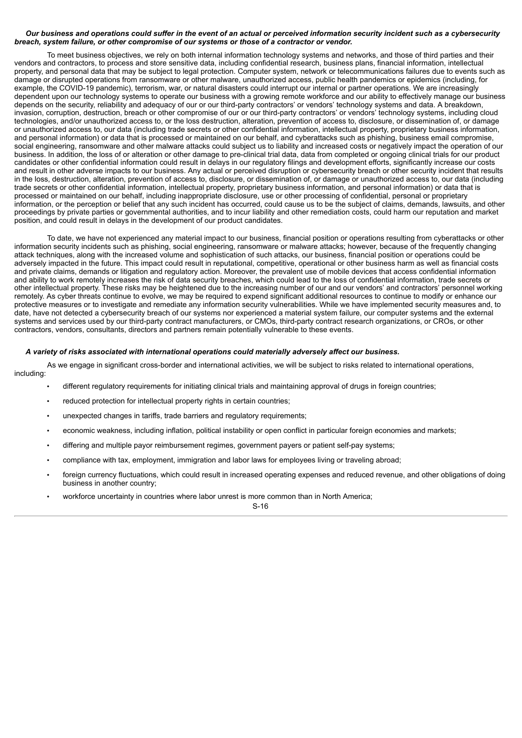## Our business and operations could suffer in the event of an actual or perceived information security incident such as a cybersecurity *breach, system failure, or other compromise of our systems or those of a contractor or vendor.*

To meet business objectives, we rely on both internal information technology systems and networks, and those of third parties and their vendors and contractors, to process and store sensitive data, including confidential research, business plans, financial information, intellectual property, and personal data that may be subject to legal protection. Computer system, network or telecommunications failures due to events such as damage or disrupted operations from ransomware or other malware, unauthorized access, public health pandemics or epidemics (including, for example, the COVID-19 pandemic), terrorism, war, or natural disasters could interrupt our internal or partner operations. We are increasingly dependent upon our technology systems to operate our business with a growing remote workforce and our ability to effectively manage our business depends on the security, reliability and adequacy of our or our third-party contractors' or vendors' technology systems and data. A breakdown, invasion, corruption, destruction, breach or other compromise of our or our third-party contractors' or vendors' technology systems, including cloud technologies, and/or unauthorized access to, or the loss destruction, alteration, prevention of access to, disclosure, or dissemination of, or damage or unauthorized access to, our data (including trade secrets or other confidential information, intellectual property, proprietary business information, and personal information) or data that is processed or maintained on our behalf, and cyberattacks such as phishing, business email compromise, social engineering, ransomware and other malware attacks could subject us to liability and increased costs or negatively impact the operation of our business. In addition, the loss of or alteration or other damage to pre-clinical trial data, data from completed or ongoing clinical trials for our product candidates or other confidential information could result in delays in our regulatory filings and development efforts, significantly increase our costs and result in other adverse impacts to our business. Any actual or perceived disruption or cybersecurity breach or other security incident that results in the loss, destruction, alteration, prevention of access to, disclosure, or dissemination of, or damage or unauthorized access to, our data (including trade secrets or other confidential information, intellectual property, proprietary business information, and personal information) or data that is processed or maintained on our behalf, including inappropriate disclosure, use or other processing of confidential, personal or proprietary information, or the perception or belief that any such incident has occurred, could cause us to be the subject of claims, demands, lawsuits, and other proceedings by private parties or governmental authorities, and to incur liability and other remediation costs, could harm our reputation and market position, and could result in delays in the development of our product candidates.

To date, we have not experienced any material impact to our business, financial position or operations resulting from cyberattacks or other information security incidents such as phishing, social engineering, ransomware or malware attacks; however, because of the frequently changing attack techniques, along with the increased volume and sophistication of such attacks, our business, financial position or operations could be adversely impacted in the future. This impact could result in reputational, competitive, operational or other business harm as well as financial costs and private claims, demands or litigation and regulatory action. Moreover, the prevalent use of mobile devices that access confidential information and ability to work remotely increases the risk of data security breaches, which could lead to the loss of confidential information, trade secrets or other intellectual property. These risks may be heightened due to the increasing number of our and our vendors' and contractors' personnel working remotely. As cyber threats continue to evolve, we may be required to expend significant additional resources to continue to modify or enhance our protective measures or to investigate and remediate any information security vulnerabilities. While we have implemented security measures and, to date, have not detected a cybersecurity breach of our systems nor experienced a material system failure, our computer systems and the external systems and services used by our third-party contract manufacturers, or CMOs, third-party contract research organizations, or CROs, or other contractors, vendors, consultants, directors and partners remain potentially vulnerable to these events.

As we engage in significant cross-border and international activities, we will be subject to risks related to international operations,

## *A variety of risks associated with international operations could materially adversely affect our business.*

including:

- different regulatory requirements for initiating clinical trials and maintaining approval of drugs in foreign countries;
- reduced protection for intellectual property rights in certain countries:
- unexpected changes in tariffs, trade barriers and regulatory requirements;
- economic weakness, including inflation, political instability or open conflict in particular foreign economies and markets;
- differing and multiple payor reimbursement regimes, government payers or patient self-pay systems;
- compliance with tax, employment, immigration and labor laws for employees living or traveling abroad;
- foreign currency fluctuations, which could result in increased operating expenses and reduced revenue, and other obligations of doing business in another country;
- workforce uncertainty in countries where labor unrest is more common than in North America;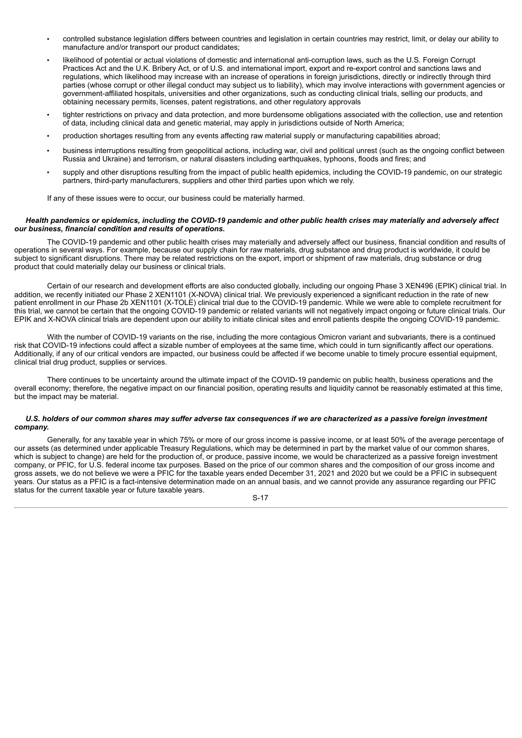- controlled substance legislation differs between countries and legislation in certain countries may restrict, limit, or delay our ability to manufacture and/or transport our product candidates:
- likelihood of potential or actual violations of domestic and international anti-corruption laws, such as the U.S. Foreign Corrupt Practices Act and the U.K. Bribery Act, or of U.S. and international import, export and re-export control and sanctions laws and regulations, which likelihood may increase with an increase of operations in foreign jurisdictions, directly or indirectly through third parties (whose corrupt or other illegal conduct may subject us to liability), which may involve interactions with government agencies or government-affiliated hospitals, universities and other organizations, such as conducting clinical trials, selling our products, and obtaining necessary permits, licenses, patent registrations, and other regulatory approvals
- tighter restrictions on privacy and data protection, and more burdensome obligations associated with the collection, use and retention of data, including clinical data and genetic material, may apply in jurisdictions outside of North America;
- production shortages resulting from any events affecting raw material supply or manufacturing capabilities abroad;
- business interruptions resulting from geopolitical actions, including war, civil and political unrest (such as the ongoing conflict between Russia and Ukraine) and terrorism, or natural disasters including earthquakes, typhoons, floods and fires; and
- supply and other disruptions resulting from the impact of public health epidemics, including the COVID-19 pandemic, on our strategic partners, third-party manufacturers, suppliers and other third parties upon which we rely.

If any of these issues were to occur, our business could be materially harmed.

#### Health pandemics or epidemics, including the COVID-19 pandemic and other public health crises may materially and adversely affect *our business, financial condition and results of operations.*

The COVID-19 pandemic and other public health crises may materially and adversely affect our business, financial condition and results of operations in several ways. For example, because our supply chain for raw materials, drug substance and drug product is worldwide, it could be subject to significant disruptions. There may be related restrictions on the export, import or shipment of raw materials, drug substance or drug product that could materially delay our business or clinical trials.

Certain of our research and development efforts are also conducted globally, including our ongoing Phase 3 XEN496 (EPIK) clinical trial. In addition, we recently initiated our Phase 2 XEN1101 (X-NOVA) clinical trial. We previously experienced a significant reduction in the rate of new patient enrollment in our Phase 2b XEN1101 (X-TOLE) clinical trial due to the COVID-19 pandemic. While we were able to complete recruitment for this trial, we cannot be certain that the ongoing COVID-19 pandemic or related variants will not negatively impact ongoing or future clinical trials. Our EPIK and X-NOVA clinical trials are dependent upon our ability to initiate clinical sites and enroll patients despite the ongoing COVID-19 pandemic.

With the number of COVID-19 variants on the rise, including the more contagious Omicron variant and subvariants, there is a continued risk that COVID-19 infections could affect a sizable number of employees at the same time, which could in turn significantly affect our operations. Additionally, if any of our critical vendors are impacted, our business could be affected if we become unable to timely procure essential equipment, clinical trial drug product, supplies or services.

There continues to be uncertainty around the ultimate impact of the COVID-19 pandemic on public health, business operations and the overall economy; therefore, the negative impact on our financial position, operating results and liquidity cannot be reasonably estimated at this time, but the impact may be material.

## U.S. holders of our common shares may suffer adverse tax consequences if we are characterized as a passive foreign investment *company.*

Generally, for any taxable year in which 75% or more of our gross income is passive income, or at least 50% of the average percentage of our assets (as determined under applicable Treasury Regulations, which may be determined in part by the market value of our common shares, which is subject to change) are held for the production of, or produce, passive income, we would be characterized as a passive foreign investment company, or PFIC, for U.S. federal income tax purposes. Based on the price of our common shares and the composition of our gross income and gross assets, we do not believe we were a PFIC for the taxable years ended December 31, 2021 and 2020 but we could be a PFIC in subsequent years. Our status as a PFIC is a fact-intensive determination made on an annual basis, and we cannot provide any assurance regarding our PFIC status for the current taxable year or future taxable years.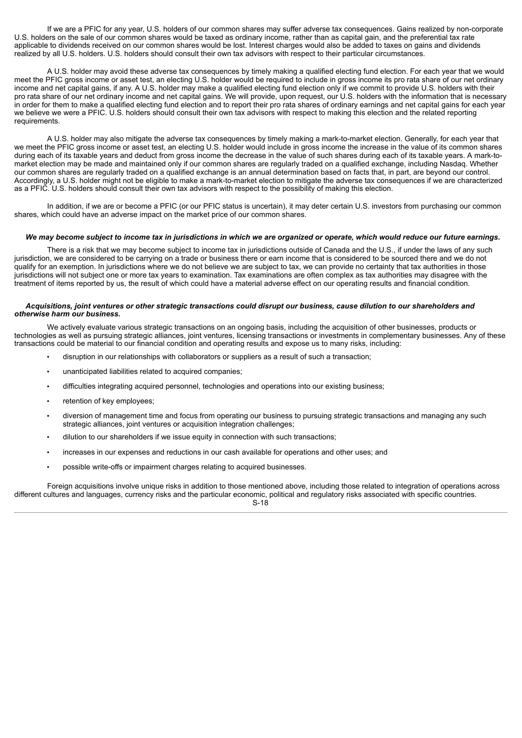If we are a PFIC for any year, U.S. holders of our common shares may suffer adverse tax consequences. Gains realized by non-corporate U.S. holders on the sale of our common shares would be taxed as ordinary income, rather than as capital gain, and the preferential tax rate applicable to dividends received on our common shares would be lost. Interest charges would also be added to taxes on gains and dividends realized by all U.S. holders. U.S. holders should consult their own tax advisors with respect to their particular circumstances.

A U.S. holder may avoid these adverse tax consequences by timely making a qualified electing fund election. For each year that we would meet the PFIC gross income or asset test, an electing U.S. holder would be required to include in gross income its pro rata share of our net ordinary income and net capital gains, if any. A U.S. holder may make a qualified electing fund election only if we commit to provide U.S. holders with their pro rata share of our net ordinary income and net capital gains. We will provide, upon request, our U.S. holders with the information that is necessary in order for them to make a qualified electing fund election and to report their pro rata shares of ordinary earnings and net capital gains for each year we believe we were a PFIC. U.S. holders should consult their own tax advisors with respect to making this election and the related reporting requirements.

A U.S. holder may also mitigate the adverse tax consequences by timely making a mark-to-market election. Generally, for each year that we meet the PFIC gross income or asset test, an electing U.S. holder would include in gross income the increase in the value of its common shares during each of its taxable years and deduct from gross income the decrease in the value of such shares during each of its taxable years. A mark-tomarket election may be made and maintained only if our common shares are regularly traded on a qualified exchange, including Nasdaq. Whether our common shares are regularly traded on a qualified exchange is an annual determination based on facts that, in part, are beyond our control. Accordingly, a U.S. holder might not be eligible to make a mark-to-market election to mitigate the adverse tax consequences if we are characterized as a PFIC. U.S. holders should consult their own tax advisors with respect to the possibility of making this election.

In addition, if we are or become a PFIC (or our PFIC status is uncertain), it may deter certain U.S. investors from purchasing our common shares, which could have an adverse impact on the market price of our common shares.

## We may become subject to income tax in jurisdictions in which we are organized or operate, which would reduce our future earnings.

There is a risk that we may become subject to income tax in jurisdictions outside of Canada and the U.S., if under the laws of any such jurisdiction, we are considered to be carrying on a trade or business there or earn income that is considered to be sourced there and we do not qualify for an exemption. In jurisdictions where we do not believe we are subject to tax, we can provide no certainty that tax authorities in those jurisdictions will not subject one or more tax years to examination. Tax examinations are often complex as tax authorities may disagree with the treatment of items reported by us, the result of which could have a material adverse effect on our operating results and financial condition.

#### Acquisitions, joint ventures or other strategic transactions could disrupt our business, cause dilution to our shareholders and *otherwise harm our business.*

We actively evaluate various strategic transactions on an ongoing basis, including the acquisition of other businesses, products or technologies as well as pursuing strategic alliances, joint ventures, licensing transactions or investments in complementary businesses. Any of these transactions could be material to our financial condition and operating results and expose us to many risks, including:

- disruption in our relationships with collaborators or suppliers as a result of such a transaction;
- unanticipated liabilities related to acquired companies;
- difficulties integrating acquired personnel, technologies and operations into our existing business;
- retention of key employees:
- diversion of management time and focus from operating our business to pursuing strategic transactions and managing any such strategic alliances, joint ventures or acquisition integration challenges;
- dilution to our shareholders if we issue equity in connection with such transactions;
- increases in our expenses and reductions in our cash available for operations and other uses; and
- possible write-offs or impairment charges relating to acquired businesses.

Foreign acquisitions involve unique risks in addition to those mentioned above, including those related to integration of operations across different cultures and languages, currency risks and the particular economic, political and regulatory risks associated with specific countries. S-18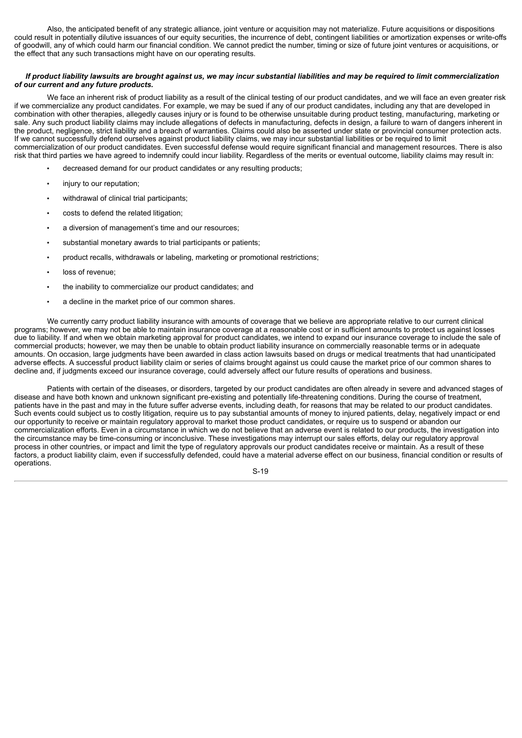Also, the anticipated benefit of any strategic alliance, joint venture or acquisition may not materialize. Future acquisitions or dispositions could result in potentially dilutive issuances of our equity securities, the incurrence of debt, contingent liabilities or amortization expenses or write-offs of goodwill, any of which could harm our financial condition. We cannot predict the number, timing or size of future joint ventures or acquisitions, or the effect that any such transactions might have on our operating results.

## If product liability lawsuits are brought against us, we may incur substantial liabilities and may be required to limit commercialization *of our current and any future products.*

We face an inherent risk of product liability as a result of the clinical testing of our product candidates, and we will face an even greater risk if we commercialize any product candidates. For example, we may be sued if any of our product candidates, including any that are developed in combination with other therapies, allegedly causes injury or is found to be otherwise unsuitable during product testing, manufacturing, marketing or sale. Any such product liability claims may include allegations of defects in manufacturing, defects in design, a failure to warn of dangers inherent in the product, negligence, strict liability and a breach of warranties. Claims could also be asserted under state or provincial consumer protection acts. If we cannot successfully defend ourselves against product liability claims, we may incur substantial liabilities or be required to limit commercialization of our product candidates. Even successful defense would require significant financial and management resources. There is also risk that third parties we have agreed to indemnify could incur liability. Regardless of the merits or eventual outcome, liability claims may result in:

- decreased demand for our product candidates or any resulting products;
- injury to our reputation;
- withdrawal of clinical trial participants;
- costs to defend the related litigation;
- a diversion of management's time and our resources;
- substantial monetary awards to trial participants or patients;
- product recalls, withdrawals or labeling, marketing or promotional restrictions;
- loss of revenue;
- the inability to commercialize our product candidates; and
- a decline in the market price of our common shares.

We currently carry product liability insurance with amounts of coverage that we believe are appropriate relative to our current clinical programs; however, we may not be able to maintain insurance coverage at a reasonable cost or in sufficient amounts to protect us against losses due to liability. If and when we obtain marketing approval for product candidates, we intend to expand our insurance coverage to include the sale of commercial products; however, we may then be unable to obtain product liability insurance on commercially reasonable terms or in adequate amounts. On occasion, large judgments have been awarded in class action lawsuits based on drugs or medical treatments that had unanticipated adverse effects. A successful product liability claim or series of claims brought against us could cause the market price of our common shares to decline and, if judgments exceed our insurance coverage, could adversely affect our future results of operations and business.

Patients with certain of the diseases, or disorders, targeted by our product candidates are often already in severe and advanced stages of disease and have both known and unknown significant pre-existing and potentially life-threatening conditions. During the course of treatment, patients have in the past and may in the future suffer adverse events, including death, for reasons that may be related to our product candidates. Such events could subject us to costly litigation, require us to pay substantial amounts of money to injured patients, delay, negatively impact or end our opportunity to receive or maintain regulatory approval to market those product candidates, or require us to suspend or abandon our commercialization efforts. Even in a circumstance in which we do not believe that an adverse event is related to our products, the investigation into the circumstance may be time-consuming or inconclusive. These investigations may interrupt our sales efforts, delay our regulatory approval process in other countries, or impact and limit the type of regulatory approvals our product candidates receive or maintain. As a result of these factors, a product liability claim, even if successfully defended, could have a material adverse effect on our business, financial condition or results of operations.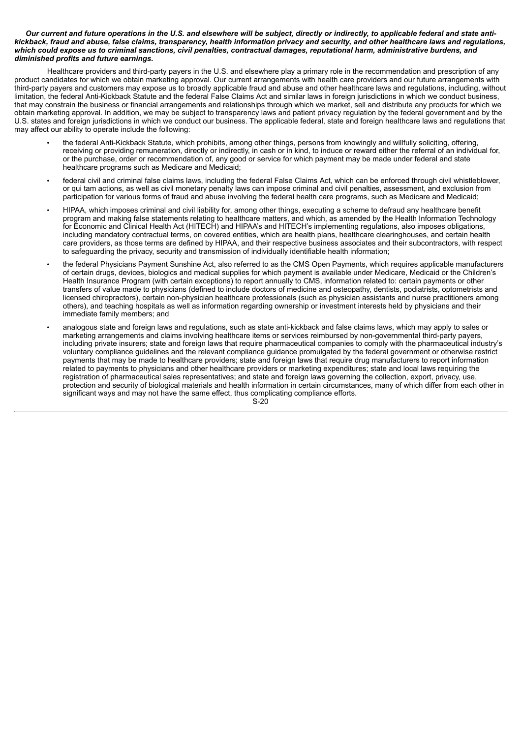#### Our current and future operations in the U.S. and elsewhere will be subject, directly or indirectly, to applicable federal and state antikickback, fraud and abuse, false claims, transparency, health information privacy and security, and other healthcare laws and regulations, which could expose us to criminal sanctions, civil penalties, contractual damages, reputational harm, administrative burdens, and *diminished profits and future earnings.*

Healthcare providers and third-party payers in the U.S. and elsewhere play a primary role in the recommendation and prescription of any product candidates for which we obtain marketing approval. Our current arrangements with health care providers and our future arrangements with third-party payers and customers may expose us to broadly applicable fraud and abuse and other healthcare laws and regulations, including, without limitation, the federal Anti-Kickback Statute and the federal False Claims Act and similar laws in foreign jurisdictions in which we conduct business, that may constrain the business or financial arrangements and relationships through which we market, sell and distribute any products for which we obtain marketing approval. In addition, we may be subject to transparency laws and patient privacy regulation by the federal government and by the U.S. states and foreign jurisdictions in which we conduct our business. The applicable federal, state and foreign healthcare laws and regulations that may affect our ability to operate include the following:

- the federal Anti-Kickback Statute, which prohibits, among other things, persons from knowingly and willfully soliciting, offering, receiving or providing remuneration, directly or indirectly, in cash or in kind, to induce or reward either the referral of an individual for, or the purchase, order or recommendation of, any good or service for which payment may be made under federal and state healthcare programs such as Medicare and Medicaid;
- federal civil and criminal false claims laws, including the federal False Claims Act, which can be enforced through civil whistleblower, or qui tam actions, as well as civil monetary penalty laws can impose criminal and civil penalties, assessment, and exclusion from participation for various forms of fraud and abuse involving the federal health care programs, such as Medicare and Medicaid;
- HIPAA, which imposes criminal and civil liability for, among other things, executing a scheme to defraud any healthcare benefit program and making false statements relating to healthcare matters, and which, as amended by the Health Information Technology for Economic and Clinical Health Act (HITECH) and HIPAA's and HITECH's implementing regulations, also imposes obligations, including mandatory contractual terms, on covered entities, which are health plans, healthcare clearinghouses, and certain health care providers, as those terms are defined by HIPAA, and their respective business associates and their subcontractors, with respect to safeguarding the privacy, security and transmission of individually identifiable health information;
- the federal Physicians Payment Sunshine Act, also referred to as the CMS Open Payments, which requires applicable manufacturers of certain drugs, devices, biologics and medical supplies for which payment is available under Medicare, Medicaid or the Children's Health Insurance Program (with certain exceptions) to report annually to CMS, information related to: certain payments or other transfers of value made to physicians (defined to include doctors of medicine and osteopathy, dentists, podiatrists, optometrists and licensed chiropractors), certain non-physician healthcare professionals (such as physician assistants and nurse practitioners among others), and teaching hospitals as well as information regarding ownership or investment interests held by physicians and their immediate family members; and
- analogous state and foreign laws and regulations, such as state anti-kickback and false claims laws, which may apply to sales or marketing arrangements and claims involving healthcare items or services reimbursed by non-governmental third-party payers, including private insurers; state and foreign laws that require pharmaceutical companies to comply with the pharmaceutical industry's voluntary compliance guidelines and the relevant compliance guidance promulgated by the federal government or otherwise restrict payments that may be made to healthcare providers; state and foreign laws that require drug manufacturers to report information related to payments to physicians and other healthcare providers or marketing expenditures; state and local laws requiring the registration of pharmaceutical sales representatives; and state and foreign laws governing the collection, export, privacy, use, protection and security of biological materials and health information in certain circumstances, many of which differ from each other in significant ways and may not have the same effect, thus complicating compliance efforts.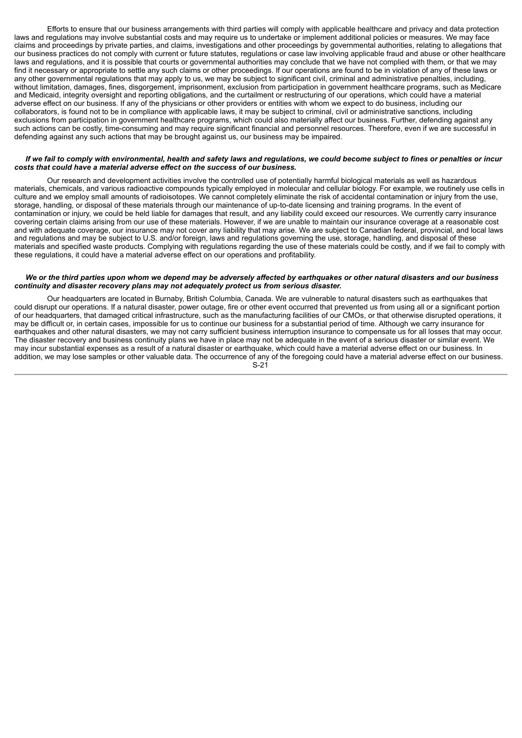Efforts to ensure that our business arrangements with third parties will comply with applicable healthcare and privacy and data protection laws and regulations may involve substantial costs and may require us to undertake or implement additional policies or measures. We may face claims and proceedings by private parties, and claims, investigations and other proceedings by governmental authorities, relating to allegations that our business practices do not comply with current or future statutes, regulations or case law involving applicable fraud and abuse or other healthcare laws and regulations, and it is possible that courts or governmental authorities may conclude that we have not complied with them, or that we may find it necessary or appropriate to settle any such claims or other proceedings. If our operations are found to be in violation of any of these laws or any other governmental regulations that may apply to us, we may be subject to significant civil, criminal and administrative penalties, including, without limitation, damages, fines, disgorgement, imprisonment, exclusion from participation in government healthcare programs, such as Medicare and Medicaid, integrity oversight and reporting obligations, and the curtailment or restructuring of our operations, which could have a material adverse effect on our business. If any of the physicians or other providers or entities with whom we expect to do business, including our collaborators, is found not to be in compliance with applicable laws, it may be subject to criminal, civil or administrative sanctions, including exclusions from participation in government healthcare programs, which could also materially affect our business. Further, defending against any such actions can be costly, time-consuming and may require significant financial and personnel resources. Therefore, even if we are successful in defending against any such actions that may be brought against us, our business may be impaired.

#### If we fail to comply with environmental, health and safety laws and requlations, we could become subject to fines or penalties or incur *costs that could have a material adverse effect on the success of our business.*

Our research and development activities involve the controlled use of potentially harmful biological materials as well as hazardous materials, chemicals, and various radioactive compounds typically employed in molecular and cellular biology. For example, we routinely use cells in culture and we employ small amounts of radioisotopes. We cannot completely eliminate the risk of accidental contamination or injury from the use, storage, handling, or disposal of these materials through our maintenance of up-to-date licensing and training programs. In the event of contamination or injury, we could be held liable for damages that result, and any liability could exceed our resources. We currently carry insurance covering certain claims arising from our use of these materials. However, if we are unable to maintain our insurance coverage at a reasonable cost and with adequate coverage, our insurance may not cover any liability that may arise. We are subject to Canadian federal, provincial, and local laws and regulations and may be subject to U.S. and/or foreign, laws and regulations governing the use, storage, handling, and disposal of these materials and specified waste products. Complying with regulations regarding the use of these materials could be costly, and if we fail to comply with these regulations, it could have a material adverse effect on our operations and profitability.

## We or the third parties upon whom we depend may be adversely affected by earthquakes or other natural disasters and our business *continuity and disaster recovery plans may not adequately protect us from serious disaster.*

Our headquarters are located in Burnaby, British Columbia, Canada. We are vulnerable to natural disasters such as earthquakes that could disrupt our operations. If a natural disaster, power outage, fire or other event occurred that prevented us from using all or a significant portion of our headquarters, that damaged critical infrastructure, such as the manufacturing facilities of our CMOs, or that otherwise disrupted operations, it may be difficult or, in certain cases, impossible for us to continue our business for a substantial period of time. Although we carry insurance for earthquakes and other natural disasters, we may not carry sufficient business interruption insurance to compensate us for all losses that may occur. The disaster recovery and business continuity plans we have in place may not be adequate in the event of a serious disaster or similar event. We may incur substantial expenses as a result of a natural disaster or earthquake, which could have a material adverse effect on our business. In addition, we may lose samples or other valuable data. The occurrence of any of the foregoing could have a material adverse effect on our business. S-21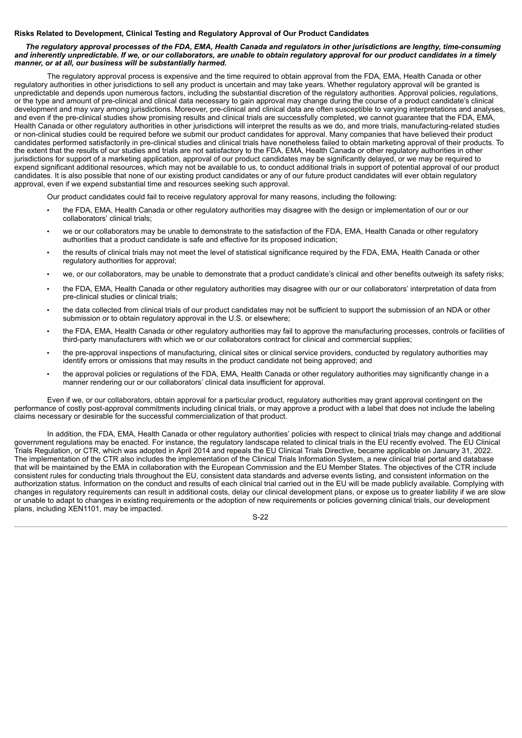## **Risks Related to Development, Clinical Testing and Regulatory Approval of Our Product Candidates**

## The regulatory approval processes of the FDA, EMA, Health Canada and regulators in other jurisdictions are lengthy, time-consuming and inherently unpredictable. If we, or our collaborators, are unable to obtain regulatory approval for our product candidates in a timely *manner, or at all, our business will be substantially harmed.*

The regulatory approval process is expensive and the time required to obtain approval from the FDA, EMA, Health Canada or other regulatory authorities in other jurisdictions to sell any product is uncertain and may take years. Whether regulatory approval will be granted is unpredictable and depends upon numerous factors, including the substantial discretion of the regulatory authorities. Approval policies, regulations, or the type and amount of pre-clinical and clinical data necessary to gain approval may change during the course of a product candidate's clinical development and may vary among jurisdictions. Moreover, pre-clinical and clinical data are often susceptible to varying interpretations and analyses, and even if the pre-clinical studies show promising results and clinical trials are successfully completed, we cannot guarantee that the FDA, EMA, Health Canada or other regulatory authorities in other jurisdictions will interpret the results as we do, and more trials, manufacturing-related studies or non-clinical studies could be required before we submit our product candidates for approval. Many companies that have believed their product candidates performed satisfactorily in pre-clinical studies and clinical trials have nonetheless failed to obtain marketing approval of their products. To the extent that the results of our studies and trials are not satisfactory to the FDA, EMA, Health Canada or other regulatory authorities in other jurisdictions for support of a marketing application, approval of our product candidates may be significantly delayed, or we may be required to expend significant additional resources, which may not be available to us, to conduct additional trials in support of potential approval of our product candidates. It is also possible that none of our existing product candidates or any of our future product candidates will ever obtain regulatory approval, even if we expend substantial time and resources seeking such approval.

Our product candidates could fail to receive regulatory approval for many reasons, including the following:

- the FDA, EMA, Health Canada or other regulatory authorities may disagree with the design or implementation of our or our collaborators' clinical trials;
- we or our collaborators may be unable to demonstrate to the satisfaction of the FDA, EMA, Health Canada or other regulatory authorities that a product candidate is safe and effective for its proposed indication;
- the results of clinical trials may not meet the level of statistical significance required by the FDA, EMA, Health Canada or other regulatory authorities for approval;
- we, or our collaborators, may be unable to demonstrate that a product candidate's clinical and other benefits outweigh its safety risks;
- the FDA, EMA, Health Canada or other regulatory authorities may disagree with our or our collaborators' interpretation of data from pre-clinical studies or clinical trials;
- the data collected from clinical trials of our product candidates may not be sufficient to support the submission of an NDA or other submission or to obtain regulatory approval in the U.S. or elsewhere;
- the FDA, EMA, Health Canada or other regulatory authorities may fail to approve the manufacturing processes, controls or facilities of third-party manufacturers with which we or our collaborators contract for clinical and commercial supplies;
- the pre-approval inspections of manufacturing, clinical sites or clinical service providers, conducted by regulatory authorities may identify errors or omissions that may results in the product candidate not being approved; and
- the approval policies or regulations of the FDA, EMA, Health Canada or other regulatory authorities may significantly change in a manner rendering our or our collaborators' clinical data insufficient for approval.

Even if we, or our collaborators, obtain approval for a particular product, regulatory authorities may grant approval contingent on the performance of costly post-approval commitments including clinical trials, or may approve a product with a label that does not include the labeling claims necessary or desirable for the successful commercialization of that product.

In addition, the FDA, EMA, Health Canada or other regulatory authorities' policies with respect to clinical trials may change and additional government regulations may be enacted. For instance, the regulatory landscape related to clinical trials in the EU recently evolved. The EU Clinical Trials Regulation, or CTR, which was adopted in April 2014 and repeals the EU Clinical Trials Directive, became applicable on January 31, 2022. The implementation of the CTR also includes the implementation of the Clinical Trials Information System, a new clinical trial portal and database that will be maintained by the EMA in collaboration with the European Commission and the EU Member States. The objectives of the CTR include consistent rules for conducting trials throughout the EU, consistent data standards and adverse events listing, and consistent information on the authorization status. Information on the conduct and results of each clinical trial carried out in the EU will be made publicly available. Complying with changes in regulatory requirements can result in additional costs, delay our clinical development plans, or expose us to greater liability if we are slow or unable to adapt to changes in existing requirements or the adoption of new requirements or policies governing clinical trials, our development plans, including XEN1101, may be impacted.

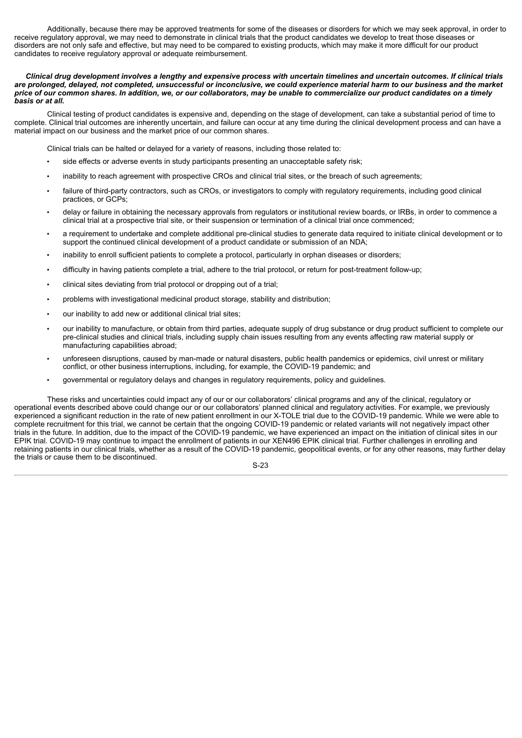Additionally, because there may be approved treatments for some of the diseases or disorders for which we may seek approval, in order to receive regulatory approval, we may need to demonstrate in clinical trials that the product candidates we develop to treat those diseases or disorders are not only safe and effective, but may need to be compared to existing products, which may make it more difficult for our product candidates to receive regulatory approval or adequate reimbursement.

Clinical drug development involves a lengthy and expensive process with uncertain timelines and uncertain outcomes. If clinical trials are prolonged, delayed, not completed, unsuccessful or inconclusive, we could experience material harm to our business and the market price of our common shares. In addition, we, or our collaborators, may be unable to commercialize our product candidates on a timely *basis or at all.*

Clinical testing of product candidates is expensive and, depending on the stage of development, can take a substantial period of time to complete. Clinical trial outcomes are inherently uncertain, and failure can occur at any time during the clinical development process and can have a material impact on our business and the market price of our common shares.

Clinical trials can be halted or delayed for a variety of reasons, including those related to:

- side effects or adverse events in study participants presenting an unacceptable safety risk;
- inability to reach agreement with prospective CROs and clinical trial sites, or the breach of such agreements;
- failure of third-party contractors, such as CROs, or investigators to comply with regulatory requirements, including good clinical practices, or GCPs;
- delay or failure in obtaining the necessary approvals from regulators or institutional review boards, or IRBs, in order to commence a clinical trial at a prospective trial site, or their suspension or termination of a clinical trial once commenced;
- a requirement to undertake and complete additional pre-clinical studies to generate data required to initiate clinical development or to support the continued clinical development of a product candidate or submission of an NDA;
- inability to enroll sufficient patients to complete a protocol, particularly in orphan diseases or disorders;
- difficulty in having patients complete a trial, adhere to the trial protocol, or return for post-treatment follow-up;
- clinical sites deviating from trial protocol or dropping out of a trial;
- problems with investigational medicinal product storage, stability and distribution;
- our inability to add new or additional clinical trial sites;
- our inability to manufacture, or obtain from third parties, adequate supply of drug substance or drug product sufficient to complete our pre-clinical studies and clinical trials, including supply chain issues resulting from any events affecting raw material supply or manufacturing capabilities abroad;
- unforeseen disruptions, caused by man-made or natural disasters, public health pandemics or epidemics, civil unrest or military conflict, or other business interruptions, including, for example, the COVID-19 pandemic; and
- governmental or regulatory delays and changes in regulatory requirements, policy and guidelines.

These risks and uncertainties could impact any of our or our collaborators' clinical programs and any of the clinical, regulatory or operational events described above could change our or our collaborators' planned clinical and regulatory activities. For example, we previously experienced a significant reduction in the rate of new patient enrollment in our X-TOLE trial due to the COVID-19 pandemic. While we were able to complete recruitment for this trial, we cannot be certain that the ongoing COVID-19 pandemic or related variants will not negatively impact other trials in the future. In addition, due to the impact of the COVID-19 pandemic, we have experienced an impact on the initiation of clinical sites in our EPIK trial. COVID-19 may continue to impact the enrollment of patients in our XEN496 EPIK clinical trial. Further challenges in enrolling and retaining patients in our clinical trials, whether as a result of the COVID-19 pandemic, geopolitical events, or for any other reasons, may further delay the trials or cause them to be discontinued.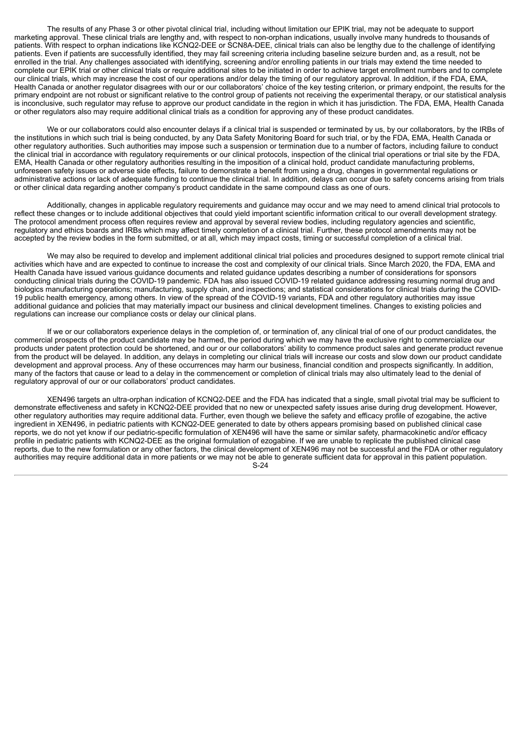The results of any Phase 3 or other pivotal clinical trial, including without limitation our EPIK trial, may not be adequate to support marketing approval. These clinical trials are lengthy and, with respect to non-orphan indications, usually involve many hundreds to thousands of patients. With respect to orphan indications like KCNQ2-DEE or SCN8A-DEE, clinical trials can also be lengthy due to the challenge of identifying patients. Even if patients are successfully identified, they may fail screening criteria including baseline seizure burden and, as a result, not be enrolled in the trial. Any challenges associated with identifying, screening and/or enrolling patients in our trials may extend the time needed to complete our EPIK trial or other clinical trials or require additional sites to be initiated in order to achieve target enrollment numbers and to complete our clinical trials, which may increase the cost of our operations and/or delay the timing of our regulatory approval. In addition, if the FDA, EMA, Health Canada or another regulator disagrees with our or our collaborators' choice of the key testing criterion, or primary endpoint, the results for the primary endpoint are not robust or significant relative to the control group of patients not receiving the experimental therapy, or our statistical analysis is inconclusive, such regulator may refuse to approve our product candidate in the region in which it has jurisdiction. The FDA, EMA, Health Canada or other regulators also may require additional clinical trials as a condition for approving any of these product candidates.

We or our collaborators could also encounter delays if a clinical trial is suspended or terminated by us, by our collaborators, by the IRBs of the institutions in which such trial is being conducted, by any Data Safety Monitoring Board for such trial, or by the FDA, EMA, Health Canada or other regulatory authorities. Such authorities may impose such a suspension or termination due to a number of factors, including failure to conduct the clinical trial in accordance with regulatory requirements or our clinical protocols, inspection of the clinical trial operations or trial site by the FDA, EMA, Health Canada or other regulatory authorities resulting in the imposition of a clinical hold, product candidate manufacturing problems, unforeseen safety issues or adverse side effects, failure to demonstrate a benefit from using a drug, changes in governmental regulations or administrative actions or lack of adequate funding to continue the clinical trial. In addition, delays can occur due to safety concerns arising from trials or other clinical data regarding another company's product candidate in the same compound class as one of ours.

Additionally, changes in applicable regulatory requirements and guidance may occur and we may need to amend clinical trial protocols to reflect these changes or to include additional objectives that could yield important scientific information critical to our overall development strategy. The protocol amendment process often requires review and approval by several review bodies, including regulatory agencies and scientific, regulatory and ethics boards and IRBs which may affect timely completion of a clinical trial. Further, these protocol amendments may not be accepted by the review bodies in the form submitted, or at all, which may impact costs, timing or successful completion of a clinical trial.

We may also be required to develop and implement additional clinical trial policies and procedures designed to support remote clinical trial activities which have and are expected to continue to increase the cost and complexity of our clinical trials. Since March 2020, the FDA, EMA and Health Canada have issued various guidance documents and related guidance updates describing a number of considerations for sponsors conducting clinical trials during the COVID-19 pandemic. FDA has also issued COVID-19 related guidance addressing resuming normal drug and biologics manufacturing operations; manufacturing, supply chain, and inspections; and statistical considerations for clinical trials during the COVID-19 public health emergency, among others. In view of the spread of the COVID-19 variants, FDA and other regulatory authorities may issue additional guidance and policies that may materially impact our business and clinical development timelines. Changes to existing policies and regulations can increase our compliance costs or delay our clinical plans.

If we or our collaborators experience delays in the completion of, or termination of, any clinical trial of one of our product candidates, the commercial prospects of the product candidate may be harmed, the period during which we may have the exclusive right to commercialize our products under patent protection could be shortened, and our or our collaborators' ability to commence product sales and generate product revenue from the product will be delayed. In addition, any delays in completing our clinical trials will increase our costs and slow down our product candidate development and approval process. Any of these occurrences may harm our business, financial condition and prospects significantly. In addition, many of the factors that cause or lead to a delay in the commencement or completion of clinical trials may also ultimately lead to the denial of regulatory approval of our or our collaborators' product candidates.

XEN496 targets an ultra-orphan indication of KCNQ2-DEE and the FDA has indicated that a single, small pivotal trial may be sufficient to demonstrate effectiveness and safety in KCNQ2-DEE provided that no new or unexpected safety issues arise during drug development. However, other regulatory authorities may require additional data. Further, even though we believe the safety and efficacy profile of ezogabine, the active ingredient in XEN496, in pediatric patients with KCNQ2-DEE generated to date by others appears promising based on published clinical case reports, we do not yet know if our pediatric-specific formulation of XEN496 will have the same or similar safety, pharmacokinetic and/or efficacy profile in pediatric patients with KCNQ2-DEE as the original formulation of ezogabine. If we are unable to replicate the published clinical case reports, due to the new formulation or any other factors, the clinical development of XEN496 may not be successful and the FDA or other regulatory authorities may require additional data in more patients or we may not be able to generate sufficient data for approval in this patient population.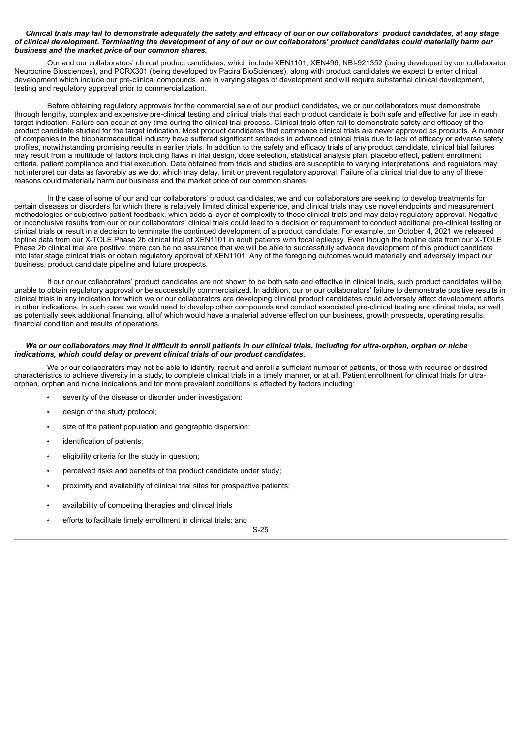#### Clinical trials may fail to demonstrate adequately the safety and efficacy of our or our collaborators' product candidates, at any stage of clinical development. Terminating the development of any of our or our collaborators' product candidates could materially harm our *business and the market price of our common shares.*

Our and our collaborators' clinical product candidates, which include XEN1101, XEN496, NBI-921352 (being developed by our collaborator Neurocrine Biosciences), and PCRX301 (being developed by Pacira BioSciences), along with product candidates we expect to enter clinical development which include our pre-clinical compounds, are in varying stages of development and will require substantial clinical development, testing and regulatory approval prior to commercialization.

Before obtaining regulatory approvals for the commercial sale of our product candidates, we or our collaborators must demonstrate through lengthy, complex and expensive pre-clinical testing and clinical trials that each product candidate is both safe and effective for use in each target indication. Failure can occur at any time during the clinical trial process. Clinical trials often fail to demonstrate safety and efficacy of the product candidate studied for the target indication. Most product candidates that commence clinical trials are never approved as products. A number of companies in the biopharmaceutical industry have suffered significant setbacks in advanced clinical trials due to lack of efficacy or adverse safety profiles, notwithstanding promising results in earlier trials. In addition to the safety and efficacy trials of any product candidate, clinical trial failures may result from a multitude of factors including flaws in trial design, dose selection, statistical analysis plan, placebo effect, patient enrollment criteria, patient compliance and trial execution. Data obtained from trials and studies are susceptible to varying interpretations, and regulators may not interpret our data as favorably as we do, which may delay, limit or prevent regulatory approval. Failure of a clinical trial due to any of these reasons could materially harm our business and the market price of our common shares.

In the case of some of our and our collaborators' product candidates, we and our collaborators are seeking to develop treatments for certain diseases or disorders for which there is relatively limited clinical experience, and clinical trials may use novel endpoints and measurement methodologies or subjective patient feedback, which adds a layer of complexity to these clinical trials and may delay regulatory approval. Negative or inconclusive results from our or our collaborators' clinical trials could lead to a decision or requirement to conduct additional pre-clinical testing or clinical trials or result in a decision to terminate the continued development of a product candidate. For example, on October 4, 2021 we released topline data from our X-TOLE Phase 2b clinical trial of XEN1101 in adult patients with focal epilepsy. Even though the topline data from our X-TOLE Phase 2b clinical trial are positive, there can be no assurance that we will be able to successfully advance development of this product candidate into later stage clinical trials or obtain regulatory approval of XEN1101. Any of the foregoing outcomes would materially and adversely impact our business, product candidate pipeline and future prospects.

If our or our collaborators' product candidates are not shown to be both safe and effective in clinical trials, such product candidates will be unable to obtain regulatory approval or be successfully commercialized. In addition, our or our collaborators' failure to demonstrate positive results in clinical trials in any indication for which we or our collaborators are developing clinical product candidates could adversely affect development efforts in other indications. In such case, we would need to develop other compounds and conduct associated pre-clinical testing and clinical trials, as well as potentially seek additional financing, all of which would have a material adverse effect on our business, growth prospects, operating results, financial condition and results of operations.

#### We or our collaborators may find it difficult to enroll patients in our clinical trials, including for ultra-orphan, orphan or niche *indications, which could delay or prevent clinical trials of our product candidates.*

We or our collaborators may not be able to identify, recruit and enroll a sufficient number of patients, or those with required or desired characteristics to achieve diversity in a study, to complete clinical trials in a timely manner, or at all. Patient enrollment for clinical trials for ultraorphan, orphan and niche indications and for more prevalent conditions is affected by factors including:

- severity of the disease or disorder under investigation;
- design of the study protocol;
- size of the patient population and geographic dispersion;
- identification of patients;
- eligibility criteria for the study in question;
- perceived risks and benefits of the product candidate under study;
- proximity and availability of clinical trial sites for prospective patients;
- availability of competing therapies and clinical trials
- efforts to facilitate timely enrollment in clinical trials; and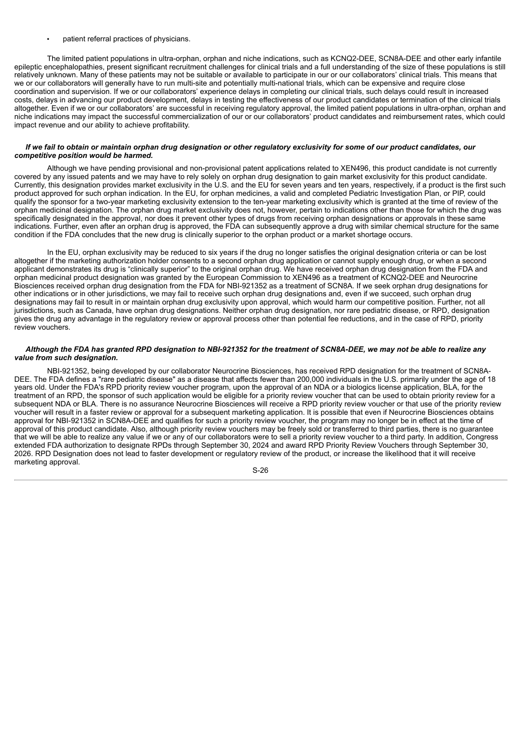• patient referral practices of physicians.

The limited patient populations in ultra-orphan, orphan and niche indications, such as KCNQ2-DEE, SCN8A-DEE and other early infantile epileptic encephalopathies, present significant recruitment challenges for clinical trials and a full understanding of the size of these populations is still relatively unknown. Many of these patients may not be suitable or available to participate in our or our collaborators' clinical trials. This means that we or our collaborators will generally have to run multi-site and potentially multi-national trials, which can be expensive and require close coordination and supervision. If we or our collaborators' experience delays in completing our clinical trials, such delays could result in increased costs, delays in advancing our product development, delays in testing the effectiveness of our product candidates or termination of the clinical trials altogether. Even if we or our collaborators' are successful in receiving regulatory approval, the limited patient populations in ultra-orphan, orphan and niche indications may impact the successful commercialization of our or our collaborators' product candidates and reimbursement rates, which could impact revenue and our ability to achieve profitability.

#### If we fail to obtain or maintain orphan drug designation or other regulatory exclusivity for some of our product candidates, our *competitive position would be harmed.*

Although we have pending provisional and non-provisional patent applications related to XEN496, this product candidate is not currently covered by any issued patents and we may have to rely solely on orphan drug designation to gain market exclusivity for this product candidate. Currently, this designation provides market exclusivity in the U.S. and the EU for seven years and ten years, respectively, if a product is the first such product approved for such orphan indication. In the EU, for orphan medicines, a valid and completed Pediatric Investigation Plan, or PIP, could qualify the sponsor for a two-year marketing exclusivity extension to the ten-year marketing exclusivity which is granted at the time of review of the orphan medicinal designation. The orphan drug market exclusivity does not, however, pertain to indications other than those for which the drug was specifically designated in the approval, nor does it prevent other types of drugs from receiving orphan designations or approvals in these same indications. Further, even after an orphan drug is approved, the FDA can subsequently approve a drug with similar chemical structure for the same condition if the FDA concludes that the new drug is clinically superior to the orphan product or a market shortage occurs.

In the EU, orphan exclusivity may be reduced to six years if the drug no longer satisfies the original designation criteria or can be lost altogether if the marketing authorization holder consents to a second orphan drug application or cannot supply enough drug, or when a second applicant demonstrates its drug is "clinically superior" to the original orphan drug. We have received orphan drug designation from the FDA and orphan medicinal product designation was granted by the European Commission to XEN496 as a treatment of KCNQ2-DEE and Neurocrine Biosciences received orphan drug designation from the FDA for NBI-921352 as a treatment of SCN8A. If we seek orphan drug designations for other indications or in other jurisdictions, we may fail to receive such orphan drug designations and, even if we succeed, such orphan drug designations may fail to result in or maintain orphan drug exclusivity upon approval, which would harm our competitive position. Further, not all jurisdictions, such as Canada, have orphan drug designations. Neither orphan drug designation, nor rare pediatric disease, or RPD, designation gives the drug any advantage in the regulatory review or approval process other than potential fee reductions, and in the case of RPD, priority review vouchers.

## Although the FDA has granted RPD designation to NBI-921352 for the treatment of SCN8A-DEE, we may not be able to realize any *value from such designation.*

NBI-921352, being developed by our collaborator Neurocrine Biosciences, has received RPD designation for the treatment of SCN8A-DEE. The FDA defines a "rare pediatric disease" as a disease that affects fewer than 200,000 individuals in the U.S. primarily under the age of 18 years old. Under the FDA's RPD priority review voucher program, upon the approval of an NDA or a biologics license application, BLA, for the treatment of an RPD, the sponsor of such application would be eligible for a priority review voucher that can be used to obtain priority review for a subsequent NDA or BLA. There is no assurance Neurocrine Biosciences will receive a RPD priority review voucher or that use of the priority review voucher will result in a faster review or approval for a subsequent marketing application. It is possible that even if Neurocrine Biosciences obtains approval for NBI-921352 in SCN8A-DEE and qualifies for such a priority review voucher, the program may no longer be in effect at the time of approval of this product candidate. Also, although priority review vouchers may be freely sold or transferred to third parties, there is no guarantee that we will be able to realize any value if we or any of our collaborators were to sell a priority review voucher to a third party. In addition, Congress extended FDA authorization to designate RPDs through September 30, 2024 and award RPD Priority Review Vouchers through September 30, 2026. RPD Designation does not lead to faster development or regulatory review of the product, or increase the likelihood that it will receive marketing approval.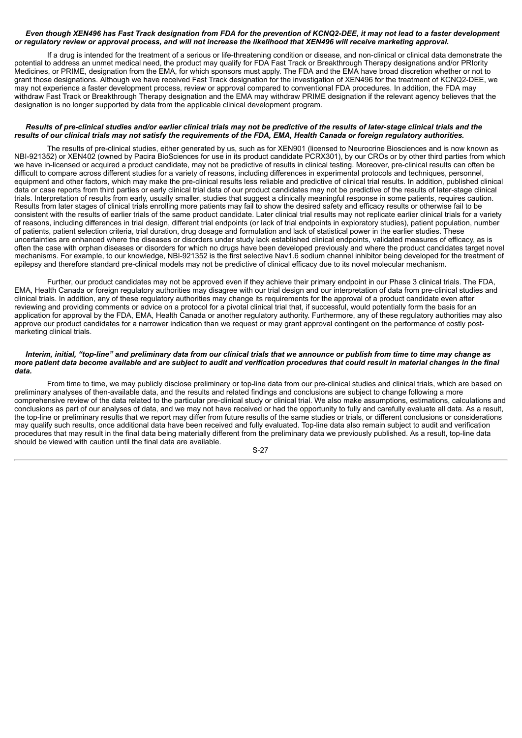## Even though XEN496 has Fast Track designation from FDA for the prevention of KCNQ2-DEE, it may not lead to a faster development or regulatory review or approval process, and will not increase the likelihood that XEN496 will receive marketing approval.

If a drug is intended for the treatment of a serious or life-threatening condition or disease, and non-clinical or clinical data demonstrate the potential to address an unmet medical need, the product may qualify for FDA Fast Track or Breakthrough Therapy designations and/or PRIority Medicines, or PRIME, designation from the EMA, for which sponsors must apply. The FDA and the EMA have broad discretion whether or not to grant those designations. Although we have received Fast Track designation for the investigation of XEN496 for the treatment of KCNQ2-DEE, we may not experience a faster development process, review or approval compared to conventional FDA procedures. In addition, the FDA may withdraw Fast Track or Breakthrough Therapy designation and the EMA may withdraw PRIME designation if the relevant agency believes that the designation is no longer supported by data from the applicable clinical development program.

## Results of pre-clinical studies and/or earlier clinical trials may not be predictive of the results of later-stage clinical trials and the results of our clinical trials may not satisfy the requirements of the FDA, EMA, Health Canada or foreign requlatory authorities.

The results of pre-clinical studies, either generated by us, such as for XEN901 (licensed to Neurocrine Biosciences and is now known as NBI-921352) or XEN402 (owned by Pacira BioSciences for use in its product candidate PCRX301), by our CROs or by other third parties from which we have in-licensed or acquired a product candidate, may not be predictive of results in clinical testing. Moreover, pre-clinical results can often be difficult to compare across different studies for a variety of reasons, including differences in experimental protocols and techniques, personnel, equipment and other factors, which may make the pre-clinical results less reliable and predictive of clinical trial results. In addition, published clinical data or case reports from third parties or early clinical trial data of our product candidates may not be predictive of the results of later-stage clinical trials. Interpretation of results from early, usually smaller, studies that suggest a clinically meaningful response in some patients, requires caution. Results from later stages of clinical trials enrolling more patients may fail to show the desired safety and efficacy results or otherwise fail to be consistent with the results of earlier trials of the same product candidate. Later clinical trial results may not replicate earlier clinical trials for a variety of reasons, including differences in trial design, different trial endpoints (or lack of trial endpoints in exploratory studies), patient population, number of patients, patient selection criteria, trial duration, drug dosage and formulation and lack of statistical power in the earlier studies. These uncertainties are enhanced where the diseases or disorders under study lack established clinical endpoints, validated measures of efficacy, as is often the case with orphan diseases or disorders for which no drugs have been developed previously and where the product candidates target novel mechanisms. For example, to our knowledge, NBI-921352 is the first selective Nav1.6 sodium channel inhibitor being developed for the treatment of epilepsy and therefore standard pre-clinical models may not be predictive of clinical efficacy due to its novel molecular mechanism.

Further, our product candidates may not be approved even if they achieve their primary endpoint in our Phase 3 clinical trials. The FDA, EMA, Health Canada or foreign regulatory authorities may disagree with our trial design and our interpretation of data from pre-clinical studies and clinical trials. In addition, any of these regulatory authorities may change its requirements for the approval of a product candidate even after reviewing and providing comments or advice on a protocol for a pivotal clinical trial that, if successful, would potentially form the basis for an application for approval by the FDA, EMA, Health Canada or another regulatory authority. Furthermore, any of these regulatory authorities may also approve our product candidates for a narrower indication than we request or may grant approval contingent on the performance of costly postmarketing clinical trials.

#### Interim, initial, "top-line" and preliminary data from our clinical trials that we announce or publish from time to time may change as more patient data become available and are subject to audit and verification procedures that could result in material changes in the final *data.*

From time to time, we may publicly disclose preliminary or top-line data from our pre-clinical studies and clinical trials, which are based on preliminary analyses of then-available data, and the results and related findings and conclusions are subject to change following a more comprehensive review of the data related to the particular pre-clinical study or clinical trial. We also make assumptions, estimations, calculations and conclusions as part of our analyses of data, and we may not have received or had the opportunity to fully and carefully evaluate all data. As a result, the top-line or preliminary results that we report may differ from future results of the same studies or trials, or different conclusions or considerations may qualify such results, once additional data have been received and fully evaluated. Top-line data also remain subject to audit and verification procedures that may result in the final data being materially different from the preliminary data we previously published. As a result, top-line data should be viewed with caution until the final data are available.

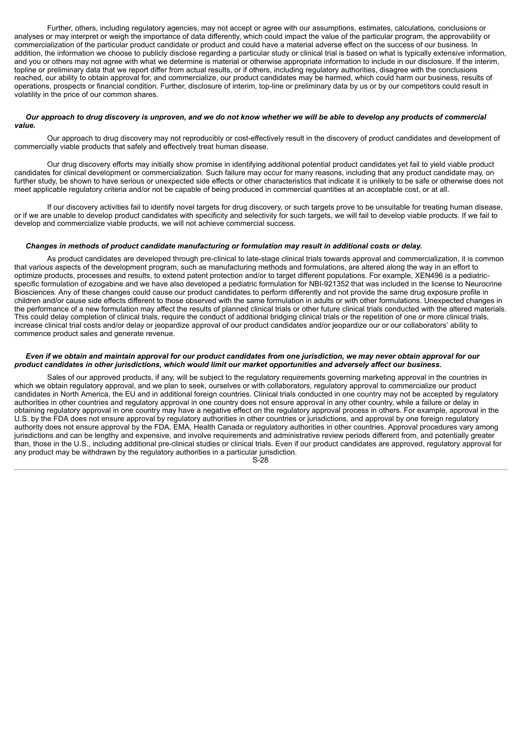Further, others, including regulatory agencies, may not accept or agree with our assumptions, estimates, calculations, conclusions or analyses or may interpret or weigh the importance of data differently, which could impact the value of the particular program, the approvability or commercialization of the particular product candidate or product and could have a material adverse effect on the success of our business. In addition, the information we choose to publicly disclose regarding a particular study or clinical trial is based on what is typically extensive information, and you or others may not agree with what we determine is material or otherwise appropriate information to include in our disclosure. If the interim, topline or preliminary data that we report differ from actual results, or if others, including regulatory authorities, disagree with the conclusions reached, our ability to obtain approval for, and commercialize, our product candidates may be harmed, which could harm our business, results of operations, prospects or financial condition. Further, disclosure of interim, top-line or preliminary data by us or by our competitors could result in volatility in the price of our common shares.

#### Our approach to drug discovery is unproven, and we do not know whether we will be able to develop any products of commercial *value.*

Our approach to drug discovery may not reproducibly or cost-effectively result in the discovery of product candidates and development of commercially viable products that safely and effectively treat human disease.

Our drug discovery efforts may initially show promise in identifying additional potential product candidates yet fail to yield viable product candidates for clinical development or commercialization. Such failure may occur for many reasons, including that any product candidate may, on further study, be shown to have serious or unexpected side effects or other characteristics that indicate it is unlikely to be safe or otherwise does not meet applicable regulatory criteria and/or not be capable of being produced in commercial quantities at an acceptable cost, or at all.

If our discovery activities fail to identify novel targets for drug discovery, or such targets prove to be unsuitable for treating human disease, or if we are unable to develop product candidates with specificity and selectivity for such targets, we will fail to develop viable products. If we fail to develop and commercialize viable products, we will not achieve commercial success.

## *Changes in methods of product candidate manufacturing or formulation may result in additional costs or delay.*

As product candidates are developed through pre-clinical to late-stage clinical trials towards approval and commercialization, it is common that various aspects of the development program, such as manufacturing methods and formulations, are altered along the way in an effort to optimize products, processes and results, to extend patent protection and/or to target different populations. For example, XEN496 is a pediatricspecific formulation of ezogabine and we have also developed a pediatric formulation for NBI-921352 that was included in the license to Neurocrine Biosciences. Any of these changes could cause our product candidates to perform differently and not provide the same drug exposure profile in children and/or cause side effects different to those observed with the same formulation in adults or with other formulations. Unexpected changes in the performance of a new formulation may affect the results of planned clinical trials or other future clinical trials conducted with the altered materials. This could delay completion of clinical trials, require the conduct of additional bridging clinical trials or the repetition of one or more clinical trials, increase clinical trial costs and/or delay or jeopardize approval of our product candidates and/or jeopardize our or our collaborators' ability to commence product sales and generate revenue.

#### Even if we obtain and maintain approval for our product candidates from one jurisdiction, we may never obtain approval for our product candidates in other jurisdictions, which would limit our market opportunities and adversely affect our business.

Sales of our approved products, if any, will be subject to the regulatory requirements governing marketing approval in the countries in which we obtain regulatory approval, and we plan to seek, ourselves or with collaborators, regulatory approval to commercialize our product candidates in North America, the EU and in additional foreign countries. Clinical trials conducted in one country may not be accepted by regulatory authorities in other countries and regulatory approval in one country does not ensure approval in any other country, while a failure or delay in obtaining regulatory approval in one country may have a negative effect on the regulatory approval process in others. For example, approval in the U.S. by the FDA does not ensure approval by regulatory authorities in other countries or jurisdictions, and approval by one foreign regulatory authority does not ensure approval by the FDA, EMA, Health Canada or regulatory authorities in other countries. Approval procedures vary among jurisdictions and can be lengthy and expensive, and involve requirements and administrative review periods different from, and potentially greater than, those in the U.S., including additional pre-clinical studies or clinical trials. Even if our product candidates are approved, regulatory approval for any product may be withdrawn by the regulatory authorities in a particular jurisdiction.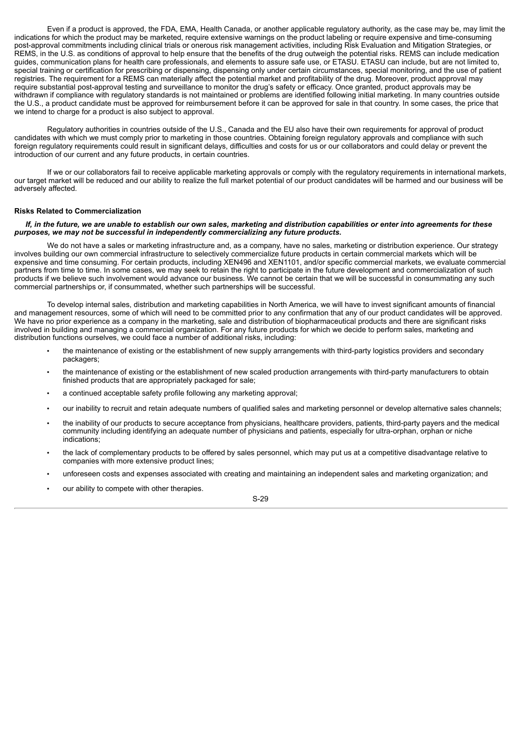Even if a product is approved, the FDA, EMA, Health Canada, or another applicable regulatory authority, as the case may be, may limit the indications for which the product may be marketed, require extensive warnings on the product labeling or require expensive and time-consuming post-approval commitments including clinical trials or onerous risk management activities, including Risk Evaluation and Mitigation Strategies, or REMS, in the U.S. as conditions of approval to help ensure that the benefits of the drug outweigh the potential risks. REMS can include medication guides, communication plans for health care professionals, and elements to assure safe use, or ETASU. ETASU can include, but are not limited to, special training or certification for prescribing or dispensing, dispensing only under certain circumstances, special monitoring, and the use of patient registries. The requirement for a REMS can materially affect the potential market and profitability of the drug. Moreover, product approval may require substantial post-approval testing and surveillance to monitor the drug's safety or efficacy. Once granted, product approvals may be withdrawn if compliance with regulatory standards is not maintained or problems are identified following initial marketing. In many countries outside the U.S., a product candidate must be approved for reimbursement before it can be approved for sale in that country. In some cases, the price that we intend to charge for a product is also subject to approval.

Regulatory authorities in countries outside of the U.S., Canada and the EU also have their own requirements for approval of product candidates with which we must comply prior to marketing in those countries. Obtaining foreign regulatory approvals and compliance with such foreign regulatory requirements could result in significant delays, difficulties and costs for us or our collaborators and could delay or prevent the introduction of our current and any future products, in certain countries.

If we or our collaborators fail to receive applicable marketing approvals or comply with the regulatory requirements in international markets, our target market will be reduced and our ability to realize the full market potential of our product candidates will be harmed and our business will be adversely affected.

#### **Risks Related to Commercialization**

## If, in the future, we are unable to establish our own sales, marketing and distribution capabilities or enter into agreements for these *purposes, we may not be successful in independently commercializing any future products.*

We do not have a sales or marketing infrastructure and, as a company, have no sales, marketing or distribution experience. Our strategy involves building our own commercial infrastructure to selectively commercialize future products in certain commercial markets which will be expensive and time consuming. For certain products, including XEN496 and XEN1101, and/or specific commercial markets, we evaluate commercial partners from time to time. In some cases, we may seek to retain the right to participate in the future development and commercialization of such products if we believe such involvement would advance our business. We cannot be certain that we will be successful in consummating any such commercial partnerships or, if consummated, whether such partnerships will be successful.

To develop internal sales, distribution and marketing capabilities in North America, we will have to invest significant amounts of financial and management resources, some of which will need to be committed prior to any confirmation that any of our product candidates will be approved. We have no prior experience as a company in the marketing, sale and distribution of biopharmaceutical products and there are significant risks involved in building and managing a commercial organization. For any future products for which we decide to perform sales, marketing and distribution functions ourselves, we could face a number of additional risks, including:

- the maintenance of existing or the establishment of new supply arrangements with third-party logistics providers and secondary packagers;
- the maintenance of existing or the establishment of new scaled production arrangements with third-party manufacturers to obtain finished products that are appropriately packaged for sale;
- a continued acceptable safety profile following any marketing approval;
- our inability to recruit and retain adequate numbers of qualified sales and marketing personnel or develop alternative sales channels;
- the inability of our products to secure acceptance from physicians, healthcare providers, patients, third-party payers and the medical community including identifying an adequate number of physicians and patients, especially for ultra-orphan, orphan or niche indications;
- the lack of complementary products to be offered by sales personnel, which may put us at a competitive disadvantage relative to companies with more extensive product lines;
- unforeseen costs and expenses associated with creating and maintaining an independent sales and marketing organization; and
- our ability to compete with other therapies.

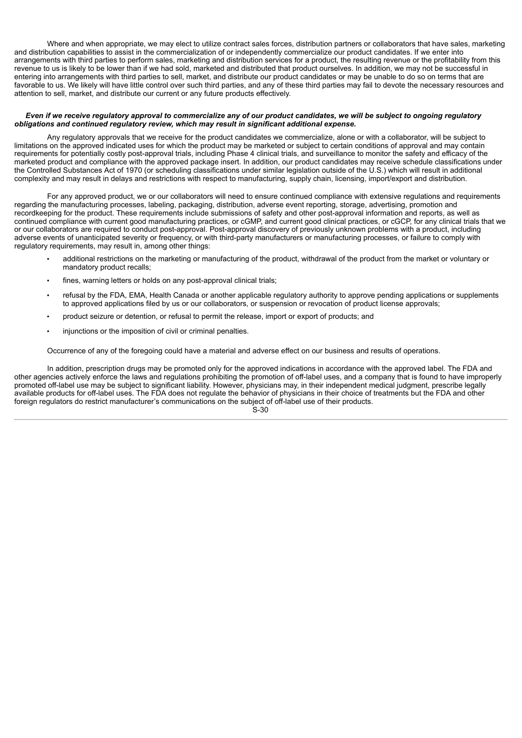Where and when appropriate, we may elect to utilize contract sales forces, distribution partners or collaborators that have sales, marketing and distribution capabilities to assist in the commercialization of or independently commercialize our product candidates. If we enter into arrangements with third parties to perform sales, marketing and distribution services for a product, the resulting revenue or the profitability from this revenue to us is likely to be lower than if we had sold, marketed and distributed that product ourselves. In addition, we may not be successful in entering into arrangements with third parties to sell, market, and distribute our product candidates or may be unable to do so on terms that are favorable to us. We likely will have little control over such third parties, and any of these third parties may fail to devote the necessary resources and attention to sell, market, and distribute our current or any future products effectively.

## Even if we receive regulatory approval to commercialize any of our product candidates, we will be subject to ongoing regulatory *obligations and continued regulatory review, which may result in significant additional expense.*

Any regulatory approvals that we receive for the product candidates we commercialize, alone or with a collaborator, will be subject to limitations on the approved indicated uses for which the product may be marketed or subject to certain conditions of approval and may contain requirements for potentially costly post-approval trials, including Phase 4 clinical trials, and surveillance to monitor the safety and efficacy of the marketed product and compliance with the approved package insert. In addition, our product candidates may receive schedule classifications under the Controlled Substances Act of 1970 (or scheduling classifications under similar legislation outside of the U.S.) which will result in additional complexity and may result in delays and restrictions with respect to manufacturing, supply chain, licensing, import/export and distribution.

For any approved product, we or our collaborators will need to ensure continued compliance with extensive regulations and requirements regarding the manufacturing processes, labeling, packaging, distribution, adverse event reporting, storage, advertising, promotion and recordkeeping for the product. These requirements include submissions of safety and other post-approval information and reports, as well as continued compliance with current good manufacturing practices, or cGMP, and current good clinical practices, or cGCP, for any clinical trials that we or our collaborators are required to conduct post-approval. Post-approval discovery of previously unknown problems with a product, including adverse events of unanticipated severity or frequency, or with third-party manufacturers or manufacturing processes, or failure to comply with regulatory requirements, may result in, among other things:

- additional restrictions on the marketing or manufacturing of the product, withdrawal of the product from the market or voluntary or mandatory product recalls;
- fines, warning letters or holds on any post-approval clinical trials;
- refusal by the FDA, EMA, Health Canada or another applicable regulatory authority to approve pending applications or supplements to approved applications filed by us or our collaborators, or suspension or revocation of product license approvals;
- product seizure or detention, or refusal to permit the release, import or export of products; and
- injunctions or the imposition of civil or criminal penalties.

Occurrence of any of the foregoing could have a material and adverse effect on our business and results of operations.

In addition, prescription drugs may be promoted only for the approved indications in accordance with the approved label. The FDA and other agencies actively enforce the laws and regulations prohibiting the promotion of off-label uses, and a company that is found to have improperly promoted off-label use may be subject to significant liability. However, physicians may, in their independent medical judgment, prescribe legally available products for off-label uses. The FDA does not regulate the behavior of physicians in their choice of treatments but the FDA and other foreign regulators do restrict manufacturer's communications on the subject of off-label use of their products.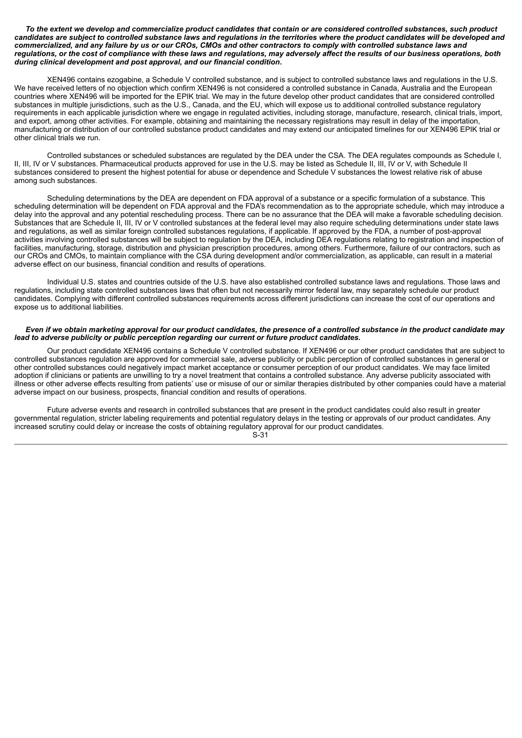#### To the extent we develop and commercialize product candidates that contain or are considered controlled substances, such product candidates are subject to controlled substance laws and regulations in the territories where the product candidates will be developed and commercialized, and any failure by us or our CROs, CMOs and other contractors to comply with controlled substance laws and regulations, or the cost of compliance with these laws and regulations, may adversely affect the results of our business operations, both *during clinical development and post approval, and our financial condition***.**

XEN496 contains ezogabine, a Schedule V controlled substance, and is subject to controlled substance laws and regulations in the U.S. We have received letters of no objection which confirm XEN496 is not considered a controlled substance in Canada, Australia and the European countries where XEN496 will be imported for the EPIK trial. We may in the future develop other product candidates that are considered controlled substances in multiple jurisdictions, such as the U.S., Canada, and the EU, which will expose us to additional controlled substance regulatory requirements in each applicable jurisdiction where we engage in regulated activities, including storage, manufacture, research, clinical trials, import, and export, among other activities. For example, obtaining and maintaining the necessary registrations may result in delay of the importation, manufacturing or distribution of our controlled substance product candidates and may extend our anticipated timelines for our XEN496 EPIK trial or other clinical trials we run.

Controlled substances or scheduled substances are regulated by the DEA under the CSA. The DEA regulates compounds as Schedule I, II, III, IV or V substances. Pharmaceutical products approved for use in the U.S. may be listed as Schedule II, III, IV or V, with Schedule II substances considered to present the highest potential for abuse or dependence and Schedule V substances the lowest relative risk of abuse among such substances.

Scheduling determinations by the DEA are dependent on FDA approval of a substance or a specific formulation of a substance. This scheduling determination will be dependent on FDA approval and the FDA's recommendation as to the appropriate schedule, which may introduce a delay into the approval and any potential rescheduling process. There can be no assurance that the DEA will make a favorable scheduling decision. Substances that are Schedule II, III, IV or V controlled substances at the federal level may also require scheduling determinations under state laws and regulations, as well as similar foreign controlled substances regulations, if applicable. If approved by the FDA, a number of post-approval activities involving controlled substances will be subject to regulation by the DEA, including DEA regulations relating to registration and inspection of facilities, manufacturing, storage, distribution and physician prescription procedures, among others. Furthermore, failure of our contractors, such as our CROs and CMOs, to maintain compliance with the CSA during development and/or commercialization, as applicable, can result in a material adverse effect on our business, financial condition and results of operations.

Individual U.S. states and countries outside of the U.S. have also established controlled substance laws and regulations. Those laws and regulations, including state controlled substances laws that often but not necessarily mirror federal law, may separately schedule our product candidates. Complying with different controlled substances requirements across different jurisdictions can increase the cost of our operations and expose us to additional liabilities.

## Even if we obtain marketing approval for our product candidates, the presence of a controlled substance in the product candidate may *lead to adverse publicity or public perception regarding our current or future product candidates.*

Our product candidate XEN496 contains a Schedule V controlled substance. If XEN496 or our other product candidates that are subject to controlled substances regulation are approved for commercial sale, adverse publicity or public perception of controlled substances in general or other controlled substances could negatively impact market acceptance or consumer perception of our product candidates. We may face limited adoption if clinicians or patients are unwilling to try a novel treatment that contains a controlled substance. Any adverse publicity associated with illness or other adverse effects resulting from patients' use or misuse of our or similar therapies distributed by other companies could have a material adverse impact on our business, prospects, financial condition and results of operations.

Future adverse events and research in controlled substances that are present in the product candidates could also result in greater governmental regulation, stricter labeling requirements and potential regulatory delays in the testing or approvals of our product candidates. Any increased scrutiny could delay or increase the costs of obtaining regulatory approval for our product candidates.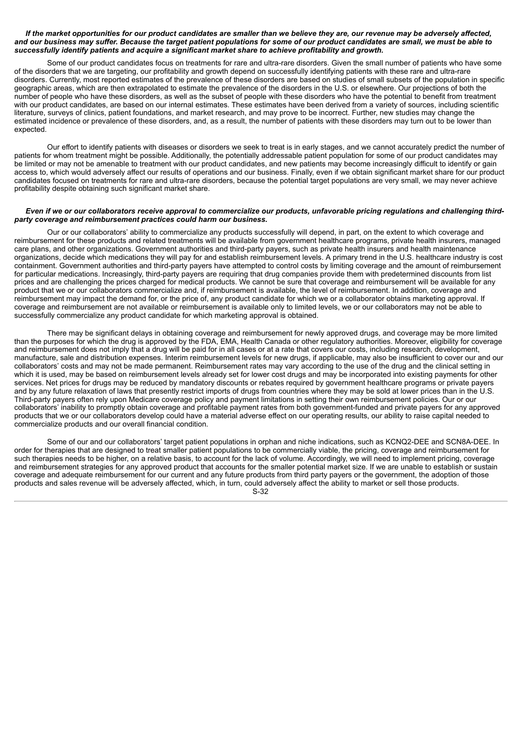#### If the market opportunities for our product candidates are smaller than we believe they are, our revenue may be adversely affected, and our business may suffer. Because the target patient populations for some of our product candidates are small, we must be able to *successfully identify patients and acquire a significant market share to achieve profitability and growth.*

Some of our product candidates focus on treatments for rare and ultra-rare disorders. Given the small number of patients who have some of the disorders that we are targeting, our profitability and growth depend on successfully identifying patients with these rare and ultra-rare disorders. Currently, most reported estimates of the prevalence of these disorders are based on studies of small subsets of the population in specific geographic areas, which are then extrapolated to estimate the prevalence of the disorders in the U.S. or elsewhere. Our projections of both the number of people who have these disorders, as well as the subset of people with these disorders who have the potential to benefit from treatment with our product candidates, are based on our internal estimates. These estimates have been derived from a variety of sources, including scientific literature, surveys of clinics, patient foundations, and market research, and may prove to be incorrect. Further, new studies may change the estimated incidence or prevalence of these disorders, and, as a result, the number of patients with these disorders may turn out to be lower than expected.

Our effort to identify patients with diseases or disorders we seek to treat is in early stages, and we cannot accurately predict the number of patients for whom treatment might be possible. Additionally, the potentially addressable patient population for some of our product candidates may be limited or may not be amenable to treatment with our product candidates, and new patients may become increasingly difficult to identify or gain access to, which would adversely affect our results of operations and our business. Finally, even if we obtain significant market share for our product candidates focused on treatments for rare and ultra-rare disorders, because the potential target populations are very small, we may never achieve profitability despite obtaining such significant market share.

#### Even if we or our collaborators receive approval to commercialize our products, unfavorable pricing regulations and challenging third*party coverage and reimbursement practices could harm our business.*

Our or our collaborators' ability to commercialize any products successfully will depend, in part, on the extent to which coverage and reimbursement for these products and related treatments will be available from government healthcare programs, private health insurers, managed care plans, and other organizations. Government authorities and third-party payers, such as private health insurers and health maintenance organizations, decide which medications they will pay for and establish reimbursement levels. A primary trend in the U.S. healthcare industry is cost containment. Government authorities and third-party payers have attempted to control costs by limiting coverage and the amount of reimbursement for particular medications. Increasingly, third-party payers are requiring that drug companies provide them with predetermined discounts from list prices and are challenging the prices charged for medical products. We cannot be sure that coverage and reimbursement will be available for any product that we or our collaborators commercialize and, if reimbursement is available, the level of reimbursement. In addition, coverage and reimbursement may impact the demand for, or the price of, any product candidate for which we or a collaborator obtains marketing approval. If coverage and reimbursement are not available or reimbursement is available only to limited levels, we or our collaborators may not be able to successfully commercialize any product candidate for which marketing approval is obtained.

There may be significant delays in obtaining coverage and reimbursement for newly approved drugs, and coverage may be more limited than the purposes for which the drug is approved by the FDA, EMA, Health Canada or other regulatory authorities. Moreover, eligibility for coverage and reimbursement does not imply that a drug will be paid for in all cases or at a rate that covers our costs, including research, development, manufacture, sale and distribution expenses. Interim reimbursement levels for new drugs, if applicable, may also be insufficient to cover our and our collaborators' costs and may not be made permanent. Reimbursement rates may vary according to the use of the drug and the clinical setting in which it is used, may be based on reimbursement levels already set for lower cost drugs and may be incorporated into existing payments for other services. Net prices for drugs may be reduced by mandatory discounts or rebates required by government healthcare programs or private payers and by any future relaxation of laws that presently restrict imports of drugs from countries where they may be sold at lower prices than in the U.S. Third-party payers often rely upon Medicare coverage policy and payment limitations in setting their own reimbursement policies. Our or our collaborators' inability to promptly obtain coverage and profitable payment rates from both government-funded and private payers for any approved products that we or our collaborators develop could have a material adverse effect on our operating results, our ability to raise capital needed to commercialize products and our overall financial condition.

Some of our and our collaborators' target patient populations in orphan and niche indications, such as KCNQ2-DEE and SCN8A-DEE. In order for therapies that are designed to treat smaller patient populations to be commercially viable, the pricing, coverage and reimbursement for such therapies needs to be higher, on a relative basis, to account for the lack of volume. Accordingly, we will need to implement pricing, coverage and reimbursement strategies for any approved product that accounts for the smaller potential market size. If we are unable to establish or sustain coverage and adequate reimbursement for our current and any future products from third party payers or the government, the adoption of those products and sales revenue will be adversely affected, which, in turn, could adversely affect the ability to market or sell those products. S-32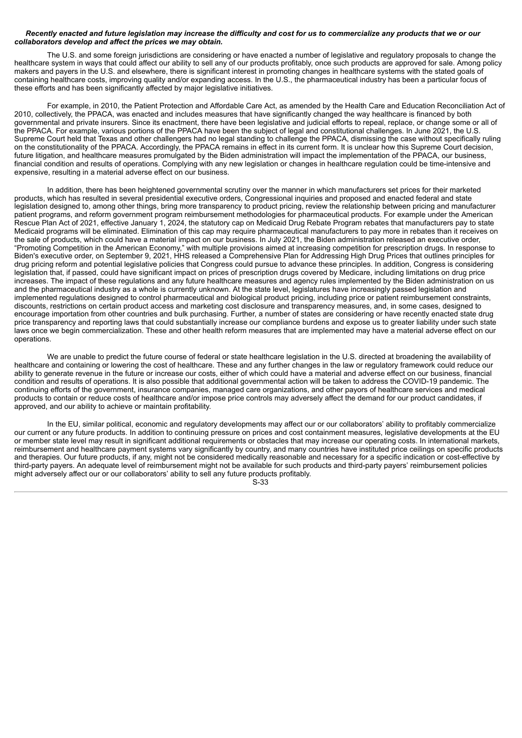## Recently enacted and future legislation may increase the difficulty and cost for us to commercialize any products that we or our *collaborators develop and affect the prices we may obtain.*

The U.S. and some foreign jurisdictions are considering or have enacted a number of legislative and regulatory proposals to change the healthcare system in ways that could affect our ability to sell any of our products profitably, once such products are approved for sale. Among policy makers and payers in the U.S. and elsewhere, there is significant interest in promoting changes in healthcare systems with the stated goals of containing healthcare costs, improving quality and/or expanding access. In the U.S., the pharmaceutical industry has been a particular focus of these efforts and has been significantly affected by major legislative initiatives.

For example, in 2010, the Patient Protection and Affordable Care Act, as amended by the Health Care and Education Reconciliation Act of 2010, collectively, the PPACA, was enacted and includes measures that have significantly changed the way healthcare is financed by both governmental and private insurers. Since its enactment, there have been legislative and judicial efforts to repeal, replace, or change some or all of the PPACA. For example, various portions of the PPACA have been the subject of legal and constitutional challenges. In June 2021, the U.S. Supreme Court held that Texas and other challengers had no legal standing to challenge the PPACA, dismissing the case without specifically ruling on the constitutionality of the PPACA. Accordingly, the PPACA remains in effect in its current form. It is unclear how this Supreme Court decision, future litigation, and healthcare measures promulgated by the Biden administration will impact the implementation of the PPACA, our business, financial condition and results of operations. Complying with any new legislation or changes in healthcare regulation could be time-intensive and expensive, resulting in a material adverse effect on our business.

In addition, there has been heightened governmental scrutiny over the manner in which manufacturers set prices for their marketed products, which has resulted in several presidential executive orders, Congressional inquiries and proposed and enacted federal and state legislation designed to, among other things, bring more transparency to product pricing, review the relationship between pricing and manufacturer patient programs, and reform government program reimbursement methodologies for pharmaceutical products. For example under the American Rescue Plan Act of 2021, effective January 1, 2024, the statutory cap on Medicaid Drug Rebate Program rebates that manufacturers pay to state Medicaid programs will be eliminated. Elimination of this cap may require pharmaceutical manufacturers to pay more in rebates than it receives on the sale of products, which could have a material impact on our business. In July 2021, the Biden administration released an executive order, "Promoting Competition in the American Economy," with multiple provisions aimed at increasing competition for prescription drugs. In response to Biden's executive order, on September 9, 2021, HHS released a Comprehensive Plan for Addressing High Drug Prices that outlines principles for drug pricing reform and potential legislative policies that Congress could pursue to advance these principles. In addition, Congress is considering legislation that, if passed, could have significant impact on prices of prescription drugs covered by Medicare, including limitations on drug price increases. The impact of these regulations and any future healthcare measures and agency rules implemented by the Biden administration on us and the pharmaceutical industry as a whole is currently unknown. At the state level, legislatures have increasingly passed legislation and implemented regulations designed to control pharmaceutical and biological product pricing, including price or patient reimbursement constraints, discounts, restrictions on certain product access and marketing cost disclosure and transparency measures, and, in some cases, designed to encourage importation from other countries and bulk purchasing. Further, a number of states are considering or have recently enacted state drug price transparency and reporting laws that could substantially increase our compliance burdens and expose us to greater liability under such state laws once we begin commercialization. These and other health reform measures that are implemented may have a material adverse effect on our operations.

We are unable to predict the future course of federal or state healthcare legislation in the U.S. directed at broadening the availability of healthcare and containing or lowering the cost of healthcare. These and any further changes in the law or regulatory framework could reduce our ability to generate revenue in the future or increase our costs, either of which could have a material and adverse effect on our business, financial condition and results of operations. It is also possible that additional governmental action will be taken to address the COVID-19 pandemic. The continuing efforts of the government, insurance companies, managed care organizations, and other payors of healthcare services and medical products to contain or reduce costs of healthcare and/or impose price controls may adversely affect the demand for our product candidates, if approved, and our ability to achieve or maintain profitability.

In the EU, similar political, economic and regulatory developments may affect our or our collaborators' ability to profitably commercialize our current or any future products. In addition to continuing pressure on prices and cost containment measures, legislative developments at the EU or member state level may result in significant additional requirements or obstacles that may increase our operating costs. In international markets, reimbursement and healthcare payment systems vary significantly by country, and many countries have instituted price ceilings on specific products and therapies. Our future products, if any, might not be considered medically reasonable and necessary for a specific indication or cost-effective by third-party payers. An adequate level of reimbursement might not be available for such products and third-party payers' reimbursement policies might adversely affect our or our collaborators' ability to sell any future products profitably. S-33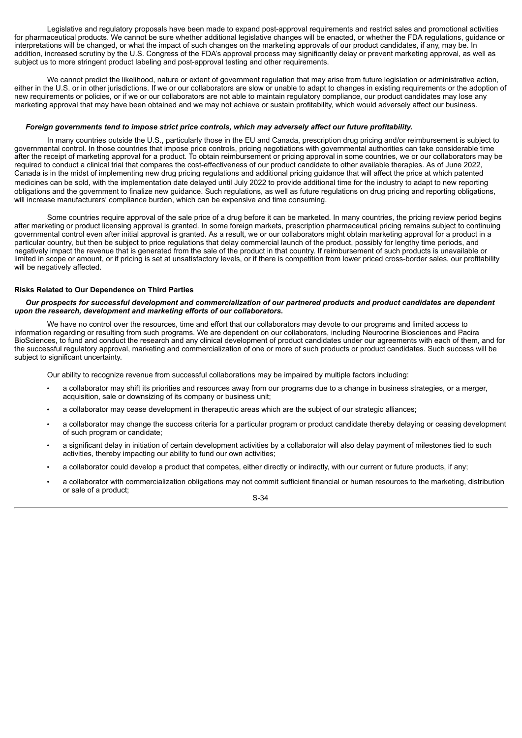Legislative and regulatory proposals have been made to expand post-approval requirements and restrict sales and promotional activities for pharmaceutical products. We cannot be sure whether additional legislative changes will be enacted, or whether the FDA regulations, guidance or interpretations will be changed, or what the impact of such changes on the marketing approvals of our product candidates, if any, may be. In addition, increased scrutiny by the U.S. Congress of the FDA's approval process may significantly delay or prevent marketing approval, as well as subject us to more stringent product labeling and post-approval testing and other requirements.

We cannot predict the likelihood, nature or extent of government regulation that may arise from future legislation or administrative action, either in the U.S. or in other jurisdictions. If we or our collaborators are slow or unable to adapt to changes in existing requirements or the adoption of new requirements or policies, or if we or our collaborators are not able to maintain regulatory compliance, our product candidates may lose any marketing approval that may have been obtained and we may not achieve or sustain profitability, which would adversely affect our business.

#### *Foreign governments tend to impose strict price controls, which may adversely affect our future profitability.*

In many countries outside the U.S., particularly those in the EU and Canada, prescription drug pricing and/or reimbursement is subject to governmental control. In those countries that impose price controls, pricing negotiations with governmental authorities can take considerable time after the receipt of marketing approval for a product. To obtain reimbursement or pricing approval in some countries, we or our collaborators may be required to conduct a clinical trial that compares the cost-effectiveness of our product candidate to other available therapies. As of June 2022, Canada is in the midst of implementing new drug pricing regulations and additional pricing guidance that will affect the price at which patented medicines can be sold, with the implementation date delayed until July 2022 to provide additional time for the industry to adapt to new reporting obligations and the government to finalize new guidance. Such regulations, as well as future regulations on drug pricing and reporting obligations, will increase manufacturers' compliance burden, which can be expensive and time consuming.

Some countries require approval of the sale price of a drug before it can be marketed. In many countries, the pricing review period begins after marketing or product licensing approval is granted. In some foreign markets, prescription pharmaceutical pricing remains subject to continuing governmental control even after initial approval is granted. As a result, we or our collaborators might obtain marketing approval for a product in a particular country, but then be subject to price regulations that delay commercial launch of the product, possibly for lengthy time periods, and negatively impact the revenue that is generated from the sale of the product in that country. If reimbursement of such products is unavailable or limited in scope or amount, or if pricing is set at unsatisfactory levels, or if there is competition from lower priced cross-border sales, our profitability will be negatively affected.

## **Risks Related to Our Dependence on Third Parties**

## Our prospects for successful development and commercialization of our partnered products and product candidates are dependent *upon the research, development and marketing efforts of our collaborators.*

We have no control over the resources, time and effort that our collaborators may devote to our programs and limited access to information regarding or resulting from such programs. We are dependent on our collaborators, including Neurocrine Biosciences and Pacira BioSciences, to fund and conduct the research and any clinical development of product candidates under our agreements with each of them, and for the successful regulatory approval, marketing and commercialization of one or more of such products or product candidates. Such success will be subject to significant uncertainty.

Our ability to recognize revenue from successful collaborations may be impaired by multiple factors including:

- a collaborator may shift its priorities and resources away from our programs due to a change in business strategies, or a merger, acquisition, sale or downsizing of its company or business unit;
- a collaborator may cease development in therapeutic areas which are the subject of our strategic alliances;
- a collaborator may change the success criteria for a particular program or product candidate thereby delaying or ceasing development of such program or candidate;
- a significant delay in initiation of certain development activities by a collaborator will also delay payment of milestones tied to such activities, thereby impacting our ability to fund our own activities;
- a collaborator could develop a product that competes, either directly or indirectly, with our current or future products, if any:
- a collaborator with commercialization obligations may not commit sufficient financial or human resources to the marketing, distribution or sale of a product;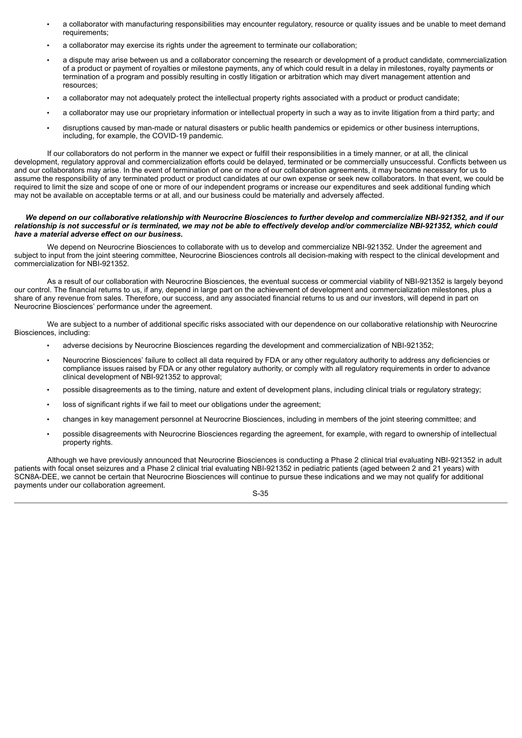- a collaborator with manufacturing responsibilities may encounter regulatory, resource or quality issues and be unable to meet demand requirements;
- a collaborator may exercise its rights under the agreement to terminate our collaboration;
- a dispute may arise between us and a collaborator concerning the research or development of a product candidate, commercialization of a product or payment of royalties or milestone payments, any of which could result in a delay in milestones, royalty payments or termination of a program and possibly resulting in costly litigation or arbitration which may divert management attention and resources;
- a collaborator may not adequately protect the intellectual property rights associated with a product or product candidate;
- a collaborator may use our proprietary information or intellectual property in such a way as to invite litigation from a third party; and
- disruptions caused by man-made or natural disasters or public health pandemics or epidemics or other business interruptions, including, for example, the COVID-19 pandemic.

If our collaborators do not perform in the manner we expect or fulfill their responsibilities in a timely manner, or at all, the clinical development, regulatory approval and commercialization efforts could be delayed, terminated or be commercially unsuccessful. Conflicts between us and our collaborators may arise. In the event of termination of one or more of our collaboration agreements, it may become necessary for us to assume the responsibility of any terminated product or product candidates at our own expense or seek new collaborators. In that event, we could be required to limit the size and scope of one or more of our independent programs or increase our expenditures and seek additional funding which may not be available on acceptable terms or at all, and our business could be materially and adversely affected.

#### We depend on our collaborative relationship with Neurocrine Biosciences to further develop and commercialize NBI-921352, and if our relationship is not successful or is terminated, we may not be able to effectively develop and/or commercialize NBI-921352, which could *have a material adverse effect on our business.*

We depend on Neurocrine Biosciences to collaborate with us to develop and commercialize NBI-921352. Under the agreement and subject to input from the joint steering committee, Neurocrine Biosciences controls all decision-making with respect to the clinical development and commercialization for NBI-921352.

As a result of our collaboration with Neurocrine Biosciences, the eventual success or commercial viability of NBI-921352 is largely beyond our control. The financial returns to us, if any, depend in large part on the achievement of development and commercialization milestones, plus a share of any revenue from sales. Therefore, our success, and any associated financial returns to us and our investors, will depend in part on Neurocrine Biosciences' performance under the agreement.

We are subject to a number of additional specific risks associated with our dependence on our collaborative relationship with Neurocrine Biosciences, including:

- adverse decisions by Neurocrine Biosciences regarding the development and commercialization of NBI-921352;
- Neurocrine Biosciences' failure to collect all data required by FDA or any other regulatory authority to address any deficiencies or compliance issues raised by FDA or any other regulatory authority, or comply with all regulatory requirements in order to advance clinical development of NBI-921352 to approval;
- possible disagreements as to the timing, nature and extent of development plans, including clinical trials or regulatory strategy;
- loss of significant rights if we fail to meet our obligations under the agreement;
- changes in key management personnel at Neurocrine Biosciences, including in members of the joint steering committee; and
- possible disagreements with Neurocrine Biosciences regarding the agreement, for example, with regard to ownership of intellectual property rights.

Although we have previously announced that Neurocrine Biosciences is conducting a Phase 2 clinical trial evaluating NBI-921352 in adult patients with focal onset seizures and a Phase 2 clinical trial evaluating NBI-921352 in pediatric patients (aged between 2 and 21 years) with SCN8A-DEE, we cannot be certain that Neurocrine Biosciences will continue to pursue these indications and we may not qualify for additional payments under our collaboration agreement.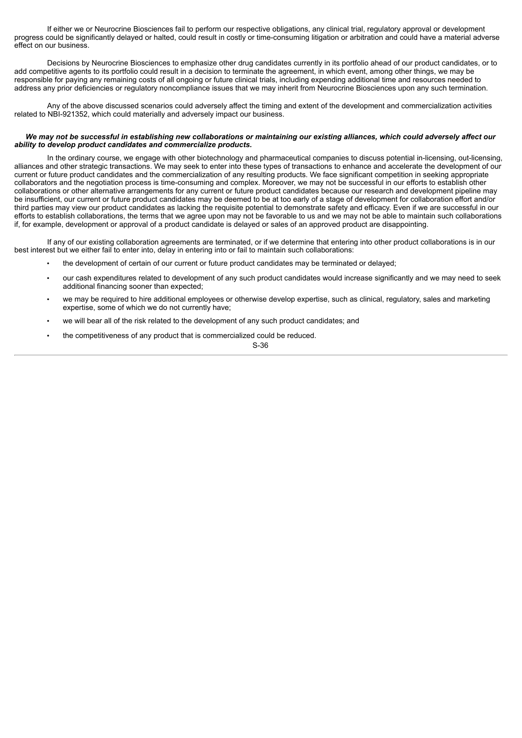If either we or Neurocrine Biosciences fail to perform our respective obligations, any clinical trial, regulatory approval or development progress could be significantly delayed or halted, could result in costly or time-consuming litigation or arbitration and could have a material adverse effect on our business.

Decisions by Neurocrine Biosciences to emphasize other drug candidates currently in its portfolio ahead of our product candidates, or to add competitive agents to its portfolio could result in a decision to terminate the agreement, in which event, among other things, we may be responsible for paying any remaining costs of all ongoing or future clinical trials, including expending additional time and resources needed to address any prior deficiencies or regulatory noncompliance issues that we may inherit from Neurocrine Biosciences upon any such termination.

Any of the above discussed scenarios could adversely affect the timing and extent of the development and commercialization activities related to NBI-921352, which could materially and adversely impact our business.

# We may not be successful in establishing new collaborations or maintaining our existing alliances, which could adversely affect our *ability to develop product candidates and commercialize products.*

In the ordinary course, we engage with other biotechnology and pharmaceutical companies to discuss potential in-licensing, out-licensing, alliances and other strategic transactions. We may seek to enter into these types of transactions to enhance and accelerate the development of our current or future product candidates and the commercialization of any resulting products. We face significant competition in seeking appropriate collaborators and the negotiation process is time-consuming and complex. Moreover, we may not be successful in our efforts to establish other collaborations or other alternative arrangements for any current or future product candidates because our research and development pipeline may be insufficient, our current or future product candidates may be deemed to be at too early of a stage of development for collaboration effort and/or third parties may view our product candidates as lacking the requisite potential to demonstrate safety and efficacy. Even if we are successful in our efforts to establish collaborations, the terms that we agree upon may not be favorable to us and we may not be able to maintain such collaborations if, for example, development or approval of a product candidate is delayed or sales of an approved product are disappointing.

If any of our existing collaboration agreements are terminated, or if we determine that entering into other product collaborations is in our best interest but we either fail to enter into, delay in entering into or fail to maintain such collaborations:

- the development of certain of our current or future product candidates may be terminated or delayed;
- our cash expenditures related to development of any such product candidates would increase significantly and we may need to seek additional financing sooner than expected;
- we may be required to hire additional employees or otherwise develop expertise, such as clinical, regulatory, sales and marketing expertise, some of which we do not currently have;
- we will bear all of the risk related to the development of any such product candidates; and
- the competitiveness of any product that is commercialized could be reduced.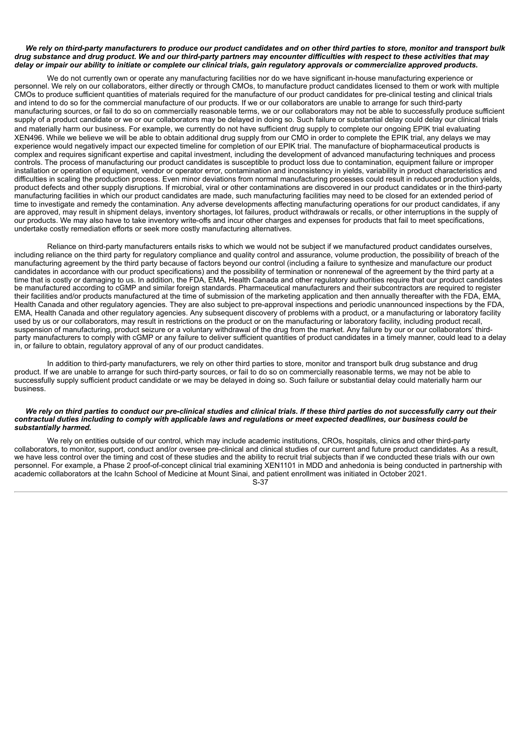## We rely on third-party manufacturers to produce our product candidates and on other third parties to store, monitor and transport bulk drug substance and drug product. We and our third-party partners may encounter difficulties with respect to these activities that may delay or impair our ability to initiate or complete our clinical trials, gain regulatory approvals or commercialize approved products.

We do not currently own or operate any manufacturing facilities nor do we have significant in-house manufacturing experience or personnel. We rely on our collaborators, either directly or through CMOs, to manufacture product candidates licensed to them or work with multiple CMOs to produce sufficient quantities of materials required for the manufacture of our product candidates for pre-clinical testing and clinical trials and intend to do so for the commercial manufacture of our products. If we or our collaborators are unable to arrange for such third-party manufacturing sources, or fail to do so on commercially reasonable terms, we or our collaborators may not be able to successfully produce sufficient supply of a product candidate or we or our collaborators may be delayed in doing so. Such failure or substantial delay could delay our clinical trials and materially harm our business. For example, we currently do not have sufficient drug supply to complete our ongoing EPIK trial evaluating XEN496. While we believe we will be able to obtain additional drug supply from our CMO in order to complete the EPIK trial, any delays we may experience would negatively impact our expected timeline for completion of our EPIK trial. The manufacture of biopharmaceutical products is complex and requires significant expertise and capital investment, including the development of advanced manufacturing techniques and process controls. The process of manufacturing our product candidates is susceptible to product loss due to contamination, equipment failure or improper installation or operation of equipment, vendor or operator error, contamination and inconsistency in yields, variability in product characteristics and difficulties in scaling the production process. Even minor deviations from normal manufacturing processes could result in reduced production yields, product defects and other supply disruptions. If microbial, viral or other contaminations are discovered in our product candidates or in the third-party manufacturing facilities in which our product candidates are made, such manufacturing facilities may need to be closed for an extended period of time to investigate and remedy the contamination. Any adverse developments affecting manufacturing operations for our product candidates, if any are approved, may result in shipment delays, inventory shortages, lot failures, product withdrawals or recalls, or other interruptions in the supply of our products. We may also have to take inventory write-offs and incur other charges and expenses for products that fail to meet specifications, undertake costly remediation efforts or seek more costly manufacturing alternatives.

Reliance on third-party manufacturers entails risks to which we would not be subject if we manufactured product candidates ourselves, including reliance on the third party for regulatory compliance and quality control and assurance, volume production, the possibility of breach of the manufacturing agreement by the third party because of factors beyond our control (including a failure to synthesize and manufacture our product candidates in accordance with our product specifications) and the possibility of termination or nonrenewal of the agreement by the third party at a time that is costly or damaging to us. In addition, the FDA, EMA, Health Canada and other regulatory authorities require that our product candidates be manufactured according to cGMP and similar foreign standards. Pharmaceutical manufacturers and their subcontractors are required to register their facilities and/or products manufactured at the time of submission of the marketing application and then annually thereafter with the FDA, EMA, Health Canada and other regulatory agencies. They are also subject to pre-approval inspections and periodic unannounced inspections by the FDA, EMA, Health Canada and other regulatory agencies. Any subsequent discovery of problems with a product, or a manufacturing or laboratory facility used by us or our collaborators, may result in restrictions on the product or on the manufacturing or laboratory facility, including product recall, suspension of manufacturing, product seizure or a voluntary withdrawal of the drug from the market. Any failure by our or our collaborators' thirdparty manufacturers to comply with cGMP or any failure to deliver sufficient quantities of product candidates in a timely manner, could lead to a delay in, or failure to obtain, regulatory approval of any of our product candidates.

In addition to third-party manufacturers, we rely on other third parties to store, monitor and transport bulk drug substance and drug product. If we are unable to arrange for such third-party sources, or fail to do so on commercially reasonable terms, we may not be able to successfully supply sufficient product candidate or we may be delayed in doing so. Such failure or substantial delay could materially harm our business.

#### We rely on third parties to conduct our pre-clinical studies and clinical trials. If these third parties do not successfully carry out their contractual duties including to comply with applicable laws and regulations or meet expected deadlines, our business could be *substantially harmed.*

We rely on entities outside of our control, which may include academic institutions, CROs, hospitals, clinics and other third-party collaborators, to monitor, support, conduct and/or oversee pre-clinical and clinical studies of our current and future product candidates. As a result, we have less control over the timing and cost of these studies and the ability to recruit trial subjects than if we conducted these trials with our own personnel. For example, a Phase 2 proof-of-concept clinical trial examining XEN1101 in MDD and anhedonia is being conducted in partnership with academic collaborators at the Icahn School of Medicine at Mount Sinai, and patient enrollment was initiated in October 2021.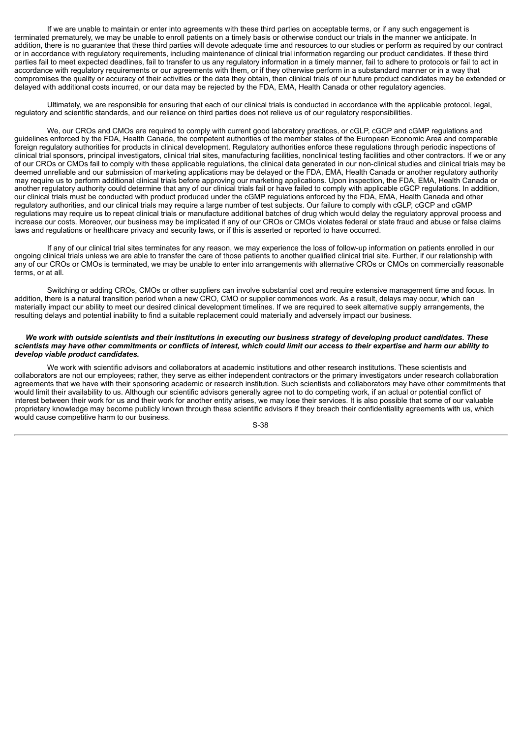If we are unable to maintain or enter into agreements with these third parties on acceptable terms, or if any such engagement is terminated prematurely, we may be unable to enroll patients on a timely basis or otherwise conduct our trials in the manner we anticipate. In addition, there is no guarantee that these third parties will devote adequate time and resources to our studies or perform as required by our contract or in accordance with regulatory requirements, including maintenance of clinical trial information regarding our product candidates. If these third parties fail to meet expected deadlines, fail to transfer to us any regulatory information in a timely manner, fail to adhere to protocols or fail to act in accordance with regulatory requirements or our agreements with them, or if they otherwise perform in a substandard manner or in a way that compromises the quality or accuracy of their activities or the data they obtain, then clinical trials of our future product candidates may be extended or delayed with additional costs incurred, or our data may be rejected by the FDA, EMA, Health Canada or other regulatory agencies.

Ultimately, we are responsible for ensuring that each of our clinical trials is conducted in accordance with the applicable protocol, legal, regulatory and scientific standards, and our reliance on third parties does not relieve us of our regulatory responsibilities.

We, our CROs and CMOs are required to comply with current good laboratory practices, or cGLP, cGCP and cGMP regulations and guidelines enforced by the FDA, Health Canada, the competent authorities of the member states of the European Economic Area and comparable foreign regulatory authorities for products in clinical development. Regulatory authorities enforce these regulations through periodic inspections of clinical trial sponsors, principal investigators, clinical trial sites, manufacturing facilities, nonclinical testing facilities and other contractors. If we or any of our CROs or CMOs fail to comply with these applicable regulations, the clinical data generated in our non-clinical studies and clinical trials may be deemed unreliable and our submission of marketing applications may be delayed or the FDA, EMA, Health Canada or another regulatory authority may require us to perform additional clinical trials before approving our marketing applications. Upon inspection, the FDA, EMA, Health Canada or another regulatory authority could determine that any of our clinical trials fail or have failed to comply with applicable cGCP regulations. In addition, our clinical trials must be conducted with product produced under the cGMP regulations enforced by the FDA, EMA, Health Canada and other regulatory authorities, and our clinical trials may require a large number of test subjects. Our failure to comply with cGLP, cGCP and cGMP regulations may require us to repeat clinical trials or manufacture additional batches of drug which would delay the regulatory approval process and increase our costs. Moreover, our business may be implicated if any of our CROs or CMOs violates federal or state fraud and abuse or false claims laws and regulations or healthcare privacy and security laws, or if this is asserted or reported to have occurred.

If any of our clinical trial sites terminates for any reason, we may experience the loss of follow-up information on patients enrolled in our ongoing clinical trials unless we are able to transfer the care of those patients to another qualified clinical trial site. Further, if our relationship with any of our CROs or CMOs is terminated, we may be unable to enter into arrangements with alternative CROs or CMOs on commercially reasonable terms, or at all.

Switching or adding CROs, CMOs or other suppliers can involve substantial cost and require extensive management time and focus. In addition, there is a natural transition period when a new CRO, CMO or supplier commences work. As a result, delays may occur, which can materially impact our ability to meet our desired clinical development timelines. If we are required to seek alternative supply arrangements, the resulting delays and potential inability to find a suitable replacement could materially and adversely impact our business.

### We work with outside scientists and their institutions in executing our business strategy of developing product candidates. These scientists may have other commitments or conflicts of interest, which could limit our access to their expertise and harm our ability to *develop viable product candidates.*

We work with scientific advisors and collaborators at academic institutions and other research institutions. These scientists and collaborators are not our employees; rather, they serve as either independent contractors or the primary investigators under research collaboration agreements that we have with their sponsoring academic or research institution. Such scientists and collaborators may have other commitments that would limit their availability to us. Although our scientific advisors generally agree not to do competing work, if an actual or potential conflict of interest between their work for us and their work for another entity arises, we may lose their services. It is also possible that some of our valuable proprietary knowledge may become publicly known through these scientific advisors if they breach their confidentiality agreements with us, which would cause competitive harm to our business.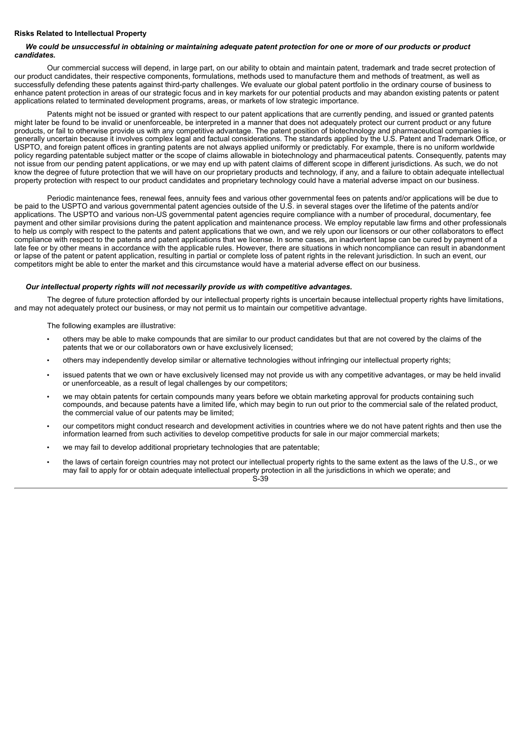# **Risks Related to Intellectual Property**

# We could be unsuccessful in obtaining or maintaining adequate patent protection for one or more of our products or product *candidates.*

Our commercial success will depend, in large part, on our ability to obtain and maintain patent, trademark and trade secret protection of our product candidates, their respective components, formulations, methods used to manufacture them and methods of treatment, as well as successfully defending these patents against third-party challenges. We evaluate our global patent portfolio in the ordinary course of business to enhance patent protection in areas of our strategic focus and in key markets for our potential products and may abandon existing patents or patent applications related to terminated development programs, areas, or markets of low strategic importance.

Patents might not be issued or granted with respect to our patent applications that are currently pending, and issued or granted patents might later be found to be invalid or unenforceable, be interpreted in a manner that does not adequately protect our current product or any future products, or fail to otherwise provide us with any competitive advantage. The patent position of biotechnology and pharmaceutical companies is generally uncertain because it involves complex legal and factual considerations. The standards applied by the U.S. Patent and Trademark Office, or USPTO, and foreign patent offices in granting patents are not always applied uniformly or predictably. For example, there is no uniform worldwide policy regarding patentable subject matter or the scope of claims allowable in biotechnology and pharmaceutical patents. Consequently, patents may not issue from our pending patent applications, or we may end up with patent claims of different scope in different jurisdictions. As such, we do not know the degree of future protection that we will have on our proprietary products and technology, if any, and a failure to obtain adequate intellectual property protection with respect to our product candidates and proprietary technology could have a material adverse impact on our business.

Periodic maintenance fees, renewal fees, annuity fees and various other governmental fees on patents and/or applications will be due to be paid to the USPTO and various governmental patent agencies outside of the U.S. in several stages over the lifetime of the patents and/or applications. The USPTO and various non-US governmental patent agencies require compliance with a number of procedural, documentary, fee payment and other similar provisions during the patent application and maintenance process. We employ reputable law firms and other professionals to help us comply with respect to the patents and patent applications that we own, and we rely upon our licensors or our other collaborators to effect compliance with respect to the patents and patent applications that we license. In some cases, an inadvertent lapse can be cured by payment of a late fee or by other means in accordance with the applicable rules. However, there are situations in which noncompliance can result in abandonment or lapse of the patent or patent application, resulting in partial or complete loss of patent rights in the relevant jurisdiction. In such an event, our competitors might be able to enter the market and this circumstance would have a material adverse effect on our business.

# *Our intellectual property rights will not necessarily provide us with competitive advantages.*

The degree of future protection afforded by our intellectual property rights is uncertain because intellectual property rights have limitations, and may not adequately protect our business, or may not permit us to maintain our competitive advantage.

The following examples are illustrative:

- others may be able to make compounds that are similar to our product candidates but that are not covered by the claims of the patents that we or our collaborators own or have exclusively licensed;
- others may independently develop similar or alternative technologies without infringing our intellectual property rights;
- issued patents that we own or have exclusively licensed may not provide us with any competitive advantages, or may be held invalid or unenforceable, as a result of legal challenges by our competitors;
- we may obtain patents for certain compounds many years before we obtain marketing approval for products containing such compounds, and because patents have a limited life, which may begin to run out prior to the commercial sale of the related product, the commercial value of our patents may be limited;
- our competitors might conduct research and development activities in countries where we do not have patent rights and then use the information learned from such activities to develop competitive products for sale in our major commercial markets;
- we may fail to develop additional proprietary technologies that are patentable;
- the laws of certain foreign countries may not protect our intellectual property rights to the same extent as the laws of the U.S., or we may fail to apply for or obtain adequate intellectual property protection in all the jurisdictions in which we operate; and S-39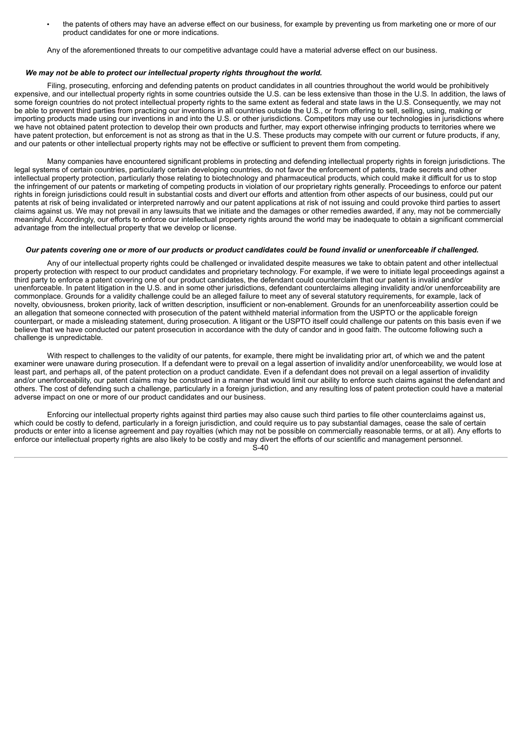• the patents of others may have an adverse effect on our business, for example by preventing us from marketing one or more of our product candidates for one or more indications.

Any of the aforementioned threats to our competitive advantage could have a material adverse effect on our business.

### *We may not be able to protect our intellectual property rights throughout the world.*

Filing, prosecuting, enforcing and defending patents on product candidates in all countries throughout the world would be prohibitively expensive, and our intellectual property rights in some countries outside the U.S. can be less extensive than those in the U.S. In addition, the laws of some foreign countries do not protect intellectual property rights to the same extent as federal and state laws in the U.S. Consequently, we may not be able to prevent third parties from practicing our inventions in all countries outside the U.S., or from offering to sell, selling, using, making or importing products made using our inventions in and into the U.S. or other jurisdictions. Competitors may use our technologies in jurisdictions where we have not obtained patent protection to develop their own products and further, may export otherwise infringing products to territories where we have patent protection, but enforcement is not as strong as that in the U.S. These products may compete with our current or future products, if any, and our patents or other intellectual property rights may not be effective or sufficient to prevent them from competing.

Many companies have encountered significant problems in protecting and defending intellectual property rights in foreign jurisdictions. The legal systems of certain countries, particularly certain developing countries, do not favor the enforcement of patents, trade secrets and other intellectual property protection, particularly those relating to biotechnology and pharmaceutical products, which could make it difficult for us to stop the infringement of our patents or marketing of competing products in violation of our proprietary rights generally. Proceedings to enforce our patent rights in foreign jurisdictions could result in substantial costs and divert our efforts and attention from other aspects of our business, could put our patents at risk of being invalidated or interpreted narrowly and our patent applications at risk of not issuing and could provoke third parties to assert claims against us. We may not prevail in any lawsuits that we initiate and the damages or other remedies awarded, if any, may not be commercially meaningful. Accordingly, our efforts to enforce our intellectual property rights around the world may be inadequate to obtain a significant commercial advantage from the intellectual property that we develop or license.

#### Our patents covering one or more of our products or product candidates could be found invalid or unenforceable if challenged.

Any of our intellectual property rights could be challenged or invalidated despite measures we take to obtain patent and other intellectual property protection with respect to our product candidates and proprietary technology. For example, if we were to initiate legal proceedings against a third party to enforce a patent covering one of our product candidates, the defendant could counterclaim that our patent is invalid and/or unenforceable. In patent litigation in the U.S. and in some other jurisdictions, defendant counterclaims alleging invalidity and/or unenforceability are commonplace. Grounds for a validity challenge could be an alleged failure to meet any of several statutory requirements, for example, lack of novelty, obviousness, broken priority, lack of written description, insufficient or non-enablement. Grounds for an unenforceability assertion could be an allegation that someone connected with prosecution of the patent withheld material information from the USPTO or the applicable foreign counterpart, or made a misleading statement, during prosecution. A litigant or the USPTO itself could challenge our patents on this basis even if we believe that we have conducted our patent prosecution in accordance with the duty of candor and in good faith. The outcome following such a challenge is unpredictable.

With respect to challenges to the validity of our patents, for example, there might be invalidating prior art, of which we and the patent examiner were unaware during prosecution. If a defendant were to prevail on a legal assertion of invalidity and/or unenforceability, we would lose at least part, and perhaps all, of the patent protection on a product candidate. Even if a defendant does not prevail on a legal assertion of invalidity and/or unenforceability, our patent claims may be construed in a manner that would limit our ability to enforce such claims against the defendant and others. The cost of defending such a challenge, particularly in a foreign jurisdiction, and any resulting loss of patent protection could have a material adverse impact on one or more of our product candidates and our business.

Enforcing our intellectual property rights against third parties may also cause such third parties to file other counterclaims against us, which could be costly to defend, particularly in a foreign jurisdiction, and could require us to pay substantial damages, cease the sale of certain products or enter into a license agreement and pay royalties (which may not be possible on commercially reasonable terms, or at all). Any efforts to enforce our intellectual property rights are also likely to be costly and may divert the efforts of our scientific and management personnel.

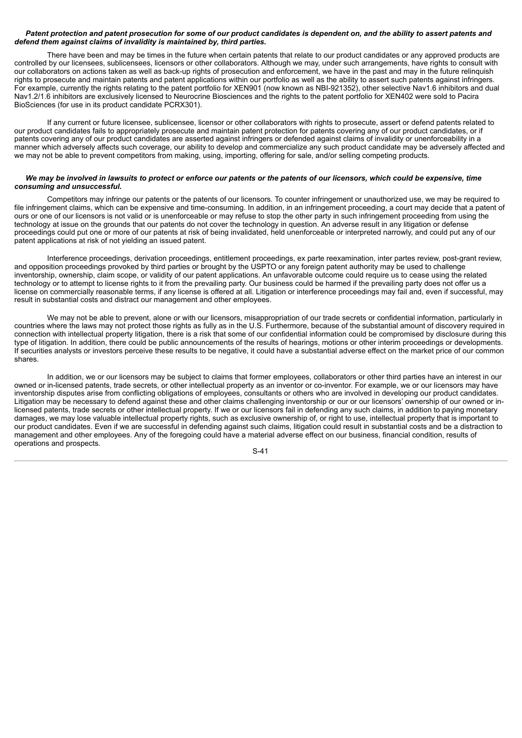# Patent protection and patent prosecution for some of our product candidates is dependent on, and the ability to assert patents and *defend them against claims of invalidity is maintained by, third parties.*

There have been and may be times in the future when certain patents that relate to our product candidates or any approved products are controlled by our licensees, sublicensees, licensors or other collaborators. Although we may, under such arrangements, have rights to consult with our collaborators on actions taken as well as back-up rights of prosecution and enforcement, we have in the past and may in the future relinquish rights to prosecute and maintain patents and patent applications within our portfolio as well as the ability to assert such patents against infringers. For example, currently the rights relating to the patent portfolio for XEN901 (now known as NBI-921352), other selective Nav1.6 inhibitors and dual Nav1.2/1.6 inhibitors are exclusively licensed to Neurocrine Biosciences and the rights to the patent portfolio for XEN402 were sold to Pacira BioSciences (for use in its product candidate PCRX301).

If any current or future licensee, sublicensee, licensor or other collaborators with rights to prosecute, assert or defend patents related to our product candidates fails to appropriately prosecute and maintain patent protection for patents covering any of our product candidates, or if patents covering any of our product candidates are asserted against infringers or defended against claims of invalidity or unenforceability in a manner which adversely affects such coverage, our ability to develop and commercialize any such product candidate may be adversely affected and we may not be able to prevent competitors from making, using, importing, offering for sale, and/or selling competing products.

## We may be involved in lawsuits to protect or enforce our patents or the patents of our licensors, which could be expensive, time *consuming and unsuccessful.*

Competitors may infringe our patents or the patents of our licensors. To counter infringement or unauthorized use, we may be required to file infringement claims, which can be expensive and time-consuming. In addition, in an infringement proceeding, a court may decide that a patent of ours or one of our licensors is not valid or is unenforceable or may refuse to stop the other party in such infringement proceeding from using the technology at issue on the grounds that our patents do not cover the technology in question. An adverse result in any litigation or defense proceedings could put one or more of our patents at risk of being invalidated, held unenforceable or interpreted narrowly, and could put any of our patent applications at risk of not yielding an issued patent.

Interference proceedings, derivation proceedings, entitlement proceedings, ex parte reexamination, inter partes review, post-grant review, and opposition proceedings provoked by third parties or brought by the USPTO or any foreign patent authority may be used to challenge inventorship, ownership, claim scope, or validity of our patent applications. An unfavorable outcome could require us to cease using the related technology or to attempt to license rights to it from the prevailing party. Our business could be harmed if the prevailing party does not offer us a license on commercially reasonable terms, if any license is offered at all. Litigation or interference proceedings may fail and, even if successful, may result in substantial costs and distract our management and other employees.

We may not be able to prevent, alone or with our licensors, misappropriation of our trade secrets or confidential information, particularly in countries where the laws may not protect those rights as fully as in the U.S. Furthermore, because of the substantial amount of discovery required in connection with intellectual property litigation, there is a risk that some of our confidential information could be compromised by disclosure during this type of litigation. In addition, there could be public announcements of the results of hearings, motions or other interim proceedings or developments. If securities analysts or investors perceive these results to be negative, it could have a substantial adverse effect on the market price of our common shares.

In addition, we or our licensors may be subject to claims that former employees, collaborators or other third parties have an interest in our owned or in-licensed patents, trade secrets, or other intellectual property as an inventor or co-inventor. For example, we or our licensors may have inventorship disputes arise from conflicting obligations of employees, consultants or others who are involved in developing our product candidates. Litigation may be necessary to defend against these and other claims challenging inventorship or our or our licensors' ownership of our owned or inlicensed patents, trade secrets or other intellectual property. If we or our licensors fail in defending any such claims, in addition to paying monetary damages, we may lose valuable intellectual property rights, such as exclusive ownership of, or right to use, intellectual property that is important to our product candidates. Even if we are successful in defending against such claims, litigation could result in substantial costs and be a distraction to management and other employees. Any of the foregoing could have a material adverse effect on our business, financial condition, results of operations and prospects.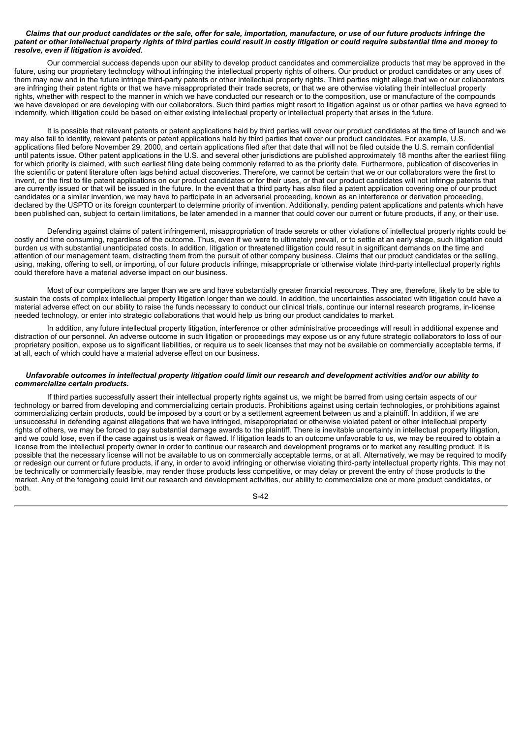#### Claims that our product candidates or the sale, offer for sale, importation, manufacture, or use of our future products infringe the patent or other intellectual property rights of third parties could result in costly litigation or could require substantial time and money to *resolve, even if litigation is avoided.*

Our commercial success depends upon our ability to develop product candidates and commercialize products that may be approved in the future, using our proprietary technology without infringing the intellectual property rights of others. Our product or product candidates or any uses of them may now and in the future infringe third-party patents or other intellectual property rights. Third parties might allege that we or our collaborators are infringing their patent rights or that we have misappropriated their trade secrets, or that we are otherwise violating their intellectual property rights, whether with respect to the manner in which we have conducted our research or to the composition, use or manufacture of the compounds we have developed or are developing with our collaborators. Such third parties might resort to litigation against us or other parties we have agreed to indemnify, which litigation could be based on either existing intellectual property or intellectual property that arises in the future.

It is possible that relevant patents or patent applications held by third parties will cover our product candidates at the time of launch and we may also fail to identify, relevant patents or patent applications held by third parties that cover our product candidates. For example, U.S. applications filed before November 29, 2000, and certain applications filed after that date that will not be filed outside the U.S. remain confidential until patents issue. Other patent applications in the U.S. and several other jurisdictions are published approximately 18 months after the earliest filing for which priority is claimed, with such earliest filing date being commonly referred to as the priority date. Furthermore, publication of discoveries in the scientific or patent literature often lags behind actual discoveries. Therefore, we cannot be certain that we or our collaborators were the first to invent, or the first to file patent applications on our product candidates or for their uses, or that our product candidates will not infringe patents that are currently issued or that will be issued in the future. In the event that a third party has also filed a patent application covering one of our product candidates or a similar invention, we may have to participate in an adversarial proceeding, known as an interference or derivation proceeding, declared by the USPTO or its foreign counterpart to determine priority of invention. Additionally, pending patent applications and patents which have been published can, subject to certain limitations, be later amended in a manner that could cover our current or future products, if any, or their use.

Defending against claims of patent infringement, misappropriation of trade secrets or other violations of intellectual property rights could be costly and time consuming, regardless of the outcome. Thus, even if we were to ultimately prevail, or to settle at an early stage, such litigation could burden us with substantial unanticipated costs. In addition, litigation or threatened litigation could result in significant demands on the time and attention of our management team, distracting them from the pursuit of other company business. Claims that our product candidates or the selling, using, making, offering to sell, or importing, of our future products infringe, misappropriate or otherwise violate third-party intellectual property rights could therefore have a material adverse impact on our business.

Most of our competitors are larger than we are and have substantially greater financial resources. They are, therefore, likely to be able to sustain the costs of complex intellectual property litigation longer than we could. In addition, the uncertainties associated with litigation could have a material adverse effect on our ability to raise the funds necessary to conduct our clinical trials, continue our internal research programs, in-license needed technology, or enter into strategic collaborations that would help us bring our product candidates to market.

In addition, any future intellectual property litigation, interference or other administrative proceedings will result in additional expense and distraction of our personnel. An adverse outcome in such litigation or proceedings may expose us or any future strategic collaborators to loss of our proprietary position, expose us to significant liabilities, or require us to seek licenses that may not be available on commercially acceptable terms, if at all, each of which could have a material adverse effect on our business.

#### Unfavorable outcomes in intellectual property litigation could limit our research and development activities and/or our ability to *commercialize certain products.*

If third parties successfully assert their intellectual property rights against us, we might be barred from using certain aspects of our technology or barred from developing and commercializing certain products. Prohibitions against using certain technologies, or prohibitions against commercializing certain products, could be imposed by a court or by a settlement agreement between us and a plaintiff. In addition, if we are unsuccessful in defending against allegations that we have infringed, misappropriated or otherwise violated patent or other intellectual property rights of others, we may be forced to pay substantial damage awards to the plaintiff. There is inevitable uncertainty in intellectual property litigation, and we could lose, even if the case against us is weak or flawed. If litigation leads to an outcome unfavorable to us, we may be required to obtain a license from the intellectual property owner in order to continue our research and development programs or to market any resulting product. It is possible that the necessary license will not be available to us on commercially acceptable terms, or at all. Alternatively, we may be required to modify or redesign our current or future products, if any, in order to avoid infringing or otherwise violating third-party intellectual property rights. This may not be technically or commercially feasible, may render those products less competitive, or may delay or prevent the entry of those products to the market. Any of the foregoing could limit our research and development activities, our ability to commercialize one or more product candidates, or both.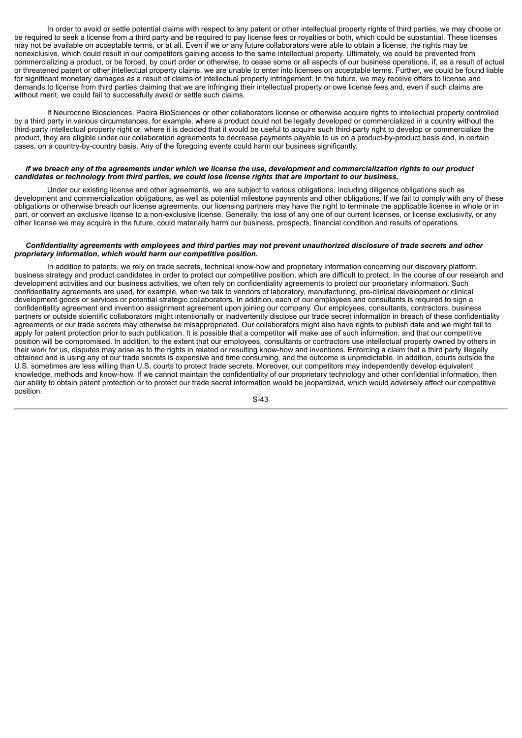In order to avoid or settle potential claims with respect to any patent or other intellectual property rights of third parties, we may choose or be required to seek a license from a third party and be required to pay license fees or royalties or both, which could be substantial. These licenses may not be available on acceptable terms, or at all. Even if we or any future collaborators were able to obtain a license, the rights may be nonexclusive, which could result in our competitors gaining access to the same intellectual property. Ultimately, we could be prevented from commercializing a product, or be forced, by court order or otherwise, to cease some or all aspects of our business operations, if, as a result of actual or threatened patent or other intellectual property claims, we are unable to enter into licenses on acceptable terms. Further, we could be found liable for significant monetary damages as a result of claims of intellectual property infringement. In the future, we may receive offers to license and demands to license from third parties claiming that we are infringing their intellectual property or owe license fees and, even if such claims are without merit, we could fail to successfully avoid or settle such claims.

If Neurocrine Biosciences, Pacira BioSciences or other collaborators license or otherwise acquire rights to intellectual property controlled by a third party in various circumstances, for example, where a product could not be legally developed or commercialized in a country without the third-party intellectual property right or, where it is decided that it would be useful to acquire such third-party right to develop or commercialize the product, they are eligible under our collaboration agreements to decrease payments payable to us on a product-by-product basis and, in certain cases, on a country-by-country basis. Any of the foregoing events could harm our business significantly.

#### If we breach any of the agreements under which we license the use, development and commercialization rights to our product candidates or technology from third parties, we could lose license rights that are important to our business.

Under our existing license and other agreements, we are subject to various obligations, including diligence obligations such as development and commercialization obligations, as well as potential milestone payments and other obligations. If we fail to comply with any of these obligations or otherwise breach our license agreements, our licensing partners may have the right to terminate the applicable license in whole or in part, or convert an exclusive license to a non-exclusive license. Generally, the loss of any one of our current licenses, or license exclusivity, or any other license we may acquire in the future, could materially harm our business, prospects, financial condition and results of operations.

## Confidentiality agreements with employees and third parties may not prevent unauthorized disclosure of trade secrets and other *proprietary information, which would harm our competitive position.*

In addition to patents, we rely on trade secrets, technical know-how and proprietary information concerning our discovery platform, business strategy and product candidates in order to protect our competitive position, which are difficult to protect. In the course of our research and development activities and our business activities, we often rely on confidentiality agreements to protect our proprietary information. Such confidentiality agreements are used, for example, when we talk to vendors of laboratory, manufacturing, pre-clinical development or clinical development goods or services or potential strategic collaborators. In addition, each of our employees and consultants is required to sign a confidentiality agreement and invention assignment agreement upon joining our company. Our employees, consultants, contractors, business partners or outside scientific collaborators might intentionally or inadvertently disclose our trade secret information in breach of these confidentiality agreements or our trade secrets may otherwise be misappropriated. Our collaborators might also have rights to publish data and we might fail to apply for patent protection prior to such publication. It is possible that a competitor will make use of such information, and that our competitive position will be compromised. In addition, to the extent that our employees, consultants or contractors use intellectual property owned by others in their work for us, disputes may arise as to the rights in related or resulting know-how and inventions. Enforcing a claim that a third party illegally obtained and is using any of our trade secrets is expensive and time consuming, and the outcome is unpredictable. In addition, courts outside the U.S. sometimes are less willing than U.S. courts to protect trade secrets. Moreover, our competitors may independently develop equivalent knowledge, methods and know-how. If we cannot maintain the confidentiality of our proprietary technology and other confidential information, then our ability to obtain patent protection or to protect our trade secret information would be jeopardized, which would adversely affect our competitive position.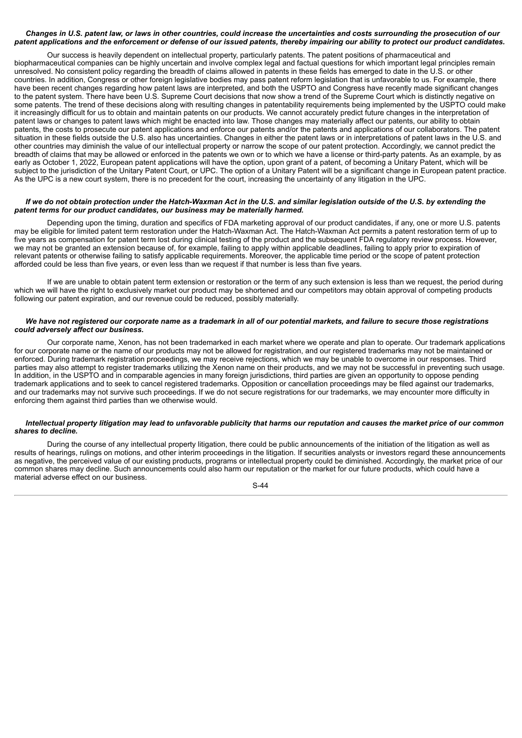# Changes in U.S. patent law, or laws in other countries, could increase the uncertainties and costs surrounding the prosecution of our patent applications and the enforcement or defense of our issued patents, thereby impairing our ability to protect our product candidates.

Our success is heavily dependent on intellectual property, particularly patents. The patent positions of pharmaceutical and biopharmaceutical companies can be highly uncertain and involve complex legal and factual questions for which important legal principles remain unresolved. No consistent policy regarding the breadth of claims allowed in patents in these fields has emerged to date in the U.S. or other countries. In addition, Congress or other foreign legislative bodies may pass patent reform legislation that is unfavorable to us. For example, there have been recent changes regarding how patent laws are interpreted, and both the USPTO and Congress have recently made significant changes to the patent system. There have been U.S. Supreme Court decisions that now show a trend of the Supreme Court which is distinctly negative on some patents. The trend of these decisions along with resulting changes in patentability requirements being implemented by the USPTO could make it increasingly difficult for us to obtain and maintain patents on our products. We cannot accurately predict future changes in the interpretation of patent laws or changes to patent laws which might be enacted into law. Those changes may materially affect our patents, our ability to obtain patents, the costs to prosecute our patent applications and enforce our patents and/or the patents and applications of our collaborators. The patent situation in these fields outside the U.S. also has uncertainties. Changes in either the patent laws or in interpretations of patent laws in the U.S. and other countries may diminish the value of our intellectual property or narrow the scope of our patent protection. Accordingly, we cannot predict the breadth of claims that may be allowed or enforced in the patents we own or to which we have a license or third-party patents. As an example, by as early as October 1, 2022, European patent applications will have the option, upon grant of a patent, of becoming a Unitary Patent, which will be subject to the jurisdiction of the Unitary Patent Court, or UPC. The option of a Unitary Patent will be a significant change in European patent practice. As the UPC is a new court system, there is no precedent for the court, increasing the uncertainty of any litigation in the UPC.

## If we do not obtain protection under the Hatch-Waxman Act in the U.S. and similar legislation outside of the U.S. by extending the *patent terms for our product candidates, our business may be materially harmed.*

Depending upon the timing, duration and specifics of FDA marketing approval of our product candidates, if any, one or more U.S. patents may be eligible for limited patent term restoration under the Hatch-Waxman Act. The Hatch-Waxman Act permits a patent restoration term of up to five years as compensation for patent term lost during clinical testing of the product and the subsequent FDA regulatory review process. However, we may not be granted an extension because of, for example, failing to apply within applicable deadlines, failing to apply prior to expiration of relevant patents or otherwise failing to satisfy applicable requirements. Moreover, the applicable time period or the scope of patent protection afforded could be less than five years, or even less than we request if that number is less than five years.

If we are unable to obtain patent term extension or restoration or the term of any such extension is less than we request, the period during which we will have the right to exclusively market our product may be shortened and our competitors may obtain approval of competing products following our patent expiration, and our revenue could be reduced, possibly materially.

### We have not registered our corporate name as a trademark in all of our potential markets, and failure to secure those registrations *could adversely affect our business.*

Our corporate name, Xenon, has not been trademarked in each market where we operate and plan to operate. Our trademark applications for our corporate name or the name of our products may not be allowed for registration, and our registered trademarks may not be maintained or enforced. During trademark registration proceedings, we may receive rejections, which we may be unable to overcome in our responses. Third parties may also attempt to register trademarks utilizing the Xenon name on their products, and we may not be successful in preventing such usage. In addition, in the USPTO and in comparable agencies in many foreign jurisdictions, third parties are given an opportunity to oppose pending trademark applications and to seek to cancel registered trademarks. Opposition or cancellation proceedings may be filed against our trademarks, and our trademarks may not survive such proceedings. If we do not secure registrations for our trademarks, we may encounter more difficulty in enforcing them against third parties than we otherwise would.

## Intellectual property litigation may lead to unfavorable publicity that harms our reputation and causes the market price of our common *shares to decline.*

During the course of any intellectual property litigation, there could be public announcements of the initiation of the litigation as well as results of hearings, rulings on motions, and other interim proceedings in the litigation. If securities analysts or investors regard these announcements as negative, the perceived value of our existing products, programs or intellectual property could be diminished. Accordingly, the market price of our common shares may decline. Such announcements could also harm our reputation or the market for our future products, which could have a material adverse effect on our business.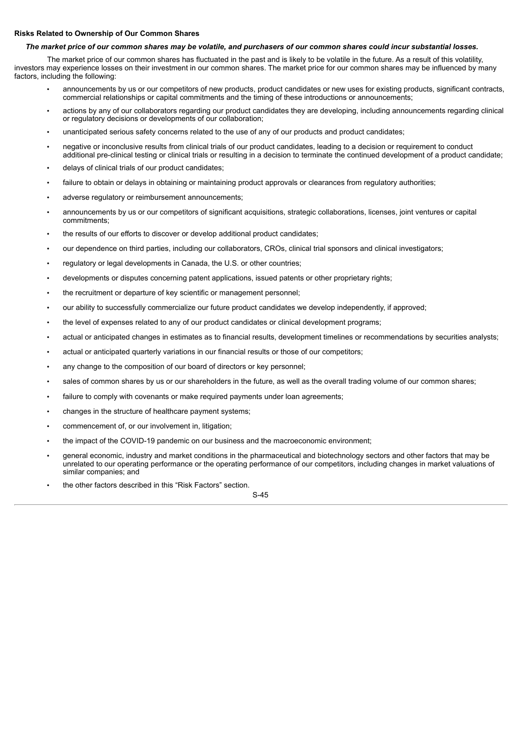# **Risks Related to Ownership of Our Common Shares**

# The market price of our common shares may be volatile, and purchasers of our common shares could incur substantial losses.

The market price of our common shares has fluctuated in the past and is likely to be volatile in the future. As a result of this volatility, investors may experience losses on their investment in our common shares. The market price for our common shares may be influenced by many factors, including the following:

- announcements by us or our competitors of new products, product candidates or new uses for existing products, significant contracts, commercial relationships or capital commitments and the timing of these introductions or announcements;
- actions by any of our collaborators regarding our product candidates they are developing, including announcements regarding clinical or regulatory decisions or developments of our collaboration;
- unanticipated serious safety concerns related to the use of any of our products and product candidates;
- negative or inconclusive results from clinical trials of our product candidates, leading to a decision or requirement to conduct additional pre-clinical testing or clinical trials or resulting in a decision to terminate the continued development of a product candidate;
- delays of clinical trials of our product candidates;
- failure to obtain or delays in obtaining or maintaining product approvals or clearances from regulatory authorities;
- adverse regulatory or reimbursement announcements;
- announcements by us or our competitors of significant acquisitions, strategic collaborations, licenses, joint ventures or capital commitments;
- the results of our efforts to discover or develop additional product candidates;
- our dependence on third parties, including our collaborators, CROs, clinical trial sponsors and clinical investigators;
- regulatory or legal developments in Canada, the U.S. or other countries;
- developments or disputes concerning patent applications, issued patents or other proprietary rights;
- the recruitment or departure of key scientific or management personnel;
- our ability to successfully commercialize our future product candidates we develop independently, if approved;
- the level of expenses related to any of our product candidates or clinical development programs;
- actual or anticipated changes in estimates as to financial results, development timelines or recommendations by securities analysts;
- actual or anticipated quarterly variations in our financial results or those of our competitors;
- any change to the composition of our board of directors or key personnel;
- sales of common shares by us or our shareholders in the future, as well as the overall trading volume of our common shares;
- failure to comply with covenants or make required payments under loan agreements;
- changes in the structure of healthcare payment systems;
- commencement of, or our involvement in, litigation;
- the impact of the COVID-19 pandemic on our business and the macroeconomic environment;
- general economic, industry and market conditions in the pharmaceutical and biotechnology sectors and other factors that may be unrelated to our operating performance or the operating performance of our competitors, including changes in market valuations of similar companies; and
- the other factors described in this "Risk Factors" section.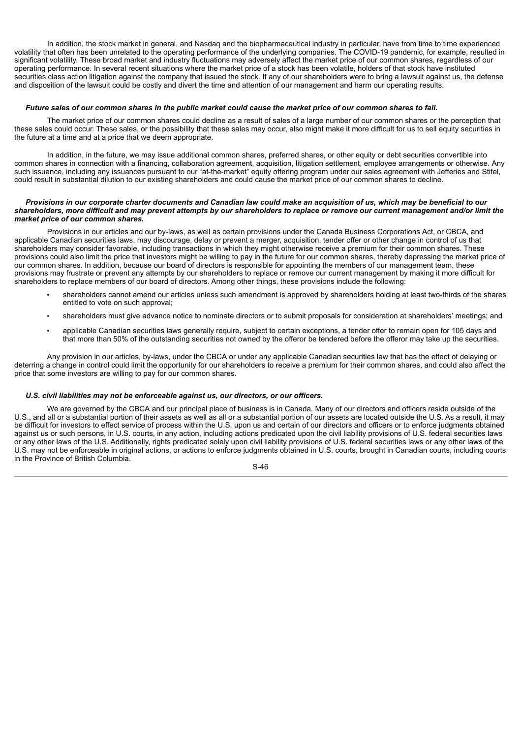In addition, the stock market in general, and Nasdaq and the biopharmaceutical industry in particular, have from time to time experienced volatility that often has been unrelated to the operating performance of the underlying companies. The COVID-19 pandemic, for example, resulted in significant volatility. These broad market and industry fluctuations may adversely affect the market price of our common shares, regardless of our operating performance. In several recent situations where the market price of a stock has been volatile, holders of that stock have instituted securities class action litigation against the company that issued the stock. If any of our shareholders were to bring a lawsuit against us, the defense and disposition of the lawsuit could be costly and divert the time and attention of our management and harm our operating results.

#### Future sales of our common shares in the public market could cause the market price of our common shares to fall.

The market price of our common shares could decline as a result of sales of a large number of our common shares or the perception that these sales could occur. These sales, or the possibility that these sales may occur, also might make it more difficult for us to sell equity securities in the future at a time and at a price that we deem appropriate.

In addition, in the future, we may issue additional common shares, preferred shares, or other equity or debt securities convertible into common shares in connection with a financing, collaboration agreement, acquisition, litigation settlement, employee arrangements or otherwise. Any such issuance, including any issuances pursuant to our "at-the-market" equity offering program under our sales agreement with Jefferies and Stifel, could result in substantial dilution to our existing shareholders and could cause the market price of our common shares to decline.

#### Provisions in our corporate charter documents and Canadian law could make an acquisition of us, which may be beneficial to our shareholders, more difficult and may prevent attempts by our shareholders to replace or remove our current management and/or limit the *market price of our common shares.*

Provisions in our articles and our by-laws, as well as certain provisions under the Canada Business Corporations Act, or CBCA, and applicable Canadian securities laws, may discourage, delay or prevent a merger, acquisition, tender offer or other change in control of us that shareholders may consider favorable, including transactions in which they might otherwise receive a premium for their common shares. These provisions could also limit the price that investors might be willing to pay in the future for our common shares, thereby depressing the market price of our common shares. In addition, because our board of directors is responsible for appointing the members of our management team, these provisions may frustrate or prevent any attempts by our shareholders to replace or remove our current management by making it more difficult for shareholders to replace members of our board of directors. Among other things, these provisions include the following:

- shareholders cannot amend our articles unless such amendment is approved by shareholders holding at least two-thirds of the shares entitled to vote on such approval;
- shareholders must give advance notice to nominate directors or to submit proposals for consideration at shareholders' meetings; and
- applicable Canadian securities laws generally require, subject to certain exceptions, a tender offer to remain open for 105 days and that more than 50% of the outstanding securities not owned by the offeror be tendered before the offeror may take up the securities.

Any provision in our articles, by-laws, under the CBCA or under any applicable Canadian securities law that has the effect of delaying or deterring a change in control could limit the opportunity for our shareholders to receive a premium for their common shares, and could also affect the price that some investors are willing to pay for our common shares.

#### *U.S. civil liabilities may not be enforceable against us, our directors, or our officers.*

We are governed by the CBCA and our principal place of business is in Canada. Many of our directors and officers reside outside of the U.S., and all or a substantial portion of their assets as well as all or a substantial portion of our assets are located outside the U.S. As a result, it may be difficult for investors to effect service of process within the U.S. upon us and certain of our directors and officers or to enforce judgments obtained against us or such persons, in U.S. courts, in any action, including actions predicated upon the civil liability provisions of U.S. federal securities laws or any other laws of the U.S. Additionally, rights predicated solely upon civil liability provisions of U.S. federal securities laws or any other laws of the U.S. may not be enforceable in original actions, or actions to enforce judgments obtained in U.S. courts, brought in Canadian courts, including courts in the Province of British Columbia.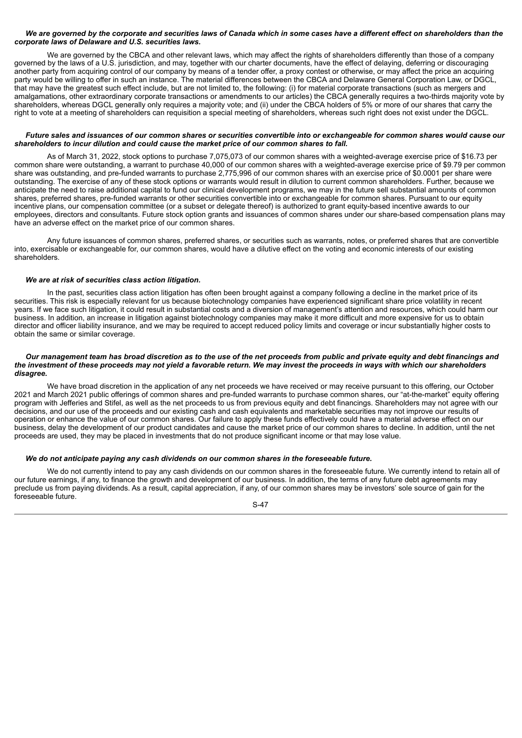## We are governed by the corporate and securities laws of Canada which in some cases have a different effect on shareholders than the *corporate laws of Delaware and U.S. securities laws.*

We are governed by the CBCA and other relevant laws, which may affect the rights of shareholders differently than those of a company governed by the laws of a U.S. jurisdiction, and may, together with our charter documents, have the effect of delaying, deferring or discouraging another party from acquiring control of our company by means of a tender offer, a proxy contest or otherwise, or may affect the price an acquiring party would be willing to offer in such an instance. The material differences between the CBCA and Delaware General Corporation Law, or DGCL, that may have the greatest such effect include, but are not limited to, the following: (i) for material corporate transactions (such as mergers and amalgamations, other extraordinary corporate transactions or amendments to our articles) the CBCA generally requires a two-thirds majority vote by shareholders, whereas DGCL generally only requires a majority vote; and (ii) under the CBCA holders of 5% or more of our shares that carry the right to vote at a meeting of shareholders can requisition a special meeting of shareholders, whereas such right does not exist under the DGCL.

## Future sales and issuances of our common shares or securities convertible into or exchangeable for common shares would cause our *shareholders to incur dilution and could cause the market price of our common shares to fall.*

As of March 31, 2022, stock options to purchase 7,075,073 of our common shares with a weighted-average exercise price of \$16.73 per common share were outstanding, a warrant to purchase 40,000 of our common shares with a weighted-average exercise price of \$9.79 per common share was outstanding, and pre-funded warrants to purchase 2,775,996 of our common shares with an exercise price of \$0.0001 per share were outstanding. The exercise of any of these stock options or warrants would result in dilution to current common shareholders. Further, because we anticipate the need to raise additional capital to fund our clinical development programs, we may in the future sell substantial amounts of common shares, preferred shares, pre-funded warrants or other securities convertible into or exchangeable for common shares. Pursuant to our equity incentive plans, our compensation committee (or a subset or delegate thereof) is authorized to grant equity-based incentive awards to our employees, directors and consultants. Future stock option grants and issuances of common shares under our share-based compensation plans may have an adverse effect on the market price of our common shares.

Any future issuances of common shares, preferred shares, or securities such as warrants, notes, or preferred shares that are convertible into, exercisable or exchangeable for, our common shares, would have a dilutive effect on the voting and economic interests of our existing shareholders.

## *We are at risk of securities class action litigation.*

In the past, securities class action litigation has often been brought against a company following a decline in the market price of its securities. This risk is especially relevant for us because biotechnology companies have experienced significant share price volatility in recent years. If we face such litigation, it could result in substantial costs and a diversion of management's attention and resources, which could harm our business. In addition, an increase in litigation against biotechnology companies may make it more difficult and more expensive for us to obtain director and officer liability insurance, and we may be required to accept reduced policy limits and coverage or incur substantially higher costs to obtain the same or similar coverage.

#### Our management team has broad discretion as to the use of the net proceeds from public and private equity and debt financings and the investment of these proceeds may not vield a favorable return. We may invest the proceeds in ways with which our shareholders *disagree.*

We have broad discretion in the application of any net proceeds we have received or may receive pursuant to this offering, our October 2021 and March 2021 public offerings of common shares and pre-funded warrants to purchase common shares, our "at-the-market" equity offering program with Jefferies and Stifel, as well as the net proceeds to us from previous equity and debt financings. Shareholders may not agree with our decisions, and our use of the proceeds and our existing cash and cash equivalents and marketable securities may not improve our results of operation or enhance the value of our common shares. Our failure to apply these funds effectively could have a material adverse effect on our business, delay the development of our product candidates and cause the market price of our common shares to decline. In addition, until the net proceeds are used, they may be placed in investments that do not produce significant income or that may lose value.

## *We do not anticipate paying any cash dividends on our common shares in the foreseeable future.*

We do not currently intend to pay any cash dividends on our common shares in the foreseeable future. We currently intend to retain all of our future earnings, if any, to finance the growth and development of our business. In addition, the terms of any future debt agreements may preclude us from paying dividends. As a result, capital appreciation, if any, of our common shares may be investors' sole source of gain for the foreseeable future.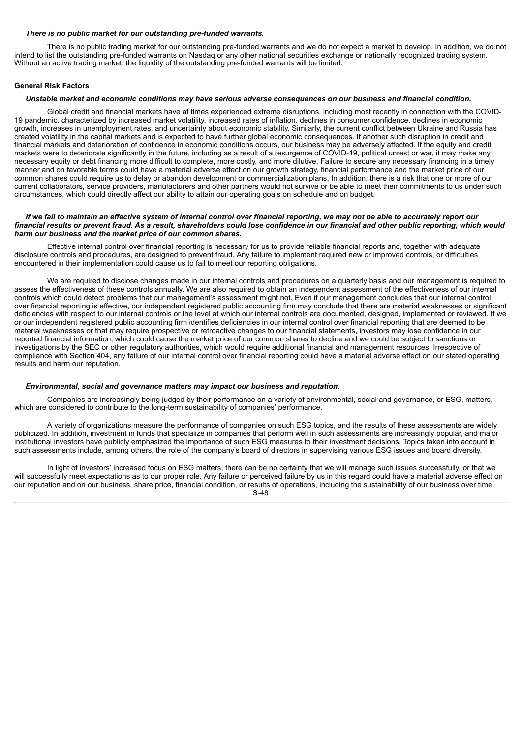#### *There is no public market for our outstanding pre-funded warrants.*

There is no public trading market for our outstanding pre-funded warrants and we do not expect a market to develop. In addition, we do not intend to list the outstanding pre-funded warrants on Nasdaq or any other national securities exchange or nationally recognized trading system. Without an active trading market, the liquidity of the outstanding pre-funded warrants will be limited.

# **General Risk Factors**

#### Unstable market and economic conditions may have serious adverse consequences on our business and financial condition.

Global credit and financial markets have at times experienced extreme disruptions, including most recently in connection with the COVID-19 pandemic, characterized by increased market volatility, increased rates of inflation, declines in consumer confidence, declines in economic growth, increases in unemployment rates, and uncertainty about economic stability. Similarly, the current conflict between Ukraine and Russia has created volatility in the capital markets and is expected to have further global economic consequences. If another such disruption in credit and financial markets and deterioration of confidence in economic conditions occurs, our business may be adversely affected. If the equity and credit markets were to deteriorate significantly in the future, including as a result of a resurgence of COVID-19, political unrest or war, it may make any necessary equity or debt financing more difficult to complete, more costly, and more dilutive. Failure to secure any necessary financing in a timely manner and on favorable terms could have a material adverse effect on our growth strategy, financial performance and the market price of our common shares could require us to delay or abandon development or commercialization plans. In addition, there is a risk that one or more of our current collaborators, service providers, manufacturers and other partners would not survive or be able to meet their commitments to us under such circumstances, which could directly affect our ability to attain our operating goals on schedule and on budget.

#### If we fail to maintain an effective system of internal control over financial reporting, we may not be able to accurately report our financial results or prevent fraud. As a result, shareholders could lose confidence in our financial and other public reporting, which would *harm our business and the market price of our common shares.*

Effective internal control over financial reporting is necessary for us to provide reliable financial reports and, together with adequate disclosure controls and procedures, are designed to prevent fraud. Any failure to implement required new or improved controls, or difficulties encountered in their implementation could cause us to fail to meet our reporting obligations.

We are required to disclose changes made in our internal controls and procedures on a quarterly basis and our management is required to assess the effectiveness of these controls annually. We are also required to obtain an independent assessment of the effectiveness of our internal controls which could detect problems that our management's assessment might not. Even if our management concludes that our internal control over financial reporting is effective, our independent registered public accounting firm may conclude that there are material weaknesses or significant deficiencies with respect to our internal controls or the level at which our internal controls are documented, designed, implemented or reviewed. If we or our independent registered public accounting firm identifies deficiencies in our internal control over financial reporting that are deemed to be material weaknesses or that may require prospective or retroactive changes to our financial statements, investors may lose confidence in our reported financial information, which could cause the market price of our common shares to decline and we could be subject to sanctions or investigations by the SEC or other regulatory authorities, which would require additional financial and management resources. Irrespective of compliance with Section 404, any failure of our internal control over financial reporting could have a material adverse effect on our stated operating results and harm our reputation.

#### *Environmental, social and governance matters may impact our business and reputation.*

Companies are increasingly being judged by their performance on a variety of environmental, social and governance, or ESG, matters, which are considered to contribute to the long-term sustainability of companies' performance.

A variety of organizations measure the performance of companies on such ESG topics, and the results of these assessments are widely publicized. In addition, investment in funds that specialize in companies that perform well in such assessments are increasingly popular, and major institutional investors have publicly emphasized the importance of such ESG measures to their investment decisions. Topics taken into account in such assessments include, among others, the role of the company's board of directors in supervising various ESG issues and board diversity.

In light of investors' increased focus on ESG matters, there can be no certainty that we will manage such issues successfully, or that we will successfully meet expectations as to our proper role. Any failure or perceived failure by us in this regard could have a material adverse effect on our reputation and on our business, share price, financial condition, or results of operations, including the sustainability of our business over time. S-48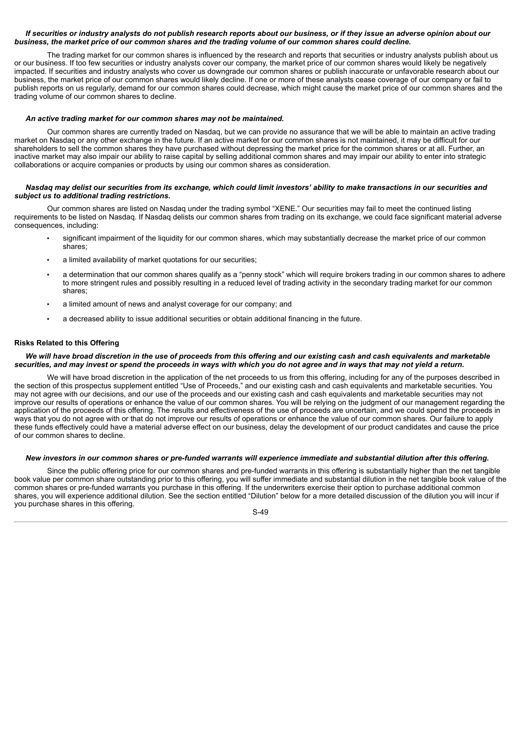# If securities or industry analysts do not publish research reports about our business, or if they issue an adverse opinion about our business, the market price of our common shares and the trading volume of our common shares could decline.

The trading market for our common shares is influenced by the research and reports that securities or industry analysts publish about us or our business. If too few securities or industry analysts cover our company, the market price of our common shares would likely be negatively impacted. If securities and industry analysts who cover us downgrade our common shares or publish inaccurate or unfavorable research about our business, the market price of our common shares would likely decline. If one or more of these analysts cease coverage of our company or fail to publish reports on us regularly, demand for our common shares could decrease, which might cause the market price of our common shares and the trading volume of our common shares to decline.

## *An active trading market for our common shares may not be maintained.*

Our common shares are currently traded on Nasdaq, but we can provide no assurance that we will be able to maintain an active trading market on Nasdaq or any other exchange in the future. If an active market for our common shares is not maintained, it may be difficult for our shareholders to sell the common shares they have purchased without depressing the market price for the common shares or at all. Further, an inactive market may also impair our ability to raise capital by selling additional common shares and may impair our ability to enter into strategic collaborations or acquire companies or products by using our common shares as consideration.

### Nasdag may delist our securities from its exchange, which could limit investors' ability to make transactions in our securities and *subject us to additional trading restrictions.*

Our common shares are listed on Nasdaq under the trading symbol "XENE." Our securities may fail to meet the continued listing requirements to be listed on Nasdaq. If Nasdaq delists our common shares from trading on its exchange, we could face significant material adverse consequences, including:

- significant impairment of the liquidity for our common shares, which may substantially decrease the market price of our common shares;
- a limited availability of market quotations for our securities;
- a determination that our common shares qualify as a "penny stock" which will require brokers trading in our common shares to adhere to more stringent rules and possibly resulting in a reduced level of trading activity in the secondary trading market for our common shares;
- a limited amount of news and analyst coverage for our company; and
- a decreased ability to issue additional securities or obtain additional financing in the future.

## **Risks Related to this Offering**

#### We will have broad discretion in the use of proceeds from this offering and our existing cash and cash equivalents and marketable securities, and may invest or spend the proceeds in ways with which you do not agree and in ways that may not yield a return.

We will have broad discretion in the application of the net proceeds to us from this offering, including for any of the purposes described in the section of this prospectus supplement entitled "Use of Proceeds," and our existing cash and cash equivalents and marketable securities. You may not agree with our decisions, and our use of the proceeds and our existing cash and cash equivalents and marketable securities may not improve our results of operations or enhance the value of our common shares. You will be relying on the judgment of our management regarding the application of the proceeds of this offering. The results and effectiveness of the use of proceeds are uncertain, and we could spend the proceeds in ways that you do not agree with or that do not improve our results of operations or enhance the value of our common shares. Our failure to apply these funds effectively could have a material adverse effect on our business, delay the development of our product candidates and cause the price of our common shares to decline.

### New investors in our common shares or pre-funded warrants will experience immediate and substantial dilution after this offering.

Since the public offering price for our common shares and pre-funded warrants in this offering is substantially higher than the net tangible book value per common share outstanding prior to this offering, you will suffer immediate and substantial dilution in the net tangible book value of the common shares or pre-funded warrants you purchase in this offering. If the underwriters exercise their option to purchase additional common shares, you will experience additional dilution. See the section entitled "Dilution" below for a more detailed discussion of the dilution you will incur if you purchase shares in this offering.

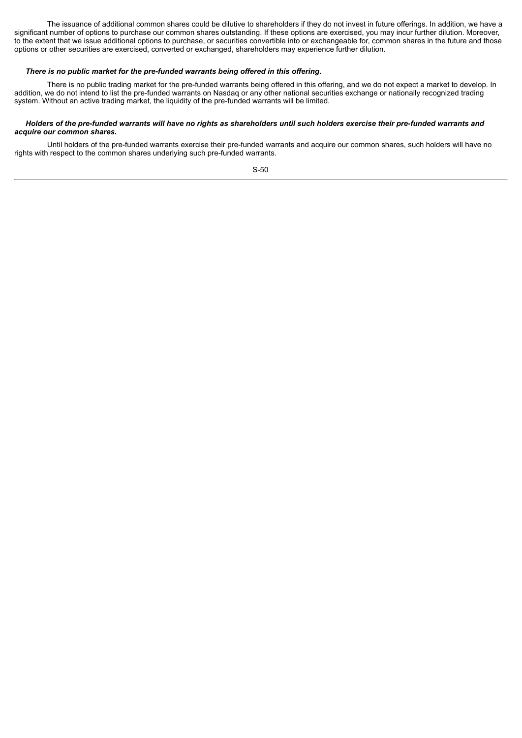The issuance of additional common shares could be dilutive to shareholders if they do not invest in future offerings. In addition, we have a significant number of options to purchase our common shares outstanding. If these options are exercised, you may incur further dilution. Moreover, to the extent that we issue additional options to purchase, or securities convertible into or exchangeable for, common shares in the future and those options or other securities are exercised, converted or exchanged, shareholders may experience further dilution.

# *There is no public market for the pre-funded warrants being offered in this offering.*

There is no public trading market for the pre-funded warrants being offered in this offering, and we do not expect a market to develop. In addition, we do not intend to list the pre-funded warrants on Nasdaq or any other national securities exchange or nationally recognized trading system. Without an active trading market, the liquidity of the pre-funded warrants will be limited.

## Holders of the pre-funded warrants will have no rights as shareholders until such holders exercise their pre-funded warrants and *acquire our common shares.*

Until holders of the pre-funded warrants exercise their pre-funded warrants and acquire our common shares, such holders will have no rights with respect to the common shares underlying such pre-funded warrants.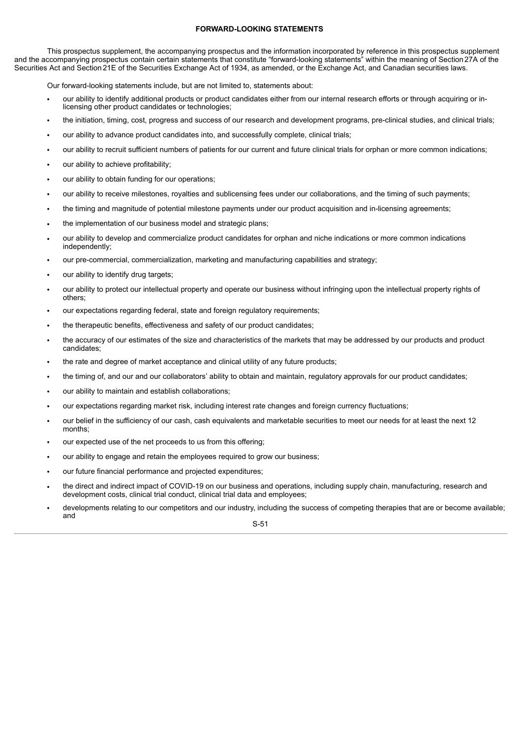# **FORWARD-LOOKING STATEMENTS**

This prospectus supplement, the accompanying prospectus and the information incorporated by reference in this prospectus supplement and the accompanying prospectus contain certain statements that constitute "forward-looking statements" within the meaning of Section27A of the Securities Act and Section21E of the Securities Exchange Act of 1934, as amended, or the Exchange Act, and Canadian securities laws.

Our forward-looking statements include, but are not limited to, statements about:

- our ability to identify additional products or product candidates either from our internal research efforts or through acquiring or inlicensing other product candidates or technologies;
- the initiation, timing, cost, progress and success of our research and development programs, pre-clinical studies, and clinical trials;
- our ability to advance product candidates into, and successfully complete, clinical trials;
- our ability to recruit sufficient numbers of patients for our current and future clinical trials for orphan or more common indications;
- our ability to achieve profitability;
- our ability to obtain funding for our operations;
- our ability to receive milestones, royalties and sublicensing fees under our collaborations, and the timing of such payments;
- the timing and magnitude of potential milestone payments under our product acquisition and in-licensing agreements;
- the implementation of our business model and strategic plans;
- our ability to develop and commercialize product candidates for orphan and niche indications or more common indications independently;
- our pre-commercial, commercialization, marketing and manufacturing capabilities and strategy;
- our ability to identify drug targets;
- our ability to protect our intellectual property and operate our business without infringing upon the intellectual property rights of others;
- our expectations regarding federal, state and foreign regulatory requirements;
- the therapeutic benefits, effectiveness and safety of our product candidates;
- the accuracy of our estimates of the size and characteristics of the markets that may be addressed by our products and product candidates;
- the rate and degree of market acceptance and clinical utility of any future products;
- the timing of, and our and our collaborators' ability to obtain and maintain, regulatory approvals for our product candidates;
- our ability to maintain and establish collaborations;
- our expectations regarding market risk, including interest rate changes and foreign currency fluctuations;
- our belief in the sufficiency of our cash, cash equivalents and marketable securities to meet our needs for at least the next 12 months;
- our expected use of the net proceeds to us from this offering;
- our ability to engage and retain the employees required to grow our business;
- our future financial performance and projected expenditures;
- the direct and indirect impact of COVID-19 on our business and operations, including supply chain, manufacturing, research and development costs, clinical trial conduct, clinical trial data and employees;
- developments relating to our competitors and our industry, including the success of competing therapies that are or become available; and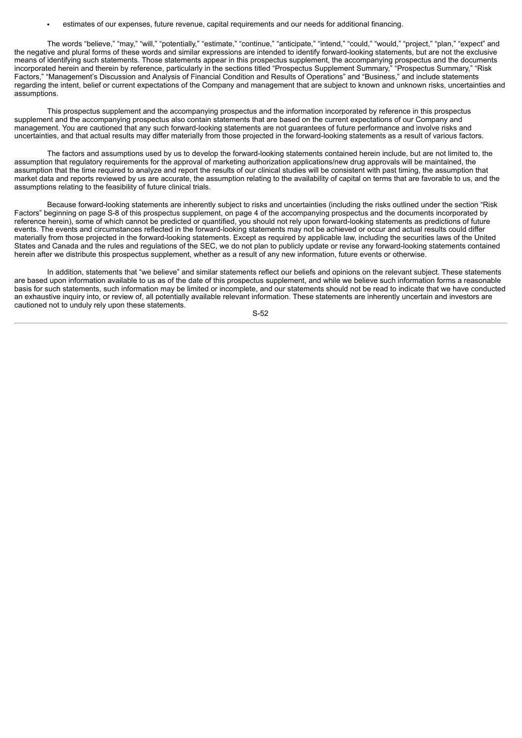• estimates of our expenses, future revenue, capital requirements and our needs for additional financing.

The words "believe," "may," "will," "potentially," "estimate," "continue," "anticipate," "intend," "could," "would," "project," "plan," "expect" and the negative and plural forms of these words and similar expressions are intended to identify forward-looking statements, but are not the exclusive means of identifying such statements. Those statements appear in this prospectus supplement, the accompanying prospectus and the documents incorporated herein and therein by reference, particularly in the sections titled " incorporated herein and therein by reference, particularly in the sections titled "Prospectus Supplement Summary," Factors," "Management's Discussion and Analysis of Financial Condition and Results of Operations" and "Business," and include statements regarding the intent, belief or current expectations of the Company and management that are subject to known and unknown risks, uncertainties and assumptions.

This prospectus supplement and the accompanying prospectus and the information incorporated by reference in this prospectus supplement and the accompanying prospectus also contain statements that are based on the current expectations of our Company and management. You are cautioned that any such forward-looking statements are not guarantees of future performance and involve risks and uncertainties, and that actual results may differ materially from those projected in the forward-looking statements as a result of various factors.

The factors and assumptions used by us to develop the forward-looking statements contained herein include, but are not limited to, the assumption that regulatory requirements for the approval of marketing authorization applications/new drug approvals will be maintained, the assumption that the time required to analyze and report the results of our clinical studies will be consistent with past timing, the assumption that market data and reports reviewed by us are accurate, the assumption relating to the availability of capital on terms that are favorable to us, and the assumptions relating to the feasibility of future clinical trials.

Because forward-looking statements are inherently subject to risks and uncertainties (including the risks outlined under the section "Risk Factors" beginning on page S-8 of this prospectus supplement, on page 4 of the accompanying prospectus and the documents incorporated by reference herein), some of which cannot be predicted or quantified, you should not rely upon forward-looking statements as predictions of future events. The events and circumstances reflected in the forward-looking statements may not be achieved or occur and actual results could differ materially from those projected in the forward-looking statements. Except as required by applicable law, including the securities laws of the United States and Canada and the rules and regulations of the SEC, we do not plan to publicly update or revise any forward-looking statements contained herein after we distribute this prospectus supplement, whether as a result of any new information, future events or otherwise.

In addition, statements that "we believe" and similar statements reflect our beliefs and opinions on the relevant subject. These statements are based upon information available to us as of the date of this prospectus supplement, and while we believe such information forms a reasonable basis for such statements, such information may be limited or incomplete, and our statements should not be read to indicate that we have conducted an exhaustive inquiry into, or review of, all potentially available relevant information. These statements are inherently uncertain and investors are cautioned not to unduly rely upon these statements.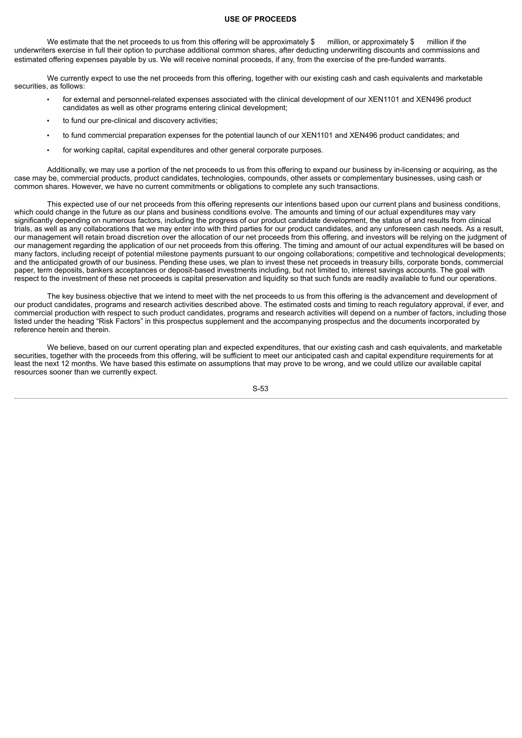### **USE OF PROCEEDS**

We estimate that the net proceeds to us from this offering will be approximately \$ million, or approximately \$ million if the underwriters exercise in full their option to purchase additional common shares, after deducting underwriting discounts and commissions and estimated offering expenses payable by us. We will receive nominal proceeds, if any, from the exercise of the pre-funded warrants.

We currently expect to use the net proceeds from this offering, together with our existing cash and cash equivalents and marketable securities, as follows:

- for external and personnel-related expenses associated with the clinical development of our XEN1101 and XEN496 product candidates as well as other programs entering clinical development;
- to fund our pre-clinical and discovery activities;
- to fund commercial preparation expenses for the potential launch of our XEN1101 and XEN496 product candidates; and
- for working capital, capital expenditures and other general corporate purposes.

Additionally, we may use a portion of the net proceeds to us from this offering to expand our business by in-licensing or acquiring, as the case may be, commercial products, product candidates, technologies, compounds, other assets or complementary businesses, using cash or common shares. However, we have no current commitments or obligations to complete any such transactions.

This expected use of our net proceeds from this offering represents our intentions based upon our current plans and business conditions, which could change in the future as our plans and business conditions evolve. The amounts and timing of our actual expenditures may vary significantly depending on numerous factors, including the progress of our product candidate development, the status of and results from clinical trials, as well as any collaborations that we may enter into with third parties for our product candidates, and any unforeseen cash needs. As a result, our management will retain broad discretion over the allocation of our net proceeds from this offering, and investors will be relying on the judgment of our management regarding the application of our net proceeds from this offering. The timing and amount of our actual expenditures will be based on many factors, including receipt of potential milestone payments pursuant to our ongoing collaborations; competitive and technological developments; and the anticipated growth of our business. Pending these uses, we plan to invest these net proceeds in treasury bills, corporate bonds, commercial paper, term deposits, bankers acceptances or deposit-based investments including, but not limited to, interest savings accounts. The goal with respect to the investment of these net proceeds is capital preservation and liquidity so that such funds are readily available to fund our operations.

The key business objective that we intend to meet with the net proceeds to us from this offering is the advancement and development of our product candidates, programs and research activities described above. The estimated costs and timing to reach regulatory approval, if ever, and commercial production with respect to such product candidates, programs and research activities will depend on a number of factors, including those listed under the heading "Risk Factors" in this prospectus supplement and the accompanying prospectus and the documents incorporated by reference herein and therein.

We believe, based on our current operating plan and expected expenditures, that our existing cash and cash equivalents, and marketable securities, together with the proceeds from this offering, will be sufficient to meet our anticipated cash and capital expenditure requirements for at least the next 12 months. We have based this estimate on assumptions that may prove to be wrong, and we could utilize our available capital resources sooner than we currently expect.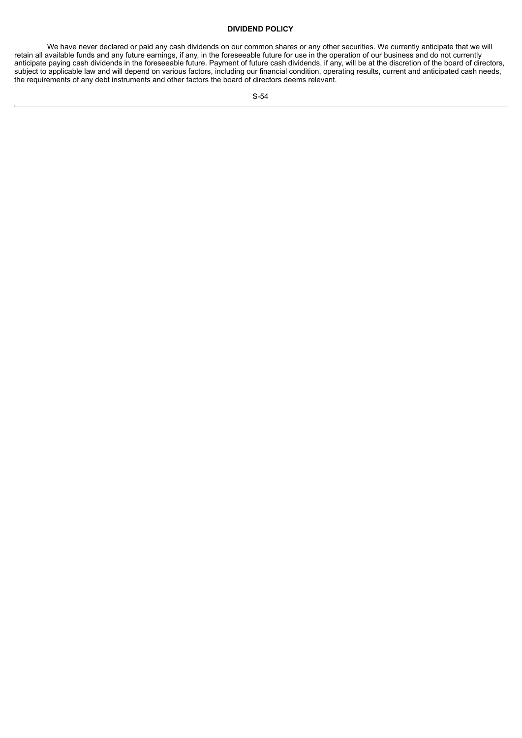# **DIVIDEND POLICY**

We have never declared or paid any cash dividends on our common shares or any other securities. We currently anticipate that we will retain all available funds and any future earnings, if any, in the foreseeable future for use in the operation of our business and do not currently anticipate paying cash dividends in the foreseeable future. Payment of future cash dividends, if any, will be at the discretion of the board of directors, subject to applicable law and will depend on various factors, including our financial condition, operating results, current and anticipated cash needs, the requirements of any debt instruments and other factors the board of directors deems relevant.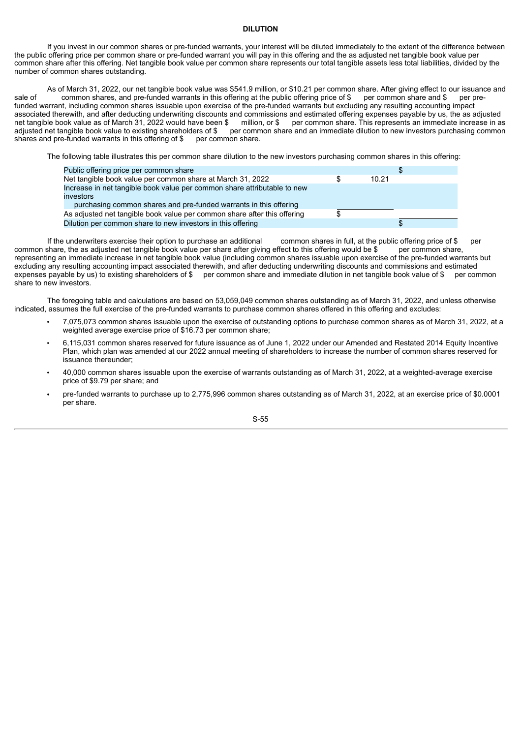## **DILUTION**

If you invest in our common shares or pre-funded warrants, your interest will be diluted immediately to the extent of the difference between the public offering price per common share or pre-funded warrant you will pay in this offering and the as adjusted net tangible book value per common share after this offering. Net tangible book value per common share represents our total tangible assets less total liabilities, divided by the number of common shares outstanding.

As of March 31, 2022, our net tangible book value was \$541.9 million, or \$10.21 per common share. After giving effect to our issuance and common shares, and pre-funded warrants in this offering at the public offering price sale of common shares, and pre-funded warrants in this offering at the public offering price of \$ per common share and \$ per prefunded warrant, including common shares issuable upon exercise of the pre-funded warrants but excluding any resulting accounting impact associated therewith, and after deducting underwriting discounts and commissions and estimated offering expenses payable by us, the as adjusted net tangible book value as of March 31, 2022 would have been \$ million, or \$ per common share. This represents an immediate increase in as adjusted net tangible book value to existing shareholders of \$ per common share and an immediate dilution to new investors purchasing common shares and pre-funded warrants in this offering of \$ per common share. shares and pre-funded warrants in this offering of \$

The following table illustrates this per common share dilution to the new investors purchasing common shares in this offering:

| Public offering price per common share                                   |       | \$ |
|--------------------------------------------------------------------------|-------|----|
| Net tangible book value per common share at March 31, 2022               | 10.21 |    |
| Increase in net tangible book value per common share attributable to new |       |    |
| investors                                                                |       |    |
| purchasing common shares and pre-funded warrants in this offering        |       |    |
| As adjusted net tangible book value per common share after this offering |       |    |
| Dilution per common share to new investors in this offering              |       |    |

If the underwriters exercise their option to purchase an additional common shares in full, at the public offering price of \$ per share, the as adjusted net tangible book value per share after giving effect to this offering common share, the as adjusted net tangible book value per share after giving effect to this offering would be \$ representing an immediate increase in net tangible book value (including common shares issuable upon exercise of the pre-funded warrants but excluding any resulting accounting impact associated therewith, and after deducting underwriting discounts and commissions and estimated expenses payable by us) to existing shareholders of \$ per common share and immediate dilution in net tangible book value of \$ per common share to new investors.

The foregoing table and calculations are based on 53,059,049 common shares outstanding as of March 31, 2022, and unless otherwise indicated, assumes the full exercise of the pre-funded warrants to purchase common shares offered in this offering and excludes:

- 7,075,073 common shares issuable upon the exercise of outstanding options to purchase common shares as of March 31, 2022, at a weighted average exercise price of \$16.73 per common share;
- 6,115,031 common shares reserved for future issuance as of June 1, 2022 under our Amended and Restated 2014 Equity Incentive Plan, which plan was amended at our 2022 annual meeting of shareholders to increase the number of common shares reserved for issuance thereunder;
- 40,000 common shares issuable upon the exercise of warrants outstanding as of March 31, 2022, at a weighted-average exercise price of \$9.79 per share; and
- pre-funded warrants to purchase up to 2,775,996 common shares outstanding as of March 31, 2022, at an exercise price of \$0.0001 per share.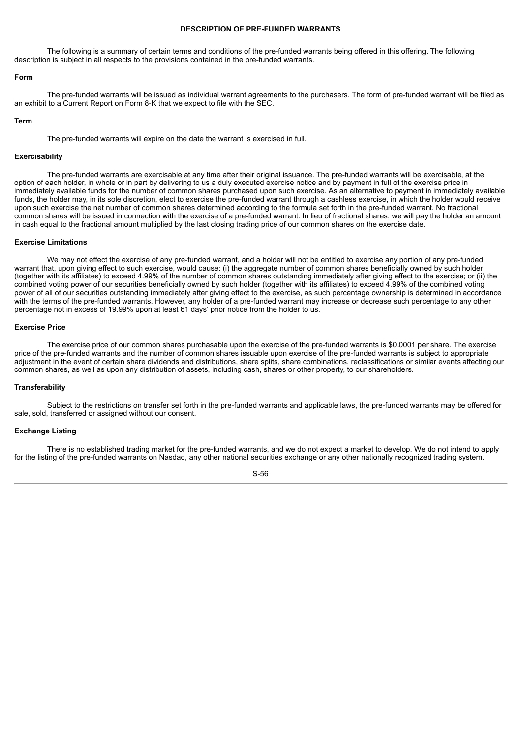## **DESCRIPTION OF PRE-FUNDED WARRANTS**

The following is a summary of certain terms and conditions of the pre-funded warrants being offered in this offering. The following description is subject in all respects to the provisions contained in the pre-funded warrants.

#### **Form**

The pre-funded warrants will be issued as individual warrant agreements to the purchasers. The form of pre-funded warrant will be filed as an exhibit to a Current Report on Form 8-K that we expect to file with the SEC.

#### **Term**

The pre-funded warrants will expire on the date the warrant is exercised in full.

# **Exercisability**

The pre-funded warrants are exercisable at any time after their original issuance. The pre-funded warrants will be exercisable, at the option of each holder, in whole or in part by delivering to us a duly executed exercise notice and by payment in full of the exercise price in immediately available funds for the number of common shares purchased upon such exercise. As an alternative to payment in immediately available funds, the holder may, in its sole discretion, elect to exercise the pre-funded warrant through a cashless exercise, in which the holder would receive upon such exercise the net number of common shares determined according to the formula set forth in the pre-funded warrant. No fractional common shares will be issued in connection with the exercise of a pre-funded warrant. In lieu of fractional shares, we will pay the holder an amount in cash equal to the fractional amount multiplied by the last closing trading price of our common shares on the exercise date.

## **Exercise Limitations**

We may not effect the exercise of any pre-funded warrant, and a holder will not be entitled to exercise any portion of any pre-funded warrant that, upon giving effect to such exercise, would cause: (i) the aggregate number of common shares beneficially owned by such holder (together with its affiliates) to exceed 4.99% of the number of common shares outstanding immediately after giving effect to the exercise; or (ii) the combined voting power of our securities beneficially owned by such holder (together with its affiliates) to exceed 4.99% of the combined voting power of all of our securities outstanding immediately after giving effect to the exercise, as such percentage ownership is determined in accordance with the terms of the pre-funded warrants. However, any holder of a pre-funded warrant may increase or decrease such percentage to any other percentage not in excess of 19.99% upon at least 61 days' prior notice from the holder to us.

#### **Exercise Price**

The exercise price of our common shares purchasable upon the exercise of the pre-funded warrants is \$0.0001 per share. The exercise price of the pre-funded warrants and the number of common shares issuable upon exercise of the pre-funded warrants is subject to appropriate adjustment in the event of certain share dividends and distributions, share splits, share combinations, reclassifications or similar events affecting our common shares, as well as upon any distribution of assets, including cash, shares or other property, to our shareholders.

# **Transferability**

Subject to the restrictions on transfer set forth in the pre-funded warrants and applicable laws, the pre-funded warrants may be offered for sale, sold, transferred or assigned without our consent.

## **Exchange Listing**

There is no established trading market for the pre-funded warrants, and we do not expect a market to develop. We do not intend to apply for the listing of the pre-funded warrants on Nasdaq, any other national securities exchange or any other nationally recognized trading system.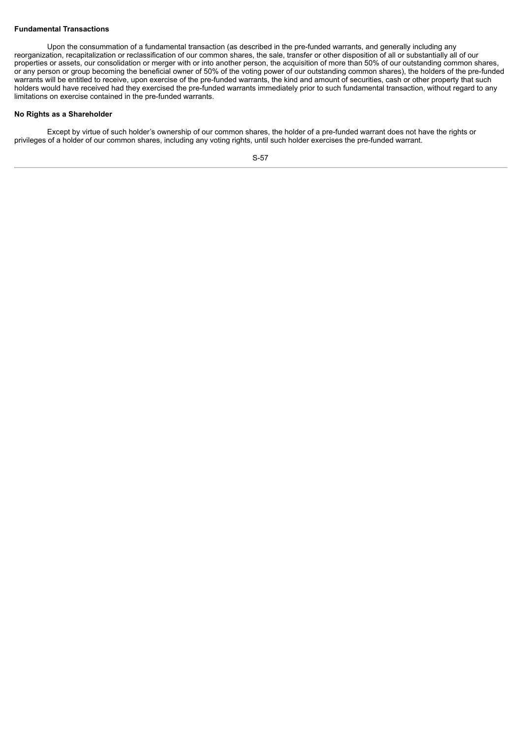# **Fundamental Transactions**

Upon the consummation of a fundamental transaction (as described in the pre-funded warrants, and generally including any reorganization, recapitalization or reclassification of our common shares, the sale, transfer or other disposition of all or substantially all of our properties or assets, our consolidation or merger with or into another person, the acquisition of more than 50% of our outstanding common shares, or any person or group becoming the beneficial owner of 50% of the voting power of our outstanding common shares), the holders of the pre-funded warrants will be entitled to receive, upon exercise of the pre-funded warrants, the kind and amount of securities, cash or other property that such holders would have received had they exercised the pre-funded warrants immediately prior to such fundamental transaction, without regard to any limitations on exercise contained in the pre-funded warrants.

# **No Rights as a Shareholder**

Except by virtue of such holder's ownership of our common shares, the holder of a pre-funded warrant does not have the rights or privileges of a holder of our common shares, including any voting rights, until such holder exercises the pre-funded warrant.

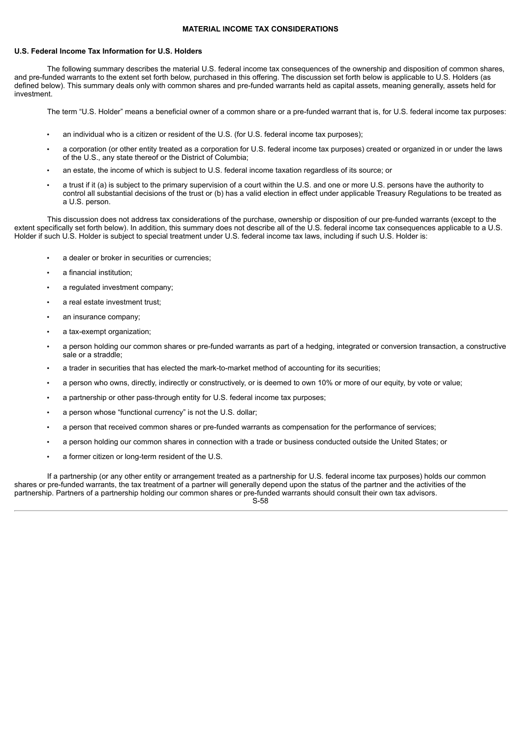## **MATERIAL INCOME TAX CONSIDERATIONS**

## **U.S. Federal Income Tax Information for U.S. Holders**

The following summary describes the material U.S. federal income tax consequences of the ownership and disposition of common shares, and pre-funded warrants to the extent set forth below, purchased in this offering. The discussion set forth below is applicable to U.S. Holders (as defined below). This summary deals only with common shares and pre-funded warrants held as capital assets, meaning generally, assets held for investment.

The term "U.S. Holder" means a beneficial owner of a common share or a pre-funded warrant that is, for U.S. federal income tax purposes:

- an individual who is a citizen or resident of the U.S. (for U.S. federal income tax purposes);
- a corporation (or other entity treated as a corporation for U.S. federal income tax purposes) created or organized in or under the laws of the U.S., any state thereof or the District of Columbia;
- an estate, the income of which is subject to U.S. federal income taxation regardless of its source; or
- a trust if it (a) is subject to the primary supervision of a court within the U.S. and one or more U.S. persons have the authority to control all substantial decisions of the trust or (b) has a valid election in effect under applicable Treasury Regulations to be treated as a U.S. person.

This discussion does not address tax considerations of the purchase, ownership or disposition of our pre-funded warrants (except to the extent specifically set forth below). In addition, this summary does not describe all of the U.S. federal income tax consequences applicable to a U.S. Holder if such U.S. Holder is subject to special treatment under U.S. federal income tax laws, including if such U.S. Holder is:

- a dealer or broker in securities or currencies:
- a financial institution;
- a regulated investment company;
- a real estate investment trust;
- an insurance company;
- a tax-exempt organization;
- a person holding our common shares or pre-funded warrants as part of a hedging, integrated or conversion transaction, a constructive sale or a straddle;
- a trader in securities that has elected the mark-to-market method of accounting for its securities;
- a person who owns, directly, indirectly or constructively, or is deemed to own 10% or more of our equity, by vote or value;
- a partnership or other pass-through entity for U.S. federal income tax purposes;
- a person whose "functional currency" is not the U.S. dollar;
- a person that received common shares or pre-funded warrants as compensation for the performance of services;
- a person holding our common shares in connection with a trade or business conducted outside the United States; or
- a former citizen or long-term resident of the U.S.

If a partnership (or any other entity or arrangement treated as a partnership for U.S. federal income tax purposes) holds our common shares or pre-funded warrants, the tax treatment of a partner will generally depend upon the status of the partner and the activities of the partnership. Partners of a partnership holding our common shares or pre-funded warrants should consult their own tax advisors.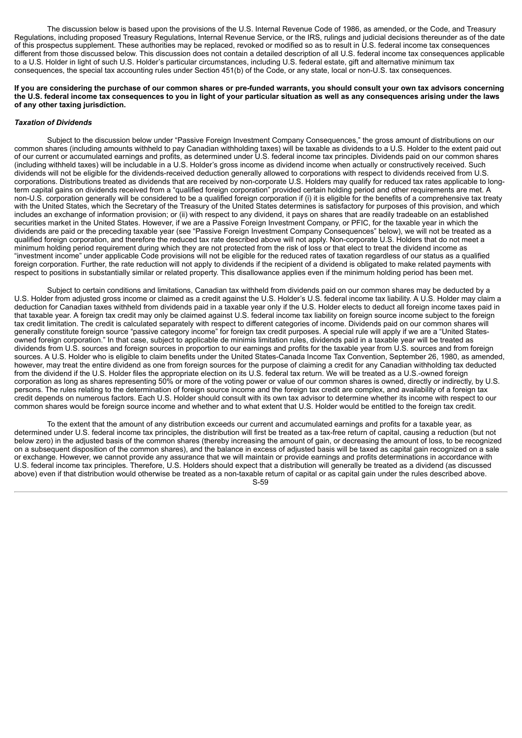The discussion below is based upon the provisions of the U.S. Internal Revenue Code of 1986, as amended, or the Code, and Treasury Regulations, including proposed Treasury Regulations, Internal Revenue Service, or the IRS, rulings and judicial decisions thereunder as of the date of this prospectus supplement. These authorities may be replaced, revoked or modified so as to result in U.S. federal income tax consequences different from those discussed below. This discussion does not contain a detailed description of all U.S. federal income tax consequences applicable to a U.S. Holder in light of such U.S. Holder's particular circumstances, including U.S. federal estate, gift and alternative minimum tax consequences, the special tax accounting rules under Section 451(b) of the Code, or any state, local or non-U.S. tax consequences.

#### If you are considering the purchase of our common shares or pre-funded warrants, you should consult your own tax advisors concerning the U.S. federal income tax consequences to you in light of your particular situation as well as any consequences arising under the laws **of any other taxing jurisdiction.**

#### *Taxation of Dividends*

Subject to the discussion below under "Passive Foreign Investment Company Consequences," the gross amount of distributions on our common shares (including amounts withheld to pay Canadian withholding taxes) will be taxable as dividends to a U.S. Holder to the extent paid out of our current or accumulated earnings and profits, as determined under U.S. federal income tax principles. Dividends paid on our common shares (including withheld taxes) will be includable in a U.S. Holder's gross income as dividend income when actually or constructively received. Such dividends will not be eligible for the dividends-received deduction generally allowed to corporations with respect to dividends received from U.S. corporations. Distributions treated as dividends that are received by non-corporate U.S. Holders may qualify for reduced tax rates applicable to longterm capital gains on dividends received from a "qualified foreign corporation" provided certain holding period and other requirements are met. A non-U.S. corporation generally will be considered to be a qualified foreign corporation if (i) it is eligible for the benefits of a comprehensive tax treaty with the United States, which the Secretary of the Treasury of the United States determines is satisfactory for purposes of this provision, and which includes an exchange of information provision; or (ii) with respect to any dividend, it pays on shares that are readily tradeable on an established securities market in the United States. However, if we are a Passive Foreign Investment Company, or PFIC, for the taxable year in which the dividends are paid or the preceding taxable year (see "Passive Foreign Investment Company Consequences" below), we will not be treated as a qualified foreign corporation, and therefore the reduced tax rate described above will not apply. Non-corporate U.S. Holders that do not meet a minimum holding period requirement during which they are not protected from the risk of loss or that elect to treat the dividend income as "investment income" under applicable Code provisions will not be eligible for the reduced rates of taxation regardless of our status as a qualified foreign corporation. Further, the rate reduction will not apply to dividends if the recipient of a dividend is obligated to make related payments with respect to positions in substantially similar or related property. This disallowance applies even if the minimum holding period has been met.

Subject to certain conditions and limitations, Canadian tax withheld from dividends paid on our common shares may be deducted by a U.S. Holder from adjusted gross income or claimed as a credit against the U.S. Holder's U.S. federal income tax liability. A U.S. Holder may claim a deduction for Canadian taxes withheld from dividends paid in a taxable year only if the U.S. Holder elects to deduct all foreign income taxes paid in that taxable year. A foreign tax credit may only be claimed against U.S. federal income tax liability on foreign source income subject to the foreign tax credit limitation. The credit is calculated separately with respect to different categories of income. Dividends paid on our common shares will generally constitute foreign source "passive category income" for foreign tax credit purposes. A special rule will apply if we are a "United Statesowned foreign corporation." In that case, subject to applicable de minimis limitation rules, dividends paid in a taxable year will be treated as dividends from U.S. sources and foreign sources in proportion to our earnings and profits for the taxable year from U.S. sources and from foreign sources. A U.S. Holder who is eligible to claim benefits under the United States-Canada Income Tax Convention, September 26, 1980, as amended, however, may treat the entire dividend as one from foreign sources for the purpose of claiming a credit for any Canadian withholding tax deducted from the dividend if the U.S. Holder files the appropriate election on its U.S. federal tax return. We will be treated as a U.S.-owned foreign corporation as long as shares representing 50% or more of the voting power or value of our common shares is owned, directly or indirectly, by U.S. persons. The rules relating to the determination of foreign source income and the foreign tax credit are complex, and availability of a foreign tax credit depends on numerous factors. Each U.S. Holder should consult with its own tax advisor to determine whether its income with respect to our common shares would be foreign source income and whether and to what extent that U.S. Holder would be entitled to the foreign tax credit.

To the extent that the amount of any distribution exceeds our current and accumulated earnings and profits for a taxable year, as determined under U.S. federal income tax principles, the distribution will first be treated as a tax-free return of capital, causing a reduction (but not below zero) in the adjusted basis of the common shares (thereby increasing the amount of gain, or decreasing the amount of loss, to be recognized on a subsequent disposition of the common shares), and the balance in excess of adjusted basis will be taxed as capital gain recognized on a sale or exchange. However, we cannot provide any assurance that we will maintain or provide earnings and profits determinations in accordance with U.S. federal income tax principles. Therefore, U.S. Holders should expect that a distribution will generally be treated as a dividend (as discussed above) even if that distribution would otherwise be treated as a non-taxable return of capital or as capital gain under the rules described above. S-59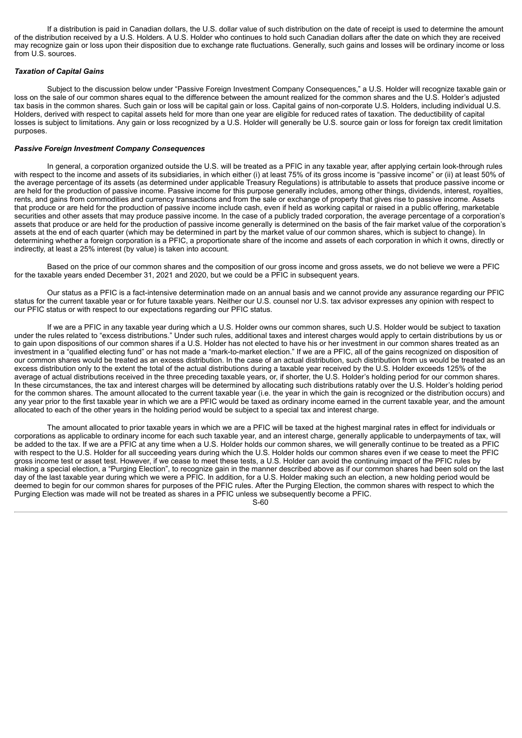If a distribution is paid in Canadian dollars, the U.S. dollar value of such distribution on the date of receipt is used to determine the amount of the distribution received by a U.S. Holders. A U.S. Holder who continues to hold such Canadian dollars after the date on which they are received may recognize gain or loss upon their disposition due to exchange rate fluctuations. Generally, such gains and losses will be ordinary income or loss from U.S. sources.

## *Taxation of Capital Gains*

Subject to the discussion below under "Passive Foreign Investment Company Consequences," a U.S. Holder will recognize taxable gain or loss on the sale of our common shares equal to the difference between the amount realized for the common shares and the U.S. Holder's adjusted tax basis in the common shares. Such gain or loss will be capital gain or loss. Capital gains of non-corporate U.S. Holders, including individual U.S. Holders, derived with respect to capital assets held for more than one year are eligible for reduced rates of taxation. The deductibility of capital losses is subject to limitations. Any gain or loss recognized by a U.S. Holder will generally be U.S. source gain or loss for foreign tax credit limitation purposes.

# *Passive Foreign Investment Company Consequences*

In general, a corporation organized outside the U.S. will be treated as a PFIC in any taxable year, after applying certain look-through rules with respect to the income and assets of its subsidiaries, in which either (i) at least 75% of its gross income is "passive income" or (ii) at least 50% of the average percentage of its assets (as determined under applicable Treasury Regulations) is attributable to assets that produce passive income or are held for the production of passive income. Passive income for this purpose generally includes, among other things, dividends, interest, royalties, rents, and gains from commodities and currency transactions and from the sale or exchange of property that gives rise to passive income. Assets that produce or are held for the production of passive income include cash, even if held as working capital or raised in a public offering, marketable securities and other assets that may produce passive income. In the case of a publicly traded corporation, the average percentage of a corporation's assets that produce or are held for the production of passive income generally is determined on the basis of the fair market value of the corporation's assets at the end of each quarter (which may be determined in part by the market value of our common shares, which is subject to change). In determining whether a foreign corporation is a PFIC, a proportionate share of the income and assets of each corporation in which it owns, directly or indirectly, at least a 25% interest (by value) is taken into account.

Based on the price of our common shares and the composition of our gross income and gross assets, we do not believe we were a PFIC for the taxable years ended December 31, 2021 and 2020, but we could be a PFIC in subsequent years.

Our status as a PFIC is a fact-intensive determination made on an annual basis and we cannot provide any assurance regarding our PFIC status for the current taxable year or for future taxable years. Neither our U.S. counsel nor U.S. tax advisor expresses any opinion with respect to our PFIC status or with respect to our expectations regarding our PFIC status.

If we are a PFIC in any taxable year during which a U.S. Holder owns our common shares, such U.S. Holder would be subject to taxation under the rules related to "excess distributions." Under such rules, additional taxes and interest charges would apply to certain distributions by us or to gain upon dispositions of our common shares if a U.S. Holder has not elected to have his or her investment in our common shares treated as an investment in a "qualified electing fund" or has not made a "mark-to-market election." If we are a PFIC, all of the gains recognized on disposition of our common shares would be treated as an excess distribution. In the case of an actual distribution, such distribution from us would be treated as an excess distribution only to the extent the total of the actual distributions during a taxable year received by the U.S. Holder exceeds 125% of the average of actual distributions received in the three preceding taxable years, or, if shorter, the U.S. Holder's holding period for our common shares. In these circumstances, the tax and interest charges will be determined by allocating such distributions ratably over the U.S. Holder's holding period for the common shares. The amount allocated to the current taxable year (i.e. the year in which the gain is recognized or the distribution occurs) and any year prior to the first taxable year in which we are a PFIC would be taxed as ordinary income earned in the current taxable year, and the amount allocated to each of the other years in the holding period would be subject to a special tax and interest charge.

The amount allocated to prior taxable years in which we are a PFIC will be taxed at the highest marginal rates in effect for individuals or corporations as applicable to ordinary income for each such taxable year, and an interest charge, generally applicable to underpayments of tax, will be added to the tax. If we are a PFIC at any time when a U.S. Holder holds our common shares, we will generally continue to be treated as a PFIC with respect to the U.S. Holder for all succeeding years during which the U.S. Holder holds our common shares even if we cease to meet the PFIC gross income test or asset test. However, if we cease to meet these tests, a U.S. Holder can avoid the continuing impact of the PFIC rules by making a special election, a "Purging Election", to recognize gain in the manner described above as if our common shares had been sold on the last day of the last taxable year during which we were a PFIC. In addition, for a U.S. Holder making such an election, a new holding period would be deemed to begin for our common shares for purposes of the PFIC rules. After the Purging Election, the common shares with respect to which the Purging Election was made will not be treated as shares in a PFIC unless we subsequently become a PFIC.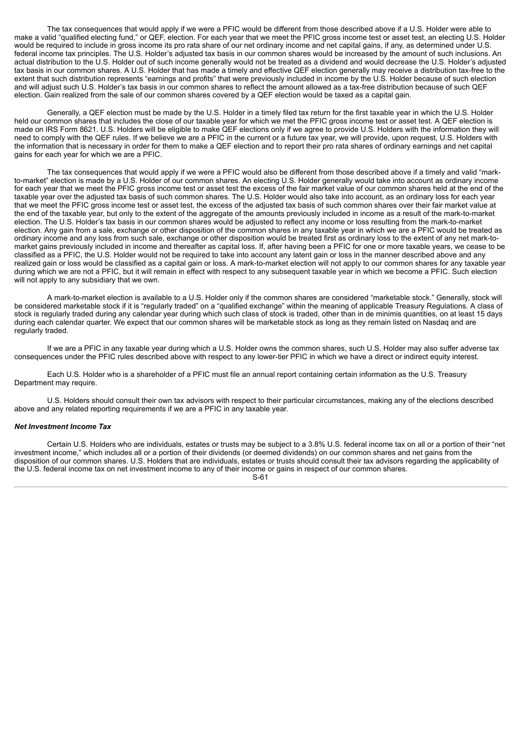The tax consequences that would apply if we were a PFIC would be different from those described above if a U.S. Holder were able to make a valid "qualified electing fund," or QEF, election. For each year that we meet the PFIC gross income test or asset test, an electing U.S. Holder would be required to include in gross income its pro rata share of our net ordinary income and net capital gains, if any, as determined under U.S. federal income tax principles. The U.S. Holder's adjusted tax basis in our common shares would be increased by the amount of such inclusions. An actual distribution to the U.S. Holder out of such income generally would not be treated as a dividend and would decrease the U.S. Holder's adjusted tax basis in our common shares. A U.S. Holder that has made a timely and effective QEF election generally may receive a distribution tax-free to the extent that such distribution represents "earnings and profits" that were previously included in income by the U.S. Holder because of such election and will adjust such U.S. Holder's tax basis in our common shares to reflect the amount allowed as a tax-free distribution because of such QEF election. Gain realized from the sale of our common shares covered by a QEF election would be taxed as a capital gain.

Generally, a QEF election must be made by the U.S. Holder in a timely filed tax return for the first taxable year in which the U.S. Holder held our common shares that includes the close of our taxable year for which we met the PFIC gross income test or asset test. A QEF election is made on IRS Form 8621. U.S. Holders will be eligible to make QEF elections only if we agree to provide U.S. Holders with the information they will need to comply with the QEF rules. If we believe we are a PFIC in the current or a future tax year, we will provide, upon request, U.S. Holders with the information that is necessary in order for them to make a QEF election and to report their pro rata shares of ordinary earnings and net capital gains for each year for which we are a PFIC.

The tax consequences that would apply if we were a PFIC would also be different from those described above if a timely and valid "markto-market" election is made by a U.S. Holder of our common shares. An electing U.S. Holder generally would take into account as ordinary income for each year that we meet the PFIC gross income test or asset test the excess of the fair market value of our common shares held at the end of the taxable year over the adjusted tax basis of such common shares. The U.S. Holder would also take into account, as an ordinary loss for each year that we meet the PFIC gross income test or asset test, the excess of the adjusted tax basis of such common shares over their fair market value at the end of the taxable year, but only to the extent of the aggregate of the amounts previously included in income as a result of the mark-to-market election. The U.S. Holder's tax basis in our common shares would be adjusted to reflect any income or loss resulting from the mark-to-market election. Any gain from a sale, exchange or other disposition of the common shares in any taxable year in which we are a PFIC would be treated as ordinary income and any loss from such sale, exchange or other disposition would be treated first as ordinary loss to the extent of any net mark-tomarket gains previously included in income and thereafter as capital loss. If, after having been a PFIC for one or more taxable years, we cease to be classified as a PFIC, the U.S. Holder would not be required to take into account any latent gain or loss in the manner described above and any realized gain or loss would be classified as a capital gain or loss. A mark-to-market election will not apply to our common shares for any taxable year during which we are not a PFIC, but it will remain in effect with respect to any subsequent taxable year in which we become a PFIC. Such election will not apply to any subsidiary that we own.

A mark-to-market election is available to a U.S. Holder only if the common shares are considered "marketable stock." Generally, stock will be considered marketable stock if it is "regularly traded" on a "qualified exchange" within the meaning of applicable Treasury Regulations. A class of stock is regularly traded during any calendar year during which such class of stock is traded, other than in de minimis quantities, on at least 15 days during each calendar quarter. We expect that our common shares will be marketable stock as long as they remain listed on Nasdaq and are regularly traded.

If we are a PFIC in any taxable year during which a U.S. Holder owns the common shares, such U.S. Holder may also suffer adverse tax consequences under the PFIC rules described above with respect to any lower-tier PFIC in which we have a direct or indirect equity interest.

Each U.S. Holder who is a shareholder of a PFIC must file an annual report containing certain information as the U.S. Treasury Department may require.

U.S. Holders should consult their own tax advisors with respect to their particular circumstances, making any of the elections described above and any related reporting requirements if we are a PFIC in any taxable year.

# *Net Investment Income Tax*

Certain U.S. Holders who are individuals, estates or trusts may be subject to a 3.8% U.S. federal income tax on all or a portion of their "net investment income," which includes all or a portion of their dividends (or deemed dividends) on our common shares and net gains from the disposition of our common shares. U.S. Holders that are individuals, estates or trusts should consult their tax advisors regarding the applicability of the U.S. federal income tax on net investment income to any of their income or gains in respect of our common shares.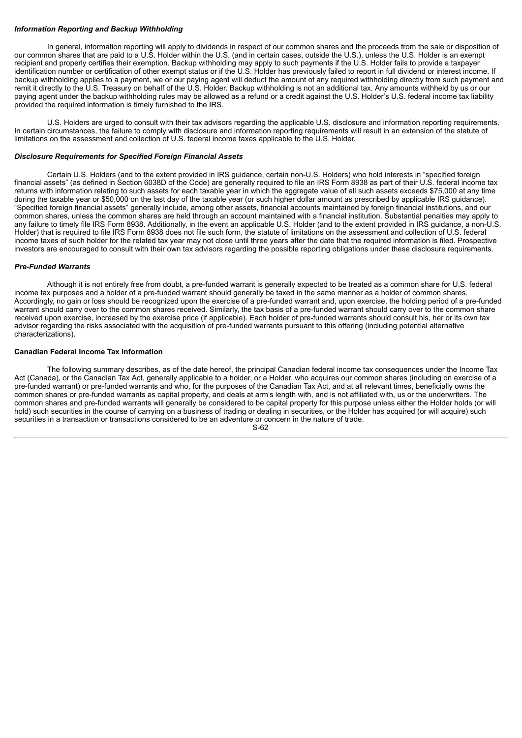# *Information Reporting and Backup Withholding*

In general, information reporting will apply to dividends in respect of our common shares and the proceeds from the sale or disposition of our common shares that are paid to a U.S. Holder within the U.S. (and in certain cases, outside the U.S.), unless the U.S. Holder is an exempt recipient and properly certifies their exemption. Backup withholding may apply to such payments if the U.S. Holder fails to provide a taxpayer identification number or certification of other exempt status or if the U.S. Holder has previously failed to report in full dividend or interest income. If backup withholding applies to a payment, we or our paying agent will deduct the amount of any required withholding directly from such payment and remit it directly to the U.S. Treasury on behalf of the U.S. Holder. Backup withholding is not an additional tax. Any amounts withheld by us or our paying agent under the backup withholding rules may be allowed as a refund or a credit against the U.S. Holder's U.S. federal income tax liability provided the required information is timely furnished to the IRS.

U.S. Holders are urged to consult with their tax advisors regarding the applicable U.S. disclosure and information reporting requirements. In certain circumstances, the failure to comply with disclosure and information reporting requirements will result in an extension of the statute of limitations on the assessment and collection of U.S. federal income taxes applicable to the U.S. Holder.

# *Disclosure Requirements for Specified Foreign Financial Assets*

Certain U.S. Holders (and to the extent provided in IRS guidance, certain non-U.S. Holders) who hold interests in "specified foreign financial assets" (as defined in Section 6038D of the Code) are generally required to file an IRS Form 8938 as part of their U.S. federal income tax returns with information relating to such assets for each taxable year in which the aggregate value of all such assets exceeds \$75,000 at any time during the taxable year or \$50,000 on the last day of the taxable year (or such higher dollar amount as prescribed by applicable IRS guidance). "Specified foreign financial assets" generally include, among other assets, financial accounts maintained by foreign financial institutions, and our common shares, unless the common shares are held through an account maintained with a financial institution. Substantial penalties may apply to any failure to timely file IRS Form 8938. Additionally, in the event an applicable U.S. Holder (and to the extent provided in IRS guidance, a non-U.S. Holder) that is required to file IRS Form 8938 does not file such form, the statute of limitations on the assessment and collection of U.S. federal income taxes of such holder for the related tax year may not close until three years after the date that the required information is filed. Prospective investors are encouraged to consult with their own tax advisors regarding the possible reporting obligations under these disclosure requirements.

## *Pre-Funded Warrants*

Although it is not entirely free from doubt, a pre-funded warrant is generally expected to be treated as a common share for U.S. federal income tax purposes and a holder of a pre-funded warrant should generally be taxed in the same manner as a holder of common shares. Accordingly, no gain or loss should be recognized upon the exercise of a pre-funded warrant and, upon exercise, the holding period of a pre-funded warrant should carry over to the common shares received. Similarly, the tax basis of a pre-funded warrant should carry over to the common share received upon exercise, increased by the exercise price (if applicable). Each holder of pre-funded warrants should consult his, her or its own tax advisor regarding the risks associated with the acquisition of pre-funded warrants pursuant to this offering (including potential alternative characterizations).

### **Canadian Federal Income Tax Information**

The following summary describes, as of the date hereof, the principal Canadian federal income tax consequences under the Income Tax Act (Canada), or the Canadian Tax Act, generally applicable to a holder, or a Holder, who acquires our common shares (including on exercise of a pre-funded warrant) or pre-funded warrants and who, for the purposes of the Canadian Tax Act, and at all relevant times, beneficially owns the common shares or pre-funded warrants as capital property, and deals at arm's length with, and is not affiliated with, us or the underwriters. The common shares and pre-funded warrants will generally be considered to be capital property for this purpose unless either the Holder holds (or will hold) such securities in the course of carrying on a business of trading or dealing in securities, or the Holder has acquired (or will acquire) such securities in a transaction or transactions considered to be an adventure or concern in the nature of trade.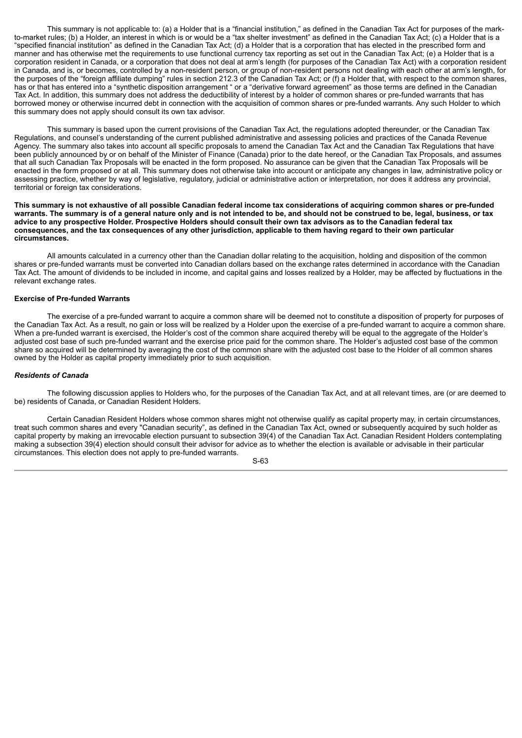This summary is not applicable to: (a) a Holder that is a "financial institution," as defined in the Canadian Tax Act for purposes of the markto-market rules; (b) a Holder, an interest in which is or would be a "tax shelter investment" as defined in the Canadian Tax Act; (c) a Holder that is a "specified financial institution" as defined in the Canadian Tax Act; (d) a Holder that is a corporation that has elected in the prescribed form and manner and has otherwise met the requirements to use functional currency tax reporting as set out in the Canadian Tax Act; (e) a Holder that is a corporation resident in Canada, or a corporation that does not deal at arm's length (for purposes of the Canadian Tax Act) with a corporation resident in Canada, and is, or becomes, controlled by a non-resident person, or group of non-resident persons not dealing with each other at arm's length, for the purposes of the "foreign affiliate dumping" rules in section 212.3 of the Canadian Tax Act; or (f) a Holder that, with respect to the common shares, has or that has entered into a "synthetic disposition arrangement " or a "derivative forward agreement" as those terms are defined in the Canadian Tax Act. In addition, this summary does not address the deductibility of interest by a holder of common shares or pre-funded warrants that has borrowed money or otherwise incurred debt in connection with the acquisition of common shares or pre-funded warrants. Any such Holder to which this summary does not apply should consult its own tax advisor.

This summary is based upon the current provisions of the Canadian Tax Act, the regulations adopted thereunder, or the Canadian Tax Regulations, and counsel's understanding of the current published administrative and assessing policies and practices of the Canada Revenue Agency. The summary also takes into account all specific proposals to amend the Canadian Tax Act and the Canadian Tax Regulations that have been publicly announced by or on behalf of the Minister of Finance (Canada) prior to the date hereof, or the Canadian Tax Proposals, and assumes that all such Canadian Tax Proposals will be enacted in the form proposed. No assurance can be given that the Canadian Tax Proposals will be enacted in the form proposed or at all. This summary does not otherwise take into account or anticipate any changes in law, administrative policy or assessing practice, whether by way of legislative, regulatory, judicial or administrative action or interpretation, nor does it address any provincial, territorial or foreign tax considerations.

#### This summary is not exhaustive of all possible Canadian federal income tax considerations of acquiring common shares or pre-funded warrants. The summary is of a general nature only and is not intended to be, and should not be construed to be, legal, business, or tax advice to any prospective Holder. Prospective Holders should consult their own tax advisors as to the Canadian federal tax consequences, and the tax consequences of any other jurisdiction, applicable to them having regard to their own particular **circumstances.**

All amounts calculated in a currency other than the Canadian dollar relating to the acquisition, holding and disposition of the common shares or pre-funded warrants must be converted into Canadian dollars based on the exchange rates determined in accordance with the Canadian Tax Act. The amount of dividends to be included in income, and capital gains and losses realized by a Holder, may be affected by fluctuations in the relevant exchange rates.

## **Exercise of Pre-funded Warrants**

The exercise of a pre-funded warrant to acquire a common share will be deemed not to constitute a disposition of property for purposes of the Canadian Tax Act. As a result, no gain or loss will be realized by a Holder upon the exercise of a pre-funded warrant to acquire a common share. When a pre-funded warrant is exercised, the Holder's cost of the common share acquired thereby will be equal to the aggregate of the Holder's adjusted cost base of such pre-funded warrant and the exercise price paid for the common share. The Holder's adjusted cost base of the common share so acquired will be determined by averaging the cost of the common share with the adjusted cost base to the Holder of all common shares owned by the Holder as capital property immediately prior to such acquisition.

## *Residents of Canada*

The following discussion applies to Holders who, for the purposes of the Canadian Tax Act, and at all relevant times, are (or are deemed to be) residents of Canada, or Canadian Resident Holders.

Certain Canadian Resident Holders whose common shares might not otherwise qualify as capital property may, in certain circumstances, treat such common shares and every "Canadian security", as defined in the Canadian Tax Act, owned or subsequently acquired by such holder as capital property by making an irrevocable election pursuant to subsection 39(4) of the Canadian Tax Act. Canadian Resident Holders contemplating making a subsection 39(4) election should consult their advisor for advice as to whether the election is available or advisable in their particular circumstances. This election does not apply to pre-funded warrants.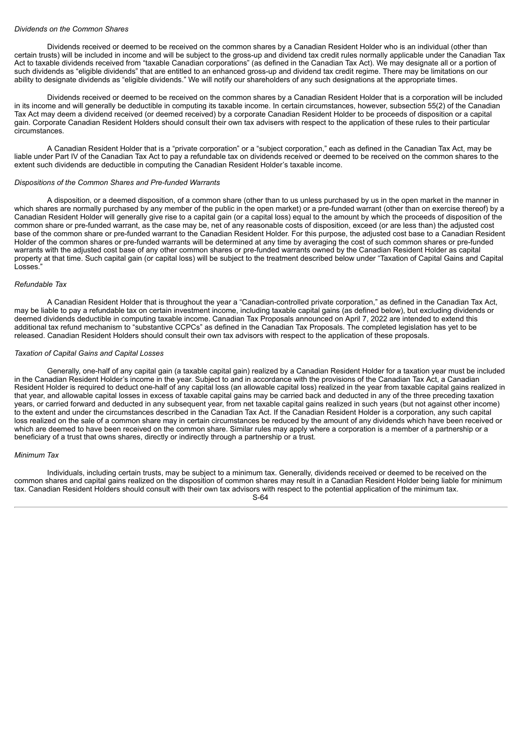#### *Dividends on the Common Shares*

Dividends received or deemed to be received on the common shares by a Canadian Resident Holder who is an individual (other than certain trusts) will be included in income and will be subject to the gross-up and dividend tax credit rules normally applicable under the Canadian Tax Act to taxable dividends received from "taxable Canadian corporations" (as defined in the Canadian Tax Act). We may designate all or a portion of such dividends as "eligible dividends" that are entitled to an enhanced gross-up and dividend tax credit regime. There may be limitations on our ability to designate dividends as "eligible dividends." We will notify our shareholders of any such designations at the appropriate times.

Dividends received or deemed to be received on the common shares by a Canadian Resident Holder that is a corporation will be included in its income and will generally be deductible in computing its taxable income. In certain circumstances, however, subsection 55(2) of the Canadian Tax Act may deem a dividend received (or deemed received) by a corporate Canadian Resident Holder to be proceeds of disposition or a capital gain. Corporate Canadian Resident Holders should consult their own tax advisers with respect to the application of these rules to their particular circumstances.

A Canadian Resident Holder that is a "private corporation" or a "subject corporation," each as defined in the Canadian Tax Act, may be liable under Part IV of the Canadian Tax Act to pay a refundable tax on dividends received or deemed to be received on the common shares to the extent such dividends are deductible in computing the Canadian Resident Holder's taxable income.

#### *Dispositions of the Common Shares and Pre-funded Warrants*

A disposition, or a deemed disposition, of a common share (other than to us unless purchased by us in the open market in the manner in which shares are normally purchased by any member of the public in the open market) or a pre-funded warrant (other than on exercise thereof) by a Canadian Resident Holder will generally give rise to a capital gain (or a capital loss) equal to the amount by which the proceeds of disposition of the common share or pre-funded warrant, as the case may be, net of any reasonable costs of disposition, exceed (or are less than) the adjusted cost base of the common share or pre-funded warrant to the Canadian Resident Holder. For this purpose, the adjusted cost base to a Canadian Resident Holder of the common shares or pre-funded warrants will be determined at any time by averaging the cost of such common shares or pre-funded warrants with the adjusted cost base of any other common shares or pre-funded warrants owned by the Canadian Resident Holder as capital property at that time. Such capital gain (or capital loss) will be subject to the treatment described below under "Taxation of Capital Gains and Capital Losses."

#### *Refundable Tax*

A Canadian Resident Holder that is throughout the year a "Canadian-controlled private corporation," as defined in the Canadian Tax Act, may be liable to pay a refundable tax on certain investment income, including taxable capital gains (as defined below), but excluding dividends or deemed dividends deductible in computing taxable income. Canadian Tax Proposals announced on April 7, 2022 are intended to extend this additional tax refund mechanism to "substantive CCPCs" as defined in the Canadian Tax Proposals. The completed legislation has yet to be released. Canadian Resident Holders should consult their own tax advisors with respect to the application of these proposals.

### *Taxation of Capital Gains and Capital Losses*

Generally, one-half of any capital gain (a taxable capital gain) realized by a Canadian Resident Holder for a taxation year must be included in the Canadian Resident Holder's income in the year. Subject to and in accordance with the provisions of the Canadian Tax Act, a Canadian Resident Holder is required to deduct one-half of any capital loss (an allowable capital loss) realized in the year from taxable capital gains realized in that year, and allowable capital losses in excess of taxable capital gains may be carried back and deducted in any of the three preceding taxation years, or carried forward and deducted in any subsequent year, from net taxable capital gains realized in such years (but not against other income) to the extent and under the circumstances described in the Canadian Tax Act. If the Canadian Resident Holder is a corporation, any such capital loss realized on the sale of a common share may in certain circumstances be reduced by the amount of any dividends which have been received or which are deemed to have been received on the common share. Similar rules may apply where a corporation is a member of a partnership or a beneficiary of a trust that owns shares, directly or indirectly through a partnership or a trust.

# *Minimum Tax*

Individuals, including certain trusts, may be subject to a minimum tax. Generally, dividends received or deemed to be received on the common shares and capital gains realized on the disposition of common shares may result in a Canadian Resident Holder being liable for minimum tax. Canadian Resident Holders should consult with their own tax advisors with respect to the potential application of the minimum tax.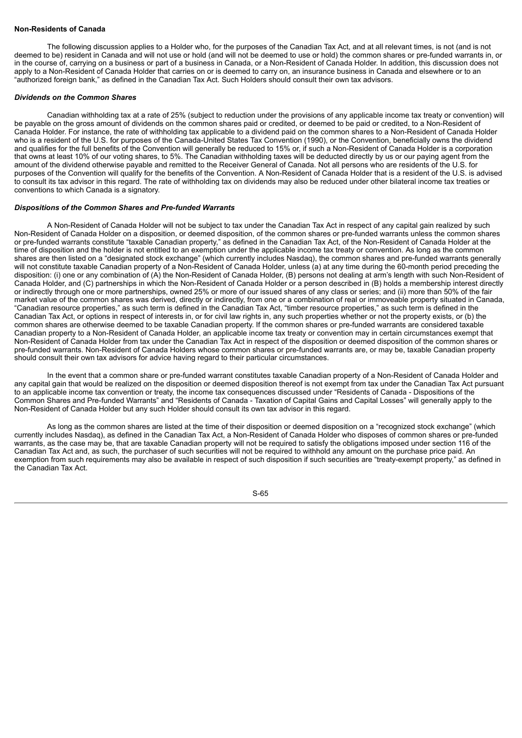# **Non-Residents of Canada**

The following discussion applies to a Holder who, for the purposes of the Canadian Tax Act, and at all relevant times, is not (and is not deemed to be) resident in Canada and will not use or hold (and will not be deemed to use or hold) the common shares or pre-funded warrants in, or in the course of, carrying on a business or part of a business in Canada, or a Non-Resident of Canada Holder. In addition, this discussion does not apply to a Non-Resident of Canada Holder that carries on or is deemed to carry on, an insurance business in Canada and elsewhere or to an "authorized foreign bank," as defined in the Canadian Tax Act. Such Holders should consult their own tax advisors.

#### *Dividends on the Common Shares*

Canadian withholding tax at a rate of 25% (subject to reduction under the provisions of any applicable income tax treaty or convention) will be payable on the gross amount of dividends on the common shares paid or credited, or deemed to be paid or credited, to a Non-Resident of Canada Holder. For instance, the rate of withholding tax applicable to a dividend paid on the common shares to a Non-Resident of Canada Holder who is a resident of the U.S. for purposes of the Canada-United States Tax Convention (1990), or the Convention, beneficially owns the dividend and qualifies for the full benefits of the Convention will generally be reduced to 15% or, if such a Non-Resident of Canada Holder is a corporation that owns at least 10% of our voting shares, to 5%. The Canadian withholding taxes will be deducted directly by us or our paying agent from the amount of the dividend otherwise payable and remitted to the Receiver General of Canada. Not all persons who are residents of the U.S. for purposes of the Convention will qualify for the benefits of the Convention. A Non-Resident of Canada Holder that is a resident of the U.S. is advised to consult its tax advisor in this regard. The rate of withholding tax on dividends may also be reduced under other bilateral income tax treaties or conventions to which Canada is a signatory.

#### *Dispositions of the Common Shares and Pre-funded Warrants*

A Non-Resident of Canada Holder will not be subject to tax under the Canadian Tax Act in respect of any capital gain realized by such Non-Resident of Canada Holder on a disposition, or deemed disposition, of the common shares or pre-funded warrants unless the common shares or pre-funded warrants constitute "taxable Canadian property," as defined in the Canadian Tax Act, of the Non-Resident of Canada Holder at the time of disposition and the holder is not entitled to an exemption under the applicable income tax treaty or convention. As long as the common shares are then listed on a "designated stock exchange" (which currently includes Nasdaq), the common shares and pre-funded warrants generally will not constitute taxable Canadian property of a Non-Resident of Canada Holder, unless (a) at any time during the 60-month period preceding the disposition: (i) one or any combination of (A) the Non-Resident of Canada Holder, (B) persons not dealing at arm's length with such Non-Resident of Canada Holder, and (C) partnerships in which the Non-Resident of Canada Holder or a person described in (B) holds a membership interest directly or indirectly through one or more partnerships, owned 25% or more of our issued shares of any class or series; and (ii) more than 50% of the fair market value of the common shares was derived, directly or indirectly, from one or a combination of real or immoveable property situated in Canada, "Canadian resource properties," as such term is defined in the Canadian Tax Act, "timber resource properties," as such term is defined in the Canadian Tax Act, or options in respect of interests in, or for civil law rights in, any such properties whether or not the property exists, or (b) the common shares are otherwise deemed to be taxable Canadian property. If the common shares or pre-funded warrants are considered taxable Canadian property to a Non-Resident of Canada Holder, an applicable income tax treaty or convention may in certain circumstances exempt that Non-Resident of Canada Holder from tax under the Canadian Tax Act in respect of the disposition or deemed disposition of the common shares or pre-funded warrants. Non-Resident of Canada Holders whose common shares or pre-funded warrants are, or may be, taxable Canadian property should consult their own tax advisors for advice having regard to their particular circumstances.

In the event that a common share or pre-funded warrant constitutes taxable Canadian property of a Non-Resident of Canada Holder and any capital gain that would be realized on the disposition or deemed disposition thereof is not exempt from tax under the Canadian Tax Act pursuant to an applicable income tax convention or treaty, the income tax consequences discussed under "Residents of Canada - Dispositions of the Common Shares and Pre-funded Warrants" and "Residents of Canada - Taxation of Capital Gains and Capital Losses" will generally apply to the Non-Resident of Canada Holder but any such Holder should consult its own tax advisor in this regard.

As long as the common shares are listed at the time of their disposition or deemed disposition on a "recognized stock exchange" (which currently includes Nasdaq), as defined in the Canadian Tax Act, a Non-Resident of Canada Holder who disposes of common shares or pre-funded warrants, as the case may be, that are taxable Canadian property will not be required to satisfy the obligations imposed under section 116 of the Canadian Tax Act and, as such, the purchaser of such securities will not be required to withhold any amount on the purchase price paid. An exemption from such requirements may also be available in respect of such disposition if such securities are "treaty-exempt property," as defined in the Canadian Tax Act.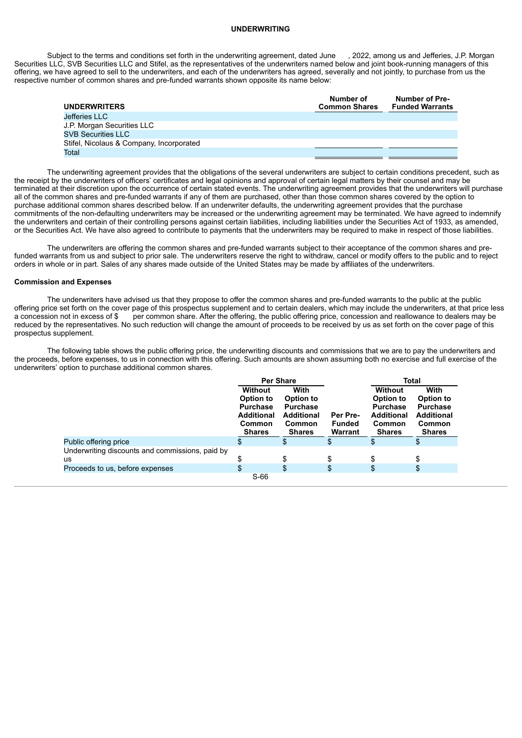#### **UNDERWRITING**

Subject to the terms and conditions set forth in the underwriting agreement, dated June , 2022, among us and Jefferies, J.P. Morgan Securities LLC, SVB Securities LLC and Stifel, as the representatives of the underwriters named below and joint book-running managers of this offering, we have agreed to sell to the underwriters, and each of the underwriters has agreed, severally and not jointly, to purchase from us the respective number of common shares and pre-funded warrants shown opposite its name below:

| <b>UNDERWRITERS</b>                      | Number of<br><b>Common Shares</b> | <b>Number of Pre-</b><br><b>Funded Warrants</b> |
|------------------------------------------|-----------------------------------|-------------------------------------------------|
|                                          |                                   |                                                 |
| Jefferies LLC                            |                                   |                                                 |
| J.P. Morgan Securities LLC               |                                   |                                                 |
| <b>SVB Securities LLC</b>                |                                   |                                                 |
| Stifel, Nicolaus & Company, Incorporated |                                   |                                                 |
| Total                                    |                                   |                                                 |

The underwriting agreement provides that the obligations of the several underwriters are subject to certain conditions precedent, such as the receipt by the underwriters of officers' certificates and legal opinions and approval of certain legal matters by their counsel and may be terminated at their discretion upon the occurrence of certain stated events. The underwriting agreement provides that the underwriters will purchase all of the common shares and pre-funded warrants if any of them are purchased, other than those common shares covered by the option to purchase additional common shares described below. If an underwriter defaults, the underwriting agreement provides that the purchase commitments of the non-defaulting underwriters may be increased or the underwriting agreement may be terminated. We have agreed to indemnify the underwriters and certain of their controlling persons against certain liabilities, including liabilities under the Securities Act of 1933, as amended, or the Securities Act. We have also agreed to contribute to payments that the underwriters may be required to make in respect of those liabilities.

The underwriters are offering the common shares and pre-funded warrants subject to their acceptance of the common shares and prefunded warrants from us and subject to prior sale. The underwriters reserve the right to withdraw, cancel or modify offers to the public and to reject orders in whole or in part. Sales of any shares made outside of the United States may be made by affiliates of the underwriters.

## **Commission and Expenses**

The underwriters have advised us that they propose to offer the common shares and pre-funded warrants to the public at the public offering price set forth on the cover page of this prospectus supplement and to certain dealers, which may include the underwriters, at that price less a concession not in excess of \$ per common share. After the offering, the public offering price, concession and reallowance to dealers may be reduced by the representatives. No such reduction will change the amount of proceeds to be received by us as set forth on the cover page of this prospectus supplement.

The following table shows the public offering price, the underwriting discounts and commissions that we are to pay the underwriters and the proceeds, before expenses, to us in connection with this offering. Such amounts are shown assuming both no exercise and full exercise of the underwriters' option to purchase additional common shares.

|                                                 | <b>Per Share</b>                                                |                                                                 |                                      | Total                                                                  |                                                                 |
|-------------------------------------------------|-----------------------------------------------------------------|-----------------------------------------------------------------|--------------------------------------|------------------------------------------------------------------------|-----------------------------------------------------------------|
|                                                 | <b>Without</b>                                                  | With                                                            |                                      | Without                                                                | With                                                            |
|                                                 | Option to                                                       | Option to                                                       |                                      | Option to                                                              | Option to                                                       |
|                                                 | <b>Purchase</b><br><b>Additional</b><br>Common<br><b>Shares</b> | <b>Purchase</b><br><b>Additional</b><br>Common<br><b>Shares</b> | Per Pre-<br><b>Funded</b><br>Warrant | <b>Purchase</b><br><b>Additional</b><br><b>Common</b><br><b>Shares</b> | <b>Purchase</b><br><b>Additional</b><br>Common<br><b>Shares</b> |
| Public offering price                           | \$                                                              | \$                                                              | \$                                   |                                                                        |                                                                 |
| Underwriting discounts and commissions, paid by |                                                                 |                                                                 |                                      |                                                                        |                                                                 |
| us                                              |                                                                 | \$                                                              | \$                                   |                                                                        |                                                                 |
| Proceeds to us, before expenses                 | \$                                                              | \$                                                              | \$                                   | \$                                                                     | S                                                               |
|                                                 | $S-66$                                                          |                                                                 |                                      |                                                                        |                                                                 |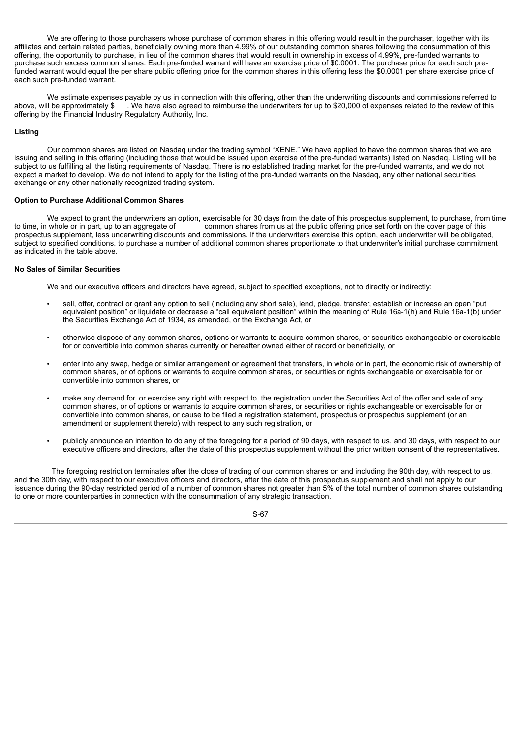We are offering to those purchasers whose purchase of common shares in this offering would result in the purchaser, together with its affiliates and certain related parties, beneficially owning more than 4.99% of our outstanding common shares following the consummation of this offering, the opportunity to purchase, in lieu of the common shares that would result in ownership in excess of 4.99%, pre-funded warrants to purchase such excess common shares. Each pre-funded warrant will have an exercise price of \$0.0001. The purchase price for each such prefunded warrant would equal the per share public offering price for the common shares in this offering less the \$0.0001 per share exercise price of each such pre-funded warrant.

We estimate expenses payable by us in connection with this offering, other than the underwriting discounts and commissions referred to the review of this above, will be approximately \$ we have also agreed to reimburse the We have also agreed to reimburse the underwriters for up to \$20,000 of expenses related to the review of this offering by the Financial Industry Regulatory Authority, Inc.

## **Listing**

Our common shares are listed on Nasdaq under the trading symbol "XENE." We have applied to have the common shares that we are issuing and selling in this offering (including those that would be issued upon exercise of the pre-funded warrants) listed on Nasdaq. Listing will be subject to us fulfilling all the listing requirements of Nasdaq. There is no established trading market for the pre-funded warrants, and we do not expect a market to develop. We do not intend to apply for the listing of the pre-funded warrants on the Nasdaq, any other national securities exchange or any other nationally recognized trading system.

## **Option to Purchase Additional Common Shares**

We expect to grant the underwriters an option, exercisable for 30 days from the date of this prospectus supplement, to purchase, from time<br>to time, in whole or in part, up to an aggregate of common shares from us at the pu common shares from us at the public offering price set forth on the cover page of this prospectus supplement, less underwriting discounts and commissions. If the underwriters exercise this option, each underwriter will be obligated, subject to specified conditions, to purchase a number of additional common shares proportionate to that underwriter's initial purchase commitment as indicated in the table above.

### **No Sales of Similar Securities**

We and our executive officers and directors have agreed, subject to specified exceptions, not to directly or indirectly:

- sell, offer, contract or grant any option to sell (including any short sale), lend, pledge, transfer, establish or increase an open "put equivalent position" or liquidate or decrease a "call equivalent position" within the meaning of Rule 16a-1(h) and Rule 16a-1(b) under the Securities Exchange Act of 1934, as amended, or the Exchange Act, or
- otherwise dispose of any common shares, options or warrants to acquire common shares, or securities exchangeable or exercisable for or convertible into common shares currently or hereafter owned either of record or beneficially, or
- enter into any swap, hedge or similar arrangement or agreement that transfers, in whole or in part, the economic risk of ownership of common shares, or of options or warrants to acquire common shares, or securities or rights exchangeable or exercisable for or convertible into common shares, or
- make any demand for, or exercise any right with respect to, the registration under the Securities Act of the offer and sale of any common shares, or of options or warrants to acquire common shares, or securities or rights exchangeable or exercisable for or convertible into common shares, or cause to be filed a registration statement, prospectus or prospectus supplement (or an amendment or supplement thereto) with respect to any such registration, or
- publicly announce an intention to do any of the foregoing for a period of 90 days, with respect to us, and 30 days, with respect to our executive officers and directors, after the date of this prospectus supplement without the prior written consent of the representatives.

The foregoing restriction terminates after the close of trading of our common shares on and including the 90th day, with respect to us, and the 30th day, with respect to our executive officers and directors, after the date of this prospectus supplement and shall not apply to our issuance during the 90-day restricted period of a number of common shares not greater than 5% of the total number of common shares outstanding to one or more counterparties in connection with the consummation of any strategic transaction.

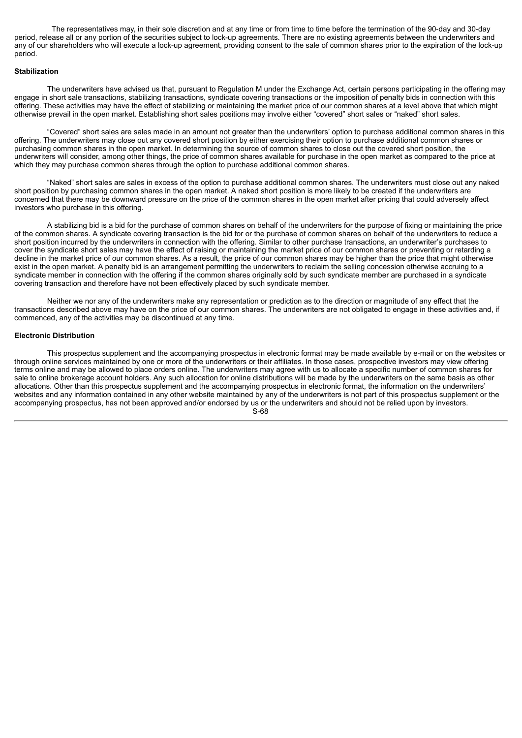The representatives may, in their sole discretion and at any time or from time to time before the termination of the 90-day and 30-day period, release all or any portion of the securities subject to lock-up agreements. There are no existing agreements between the underwriters and any of our shareholders who will execute a lock-up agreement, providing consent to the sale of common shares prior to the expiration of the lock-up period.

# **Stabilization**

The underwriters have advised us that, pursuant to Regulation M under the Exchange Act, certain persons participating in the offering may engage in short sale transactions, stabilizing transactions, syndicate covering transactions or the imposition of penalty bids in connection with this offering. These activities may have the effect of stabilizing or maintaining the market price of our common shares at a level above that which might otherwise prevail in the open market. Establishing short sales positions may involve either "covered" short sales or "naked" short sales.

"Covered" short sales are sales made in an amount not greater than the underwriters' option to purchase additional common shares in this offering. The underwriters may close out any covered short position by either exercising their option to purchase additional common shares or purchasing common shares in the open market. In determining the source of common shares to close out the covered short position, the underwriters will consider, among other things, the price of common shares available for purchase in the open market as compared to the price at which they may purchase common shares through the option to purchase additional common shares.

"Naked" short sales are sales in excess of the option to purchase additional common shares. The underwriters must close out any naked short position by purchasing common shares in the open market. A naked short position is more likely to be created if the underwriters are concerned that there may be downward pressure on the price of the common shares in the open market after pricing that could adversely affect investors who purchase in this offering.

A stabilizing bid is a bid for the purchase of common shares on behalf of the underwriters for the purpose of fixing or maintaining the price of the common shares. A syndicate covering transaction is the bid for or the purchase of common shares on behalf of the underwriters to reduce a short position incurred by the underwriters in connection with the offering. Similar to other purchase transactions, an underwriter's purchases to cover the syndicate short sales may have the effect of raising or maintaining the market price of our common shares or preventing or retarding a decline in the market price of our common shares. As a result, the price of our common shares may be higher than the price that might otherwise exist in the open market. A penalty bid is an arrangement permitting the underwriters to reclaim the selling concession otherwise accruing to a syndicate member in connection with the offering if the common shares originally sold by such syndicate member are purchased in a syndicate covering transaction and therefore have not been effectively placed by such syndicate member.

Neither we nor any of the underwriters make any representation or prediction as to the direction or magnitude of any effect that the transactions described above may have on the price of our common shares. The underwriters are not obligated to engage in these activities and, if commenced, any of the activities may be discontinued at any time.

## **Electronic Distribution**

This prospectus supplement and the accompanying prospectus in electronic format may be made available by e-mail or on the websites or through online services maintained by one or more of the underwriters or their affiliates. In those cases, prospective investors may view offering terms online and may be allowed to place orders online. The underwriters may agree with us to allocate a specific number of common shares for sale to online brokerage account holders. Any such allocation for online distributions will be made by the underwriters on the same basis as other allocations. Other than this prospectus supplement and the accompanying prospectus in electronic format, the information on the underwriters' websites and any information contained in any other website maintained by any of the underwriters is not part of this prospectus supplement or the accompanying prospectus, has not been approved and/or endorsed by us or the underwriters and should not be relied upon by investors. S-68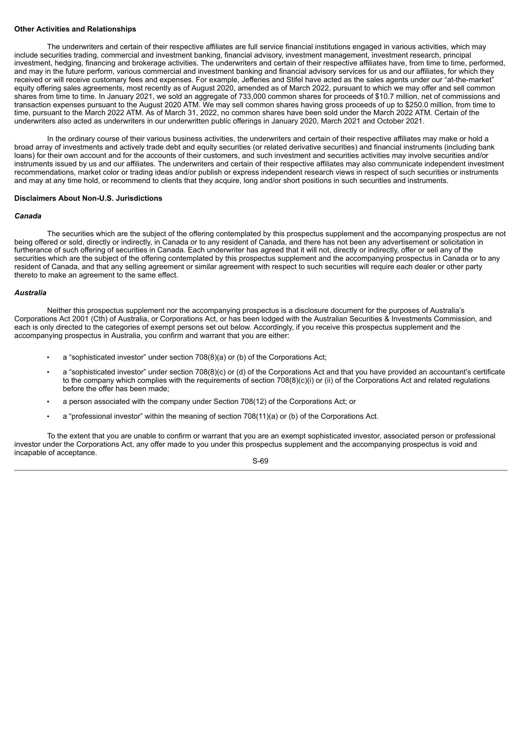#### **Other Activities and Relationships**

The underwriters and certain of their respective affiliates are full service financial institutions engaged in various activities, which may include securities trading, commercial and investment banking, financial advisory, investment management, investment research, principal investment, hedging, financing and brokerage activities. The underwriters and certain of their respective affiliates have, from time to time, performed, and may in the future perform, various commercial and investment banking and financial advisory services for us and our affiliates, for which they received or will receive customary fees and expenses. For example, Jefferies and Stifel have acted as the sales agents under our "at-the-market" equity offering sales agreements, most recently as of August 2020, amended as of March 2022, pursuant to which we may offer and sell common shares from time to time. In January 2021, we sold an aggregate of 733,000 common shares for proceeds of \$10.7 million, net of commissions and transaction expenses pursuant to the August 2020 ATM. We may sell common shares having gross proceeds of up to \$250.0 million, from time to time, pursuant to the March 2022 ATM. As of March 31, 2022, no common shares have been sold under the March 2022 ATM. Certain of the underwriters also acted as underwriters in our underwritten public offerings in January 2020, March 2021 and October 2021.

In the ordinary course of their various business activities, the underwriters and certain of their respective affiliates may make or hold a broad array of investments and actively trade debt and equity securities (or related derivative securities) and financial instruments (including bank loans) for their own account and for the accounts of their customers, and such investment and securities activities may involve securities and/or instruments issued by us and our affiliates. The underwriters and certain of their respective affiliates may also communicate independent investment recommendations, market color or trading ideas and/or publish or express independent research views in respect of such securities or instruments and may at any time hold, or recommend to clients that they acquire, long and/or short positions in such securities and instruments.

## **Disclaimers About Non-U.S. Jurisdictions**

## *Canada*

The securities which are the subject of the offering contemplated by this prospectus supplement and the accompanying prospectus are not being offered or sold, directly or indirectly, in Canada or to any resident of Canada, and there has not been any advertisement or solicitation in furtherance of such offering of securities in Canada. Each underwriter has agreed that it will not, directly or indirectly, offer or sell any of the securities which are the subject of the offering contemplated by this prospectus supplement and the accompanying prospectus in Canada or to any resident of Canada, and that any selling agreement or similar agreement with respect to such securities will require each dealer or other party thereto to make an agreement to the same effect.

### *Australia*

Neither this prospectus supplement nor the accompanying prospectus is a disclosure document for the purposes of Australia's Corporations Act 2001 (Cth) of Australia, or Corporations Act, or has been lodged with the Australian Securities & Investments Commission, and each is only directed to the categories of exempt persons set out below. Accordingly, if you receive this prospectus supplement and the accompanying prospectus in Australia, you confirm and warrant that you are either.

- a "sophisticated investor" under section 708(8)(a) or (b) of the Corporations Act;
- a "sophisticated investor" under section 708(8)(c) or (d) of the Corporations Act and that you have provided an accountant's certificate to the company which complies with the requirements of section 708(8)(c)(i) or (ii) of the Corporations Act and related regulations before the offer has been made;
- a person associated with the company under Section 708(12) of the Corporations Act; or
- a "professional investor" within the meaning of section 708(11)(a) or (b) of the Corporations Act.

To the extent that you are unable to confirm or warrant that you are an exempt sophisticated investor, associated person or professional investor under the Corporations Act, any offer made to you under this prospectus supplement and the accompanying prospectus is void and incapable of acceptance.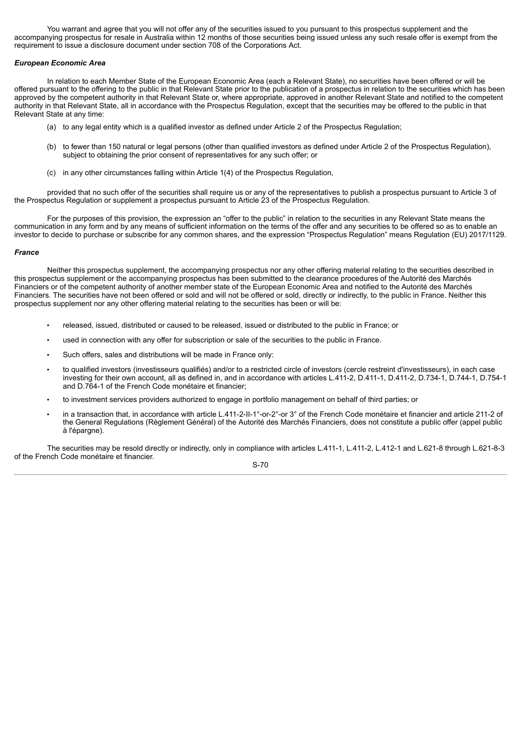You warrant and agree that you will not offer any of the securities issued to you pursuant to this prospectus supplement and the accompanying prospectus for resale in Australia within 12 months of those securities being issued unless any such resale offer is exempt from the requirement to issue a disclosure document under section 708 of the Corporations Act.

## *European Economic Area*

In relation to each Member State of the European Economic Area (each a Relevant State), no securities have been offered or will be offered pursuant to the offering to the public in that Relevant State prior to the publication of a prospectus in relation to the securities which has been approved by the competent authority in that Relevant State or, where appropriate, approved in another Relevant State and notified to the competent authority in that Relevant State, all in accordance with the Prospectus Regulation, except that the securities may be offered to the public in that Relevant State at any time:

- (a) to any legal entity which is a qualified investor as defined under Article 2 of the Prospectus Regulation;
- (b) to fewer than 150 natural or legal persons (other than qualified investors as defined under Article 2 of the Prospectus Regulation), subject to obtaining the prior consent of representatives for any such offer; or
- (c) in any other circumstances falling within Article 1(4) of the Prospectus Regulation,

provided that no such offer of the securities shall require us or any of the representatives to publish a prospectus pursuant to Article 3 of the Prospectus Regulation or supplement a prospectus pursuant to Article 23 of the Prospectus Regulation.

For the purposes of this provision, the expression an "offer to the public" in relation to the securities in any Relevant State means the communication in any form and by any means of sufficient information on the terms of the offer and any securities to be offered so as to enable an investor to decide to purchase or subscribe for any common shares, and the expression "Prospectus Regulation" means Regulation (EU) 2017/1129.

#### *France*

Neither this prospectus supplement, the accompanying prospectus nor any other offering material relating to the securities described in this prospectus supplement or the accompanying prospectus has been submitted to the clearance procedures of the Autorité des Marchés Financiers or of the competent authority of another member state of the European Economic Area and notified to the Autorité des Marchés Financiers. The securities have not been offered or sold and will not be offered or sold, directly or indirectly, to the public in France. Neither this prospectus supplement nor any other offering material relating to the securities has been or will be:

- released, issued, distributed or caused to be released, issued or distributed to the public in France; or
- used in connection with any offer for subscription or sale of the securities to the public in France.
- Such offers, sales and distributions will be made in France only:
- to qualified investors (investisseurs qualifiés) and/or to a restricted circle of investors (cercle restreint d'investisseurs), in each case investing for their own account, all as defined in, and in accordance with articles L.411-2, D.411-1, D.411-2, D.734-1, D.744-1, D.754-1 and D.764-1 of the French Code monétaire et financier;
- to investment services providers authorized to engage in portfolio management on behalf of third parties; or
- in a transaction that, in accordance with article L.411-2-II-1°-or-2°-or 3° of the French Code monétaire et financier and article 211-2 of the General Regulations (Règlement Général) of the Autorité des Marchés Financiers, does not constitute a public offer (appel public à l'épargne).

The securities may be resold directly or indirectly, only in compliance with articles L.411-1, L.411-2, L.412-1 and L.621-8 through L.621-8-3 of the French Code monétaire et financier.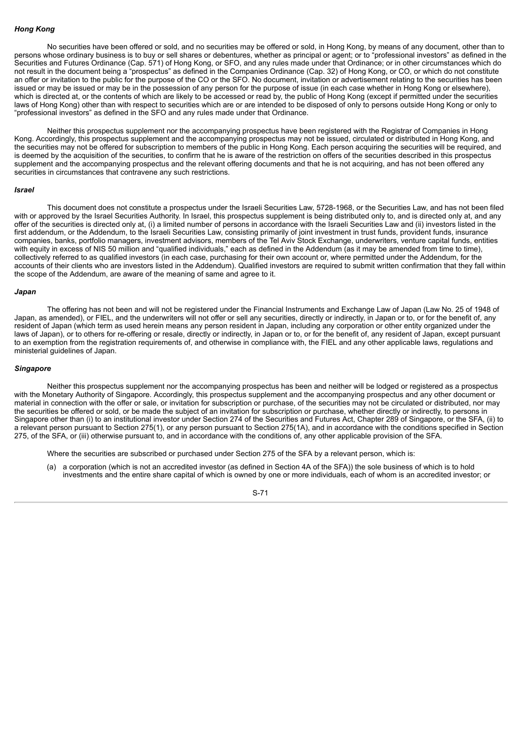#### *Hong Kong*

No securities have been offered or sold, and no securities may be offered or sold, in Hong Kong, by means of any document, other than to persons whose ordinary business is to buy or sell shares or debentures, whether as principal or agent; or to "professional investors" as defined in the Securities and Futures Ordinance (Cap. 571) of Hong Kong, or SFO, and any rules made under that Ordinance; or in other circumstances which do not result in the document being a "prospectus" as defined in the Companies Ordinance (Cap. 32) of Hong Kong, or CO, or which do not constitute an offer or invitation to the public for the purpose of the CO or the SFO. No document, invitation or advertisement relating to the securities has been issued or may be issued or may be in the possession of any person for the purpose of issue (in each case whether in Hong Kong or elsewhere), which is directed at, or the contents of which are likely to be accessed or read by, the public of Hong Kong (except if permitted under the securities laws of Hong Kong) other than with respect to securities which are or are intended to be disposed of only to persons outside Hong Kong or only to "professional investors" as defined in the SFO and any rules made under that Ordinance.

Neither this prospectus supplement nor the accompanying prospectus have been registered with the Registrar of Companies in Hong Kong. Accordingly, this prospectus supplement and the accompanying prospectus may not be issued, circulated or distributed in Hong Kong, and the securities may not be offered for subscription to members of the public in Hong Kong. Each person acquiring the securities will be required, and is deemed by the acquisition of the securities, to confirm that he is aware of the restriction on offers of the securities described in this prospectus supplement and the accompanying prospectus and the relevant offering documents and that he is not acquiring, and has not been offered any securities in circumstances that contravene any such restrictions.

#### *Israel*

This document does not constitute a prospectus under the Israeli Securities Law, 5728-1968, or the Securities Law, and has not been filed with or approved by the Israel Securities Authority. In Israel, this prospectus supplement is being distributed only to, and is directed only at, and any offer of the securities is directed only at, (i) a limited number of persons in accordance with the Israeli Securities Law and (ii) investors listed in the first addendum, or the Addendum, to the Israeli Securities Law, consisting primarily of joint investment in trust funds, provident funds, insurance companies, banks, portfolio managers, investment advisors, members of the Tel Aviv Stock Exchange, underwriters, venture capital funds, entities with equity in excess of NIS 50 million and "qualified individuals," each as defined in the Addendum (as it may be amended from time to time), collectively referred to as qualified investors (in each case, purchasing for their own account or, where permitted under the Addendum, for the accounts of their clients who are investors listed in the Addendum). Qualified investors are required to submit written confirmation that they fall within the scope of the Addendum, are aware of the meaning of same and agree to it.

#### *Japan*

The offering has not been and will not be registered under the Financial Instruments and Exchange Law of Japan (Law No. 25 of 1948 of Japan, as amended), or FIEL, and the underwriters will not offer or sell any securities, directly or indirectly, in Japan or to, or for the benefit of, any resident of Japan (which term as used herein means any person resident in Japan, including any corporation or other entity organized under the laws of Japan), or to others for re-offering or resale, directly or indirectly, in Japan or to, or for the benefit of, any resident of Japan, except pursuant to an exemption from the registration requirements of, and otherwise in compliance with, the FIEL and any other applicable laws, regulations and ministerial guidelines of Japan.

### *Singapore*

Neither this prospectus supplement nor the accompanying prospectus has been and neither will be lodged or registered as a prospectus with the Monetary Authority of Singapore. Accordingly, this prospectus supplement and the accompanying prospectus and any other document or material in connection with the offer or sale, or invitation for subscription or purchase, of the securities may not be circulated or distributed, nor may the securities be offered or sold, or be made the subject of an invitation for subscription or purchase, whether directly or indirectly, to persons in Singapore other than (i) to an institutional investor under Section 274 of the Securities and Futures Act, Chapter 289 of Singapore, or the SFA, (ii) to a relevant person pursuant to Section 275(1), or any person pursuant to Section 275(1A), and in accordance with the conditions specified in Section 275, of the SFA, or (iii) otherwise pursuant to, and in accordance with the conditions of, any other applicable provision of the SFA.

Where the securities are subscribed or purchased under Section 275 of the SFA by a relevant person, which is:

(a) a corporation (which is not an accredited investor (as defined in Section 4A of the SFA)) the sole business of which is to hold investments and the entire share capital of which is owned by one or more individuals, each of whom is an accredited investor; or

S-71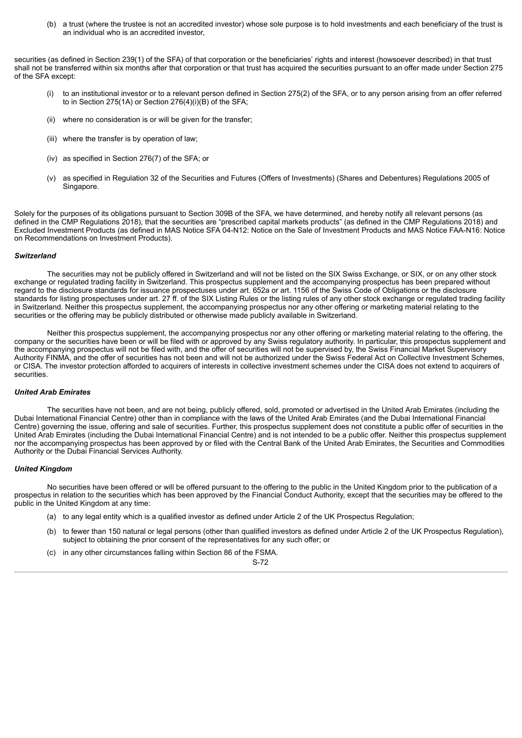(b) a trust (where the trustee is not an accredited investor) whose sole purpose is to hold investments and each beneficiary of the trust is an individual who is an accredited investor,

securities (as defined in Section 239(1) of the SFA) of that corporation or the beneficiaries' rights and interest (howsoever described) in that trust shall not be transferred within six months after that corporation or that trust has acquired the securities pursuant to an offer made under Section 275 of the SFA except:

- (i) to an institutional investor or to a relevant person defined in Section 275(2) of the SFA, or to any person arising from an offer referred to in Section 275(1A) or Section 276(4)(i)(B) of the SFA;
- (ii) where no consideration is or will be given for the transfer;
- (iii) where the transfer is by operation of law;
- (iv) as specified in Section 276(7) of the SFA; or
- (v) as specified in Regulation 32 of the Securities and Futures (Offers of Investments) (Shares and Debentures) Regulations 2005 of Singapore.

Solely for the purposes of its obligations pursuant to Section 309B of the SFA, we have determined, and hereby notify all relevant persons (as defined in the CMP Regulations 2018), that the securities are "prescribed capital markets products" (as defined in the CMP Regulations 2018) and Excluded Investment Products (as defined in MAS Notice SFA 04-N12: Notice on the Sale of Investment Products and MAS Notice FAA-N16: Notice on Recommendations on Investment Products).

#### *Switzerland*

The securities may not be publicly offered in Switzerland and will not be listed on the SIX Swiss Exchange, or SIX, or on any other stock exchange or regulated trading facility in Switzerland. This prospectus supplement and the accompanying prospectus has been prepared without regard to the disclosure standards for issuance prospectuses under art. 652a or art. 1156 of the Swiss Code of Obligations or the disclosure standards for listing prospectuses under art. 27 ff. of the SIX Listing Rules or the listing rules of any other stock exchange or regulated trading facility in Switzerland. Neither this prospectus supplement, the accompanying prospectus nor any other offering or marketing material relating to the securities or the offering may be publicly distributed or otherwise made publicly available in Switzerland.

Neither this prospectus supplement, the accompanying prospectus nor any other offering or marketing material relating to the offering, the company or the securities have been or will be filed with or approved by any Swiss regulatory authority. In particular, this prospectus supplement and the accompanying prospectus will not be filed with, and the offer of securities will not be supervised by, the Swiss Financial Market Supervisory Authority FINMA, and the offer of securities has not been and will not be authorized under the Swiss Federal Act on Collective Investment Schemes, or CISA. The investor protection afforded to acquirers of interests in collective investment schemes under the CISA does not extend to acquirers of securities.

### *United Arab Emirates*

The securities have not been, and are not being, publicly offered, sold, promoted or advertised in the United Arab Emirates (including the Dubai International Financial Centre) other than in compliance with the laws of the United Arab Emirates (and the Dubai International Financial Centre) governing the issue, offering and sale of securities. Further, this prospectus supplement does not constitute a public offer of securities in the United Arab Emirates (including the Dubai International Financial Centre) and is not intended to be a public offer. Neither this prospectus supplement nor the accompanying prospectus has been approved by or filed with the Central Bank of the United Arab Emirates, the Securities and Commodities Authority or the Dubai Financial Services Authority.

#### *United Kingdom*

No securities have been offered or will be offered pursuant to the offering to the public in the United Kingdom prior to the publication of a prospectus in relation to the securities which has been approved by the Financial Conduct Authority, except that the securities may be offered to the public in the United Kingdom at any time:

- (a) to any legal entity which is a qualified investor as defined under Article 2 of the UK Prospectus Regulation;
- (b) to fewer than 150 natural or legal persons (other than qualified investors as defined under Article 2 of the UK Prospectus Regulation), subject to obtaining the prior consent of the representatives for any such offer; or
- (c) in any other circumstances falling within Section 86 of the FSMA.

#### S-72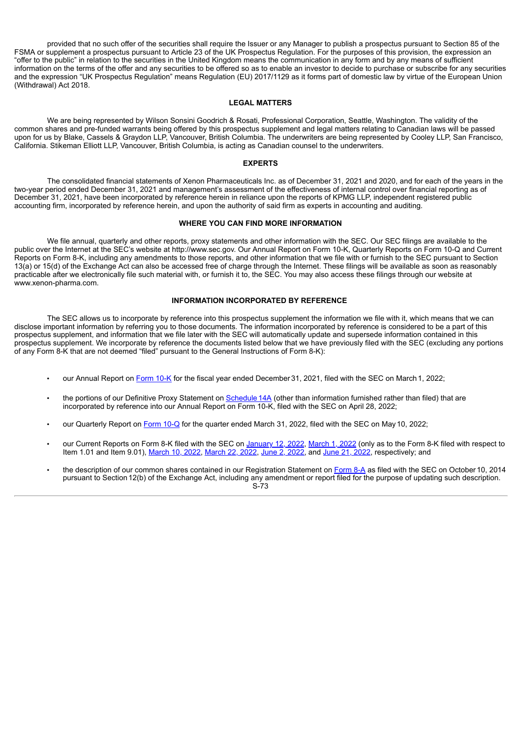provided that no such offer of the securities shall require the Issuer or any Manager to publish a prospectus pursuant to Section 85 of the FSMA or supplement a prospectus pursuant to Article 23 of the UK Prospectus Regulation. For the purposes of this provision, the expression an "offer to the public" in relation to the securities in the United Kingdom means the communication in any form and by any means of sufficient information on the terms of the offer and any securities to be offered so as to enable an investor to decide to purchase or subscribe for any securities and the expression "UK Prospectus Regulation" means Regulation (EU) 2017/1129 as it forms part of domestic law by virtue of the European Union (Withdrawal) Act 2018.

#### **LEGAL MATTERS**

We are being represented by Wilson Sonsini Goodrich & Rosati, Professional Corporation, Seattle, Washington. The validity of the common shares and pre-funded warrants being offered by this prospectus supplement and legal matters relating to Canadian laws will be passed upon for us by Blake, Cassels & Graydon LLP, Vancouver, British Columbia. The underwriters are being represented by Cooley LLP, San Francisco, California. Stikeman Elliott LLP, Vancouver, British Columbia, is acting as Canadian counsel to the underwriters.

#### **EXPERTS**

The consolidated financial statements of Xenon Pharmaceuticals Inc. as of December 31, 2021 and 2020, and for each of the years in the two-year period ended December 31, 2021 and management's assessment of the effectiveness of internal control over financial reporting as of December 31, 2021, have been incorporated by reference herein in reliance upon the reports of KPMG LLP, independent registered public accounting firm, incorporated by reference herein, and upon the authority of said firm as experts in accounting and auditing.

#### **WHERE YOU CAN FIND MORE INFORMATION**

We file annual, quarterly and other reports, proxy statements and other information with the SEC. Our SEC filings are available to the public over the Internet at the SEC's website at http://www.sec.gov. Our Annual Report on Form 10-K, Quarterly Reports on Form 10-Q and Current Reports on Form 8-K, including any amendments to those reports, and other information that we file with or furnish to the SEC pursuant to Section 13(a) or 15(d) of the Exchange Act can also be accessed free of charge through the Internet. These filings will be available as soon as reasonably practicable after we electronically file such material with, or furnish it to, the SEC. You may also access these filings through our website at www.xenon-pharma.com.

### **INFORMATION INCORPORATED BY REFERENCE**

The SEC allows us to incorporate by reference into this prospectus supplement the information we file with it, which means that we can disclose important information by referring you to those documents. The information incorporated by reference is considered to be a part of this prospectus supplement, and information that we file later with the SEC will automatically update and supersede information contained in this prospectus supplement. We incorporate by reference the documents listed below that we have previously filed with the SEC (excluding any portions of any Form 8-K that are not deemed "filed" pursuant to the General Instructions of Form 8-K):

- our Annual Report on [Form](https://www.sec.gov/ix?doc=/Archives/edgar/data/1582313/000156459022008060/xene-10k_20211231.htm) 10-K for the fiscal year ended December 31, 2021, filed with the SEC on March 1, 2022;
- the portions of our Definitive Proxy Statement on Schedule 14A (other than information furnished rather than filed) that are incorporated by reference into our Annual Report on Form 10-K, filed with the SEC on April 28, 2022;
- our Quarterly Report on [Form](https://www.sec.gov/ix?doc=/Archives/edgar/data/1582313/000156459022019318/xene-10q_20220331.htm) 10-Q for the quarter ended March 31, 2022, filed with the SEC on May10, 2022;
- our Current Reports on Form 8-K filed with the SEC on [January](https://www.sec.gov/ix?doc=/Archives/edgar/data/1582313/000156459022001074/xene-8k_20220111.htm) 12, 2022, [March](https://www.sec.gov/ix?doc=/Archives/edgar/data/1582313/000156459022008072/xene-8k_20220301.htm) 1, 2022 (only as to the Form 8-K filed with respect to Item 1.01 and Item 9.01), [March](https://www.sec.gov/ix?doc=/Archives/edgar/data/1582313/000156459022011356/xene-8k_20220316.htm) 10, [2022](https://www.sec.gov/ix?doc=/Archives/edgar/data/1582313/000156459022022228/xene-8k_20220601.htm), March 22, [2022,](https://www.sec.gov/ix?doc=/Archives/edgar/data/1582313/000156459022023664/xene-8k_20220621.htm) June 2, 2022, and June 21, 2022, respectively; and
- the description of our common shares contained in our Registration Statement on [Form](http://www.sec.gov/Archives/edgar/data/0001582313/000119312514369146/d803267d8a12b.htm) 8-A as filed with the SEC on October 10, 2014 pursuant to Section 12(b) of the Exchange Act, including any amendment or report filed for the purpose of updating such description. S-73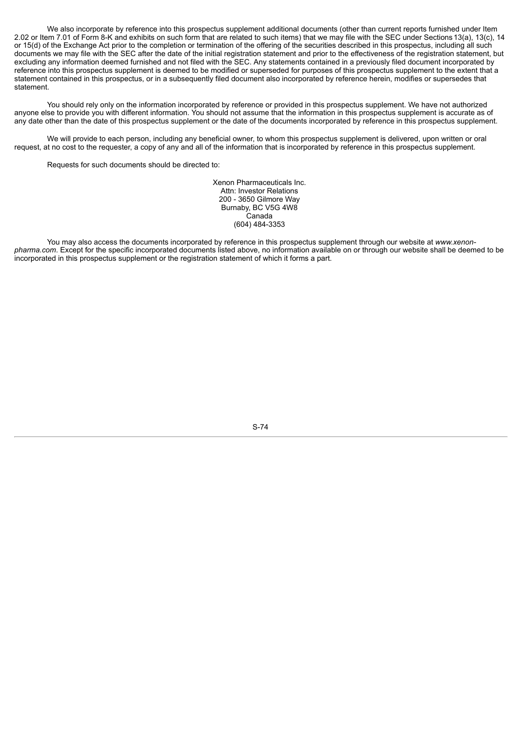We also incorporate by reference into this prospectus supplement additional documents (other than current reports furnished under Item 2.02 or Item 7.01 of Form 8-K and exhibits on such form that are related to such items) that we may file with the SEC under Sections 13(a), 13(c), 14 or 15(d) of the Exchange Act prior to the completion or termination of the offering of the securities described in this prospectus, including all such documents we may file with the SEC after the date of the initial registration statement and prior to the effectiveness of the registration statement, but excluding any information deemed furnished and not filed with the SEC. Any statements contained in a previously filed document incorporated by reference into this prospectus supplement is deemed to be modified or superseded for purposes of this prospectus supplement to the extent that a statement contained in this prospectus, or in a subsequently filed document also incorporated by reference herein, modifies or supersedes that statement.

You should rely only on the information incorporated by reference or provided in this prospectus supplement. We have not authorized anyone else to provide you with different information. You should not assume that the information in this prospectus supplement is accurate as of any date other than the date of this prospectus supplement or the date of the documents incorporated by reference in this prospectus supplement.

We will provide to each person, including any beneficial owner, to whom this prospectus supplement is delivered, upon written or oral request, at no cost to the requester, a copy of any and all of the information that is incorporated by reference in this prospectus supplement.

Requests for such documents should be directed to:

Xenon Pharmaceuticals Inc. Attn: Investor Relations 200 - 3650 Gilmore Way Burnaby, BC V5G 4W8 Canada (604) 484-3353

You may also access the documents incorporated by reference in this prospectus supplement through our website at *www.xenonpharma.com*. Except for the specific incorporated documents listed above, no information available on or through our website shall be deemed to be incorporated in this prospectus supplement or the registration statement of which it forms a part.

S-74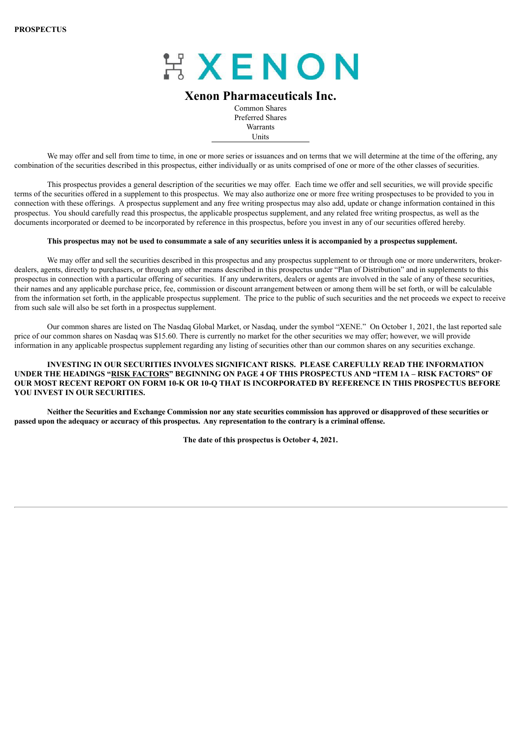

# **Xenon Pharmaceuticals Inc.**

Common Shares Preferred Shares **Warrants** Units

We may offer and sell from time to time, in one or more series or issuances and on terms that we will determine at the time of the offering, any combination of the securities described in this prospectus, either individually or as units comprised of one or more of the other classes of securities.

This prospectus provides a general description of the securities we may offer. Each time we offer and sell securities, we will provide specific terms of the securities offered in a supplement to this prospectus. We may also authorize one or more free writing prospectuses to be provided to you in connection with these offerings. A prospectus supplement and any free writing prospectus may also add, update or change information contained in this prospectus. You should carefully read this prospectus, the applicable prospectus supplement, and any related free writing prospectus, as well as the documents incorporated or deemed to be incorporated by reference in this prospectus, before you invest in any of our securities offered hereby.

### This prospectus may not be used to consummate a sale of any securities unless it is accompanied by a prospectus supplement.

We may offer and sell the securities described in this prospectus and any prospectus supplement to or through one or more underwriters, brokerdealers, agents, directly to purchasers, or through any other means described in this prospectus under "Plan of Distribution" and in supplements to this prospectus in connection with a particular offering of securities. If any underwriters, dealers or agents are involved in the sale of any of these securities, their names and any applicable purchase price, fee, commission or discount arrangement between or among them will be set forth, or will be calculable from the information set forth, in the applicable prospectus supplement. The price to the public of such securities and the net proceeds we expect to receive from such sale will also be set forth in a prospectus supplement.

Our common shares are listed on The Nasdaq Global Market, or Nasdaq, under the symbol "XENE." On October 1, 2021, the last reported sale price of our common shares on Nasdaq was \$15.60. There is currently no market for the other securities we may offer; however, we will provide information in any applicable prospectus supplement regarding any listing of securities other than our common shares on any securities exchange.

# **INVESTING IN OUR SECURITIES INVOLVES SIGNIFICANT RISKS. PLEASE CAREFULLY READ THE INFORMATION** UNDER THE HEADINGS "RISK [FACTORS](#page-81-0)" BEGINNING ON PAGE 4 OF THIS PROSPECTUS AND "ITEM 1A - RISK FACTORS" OF OUR MOST RECENT REPORT ON FORM 10-K OR 10-O THAT IS INCORPORATED BY REFERENCE IN THIS PROSPECTUS BEFORE **YOU INVEST IN OUR SECURITIES.**

Neither the Securities and Exchange Commission nor any state securities commission has approved or disapproved of these securities or passed upon the adequacy or accuracy of this prospectus. Any representation to the contrary is a criminal offense.

**The date of this prospectus is October 4, 2021.**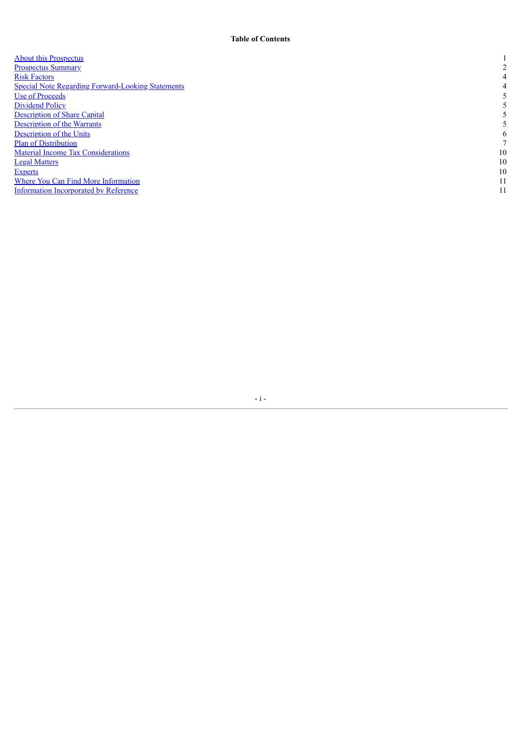| <b>About this Prospectus</b>                             |    |
|----------------------------------------------------------|----|
| <b>Prospectus Summary</b>                                | C  |
| <b>Risk Factors</b>                                      | 4  |
| <b>Special Note Regarding Forward-Looking Statements</b> | 4  |
| Use of Proceeds                                          |    |
| Dividend Policy                                          |    |
| <b>Description of Share Capital</b>                      |    |
| <b>Description of the Warrants</b>                       |    |
| Description of the Units                                 | 6  |
| <b>Plan of Distribution</b>                              |    |
| <b>Material Income Tax Considerations</b>                | 10 |
| <b>Legal Matters</b>                                     | 10 |
| <b>Experts</b>                                           | 10 |
| Where You Can Find More Information                      | 11 |
| Information Incorporated by Reference                    |    |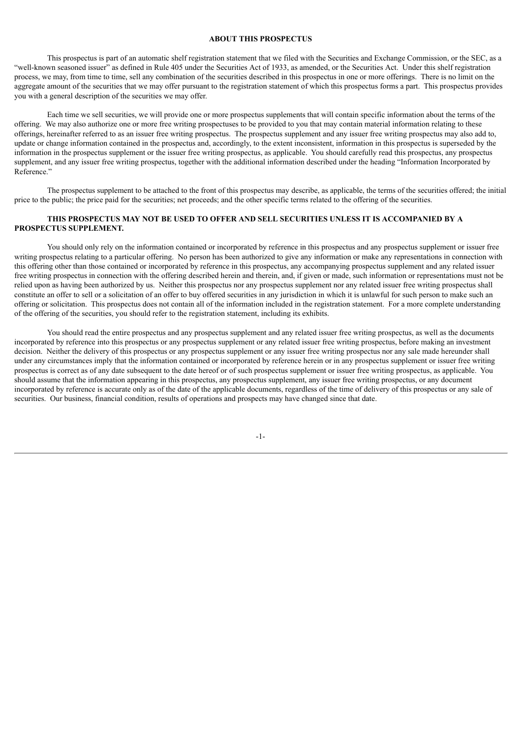### **ABOUT THIS PROSPECTUS**

<span id="page-78-0"></span>This prospectus is part of an automatic shelf registration statement that we filed with the Securities and Exchange Commission, or the SEC, as a "well-known seasoned issuer" as defined in Rule 405 under the Securities Act of 1933, as amended, or the Securities Act. Under this shelf registration process, we may, from time to time, sell any combination of the securities described in this prospectus in one or more offerings. There is no limit on the aggregate amount of the securities that we may offer pursuant to the registration statement of which this prospectus forms a part. This prospectus provides you with a general description of the securities we may offer.

Each time we sell securities, we will provide one or more prospectus supplements that will contain specific information about the terms of the offering. We may also authorize one or more free writing prospectuses to be provided to you that may contain material information relating to these offerings, hereinafter referred to as an issuer free writing prospectus. The prospectus supplement and any issuer free writing prospectus may also add to, update or change information contained in the prospectus and, accordingly, to the extent inconsistent, information in this prospectus is superseded by the information in the prospectus supplement or the issuer free writing prospectus, as applicable. You should carefully read this prospectus, any prospectus supplement, and any issuer free writing prospectus, together with the additional information described under the heading "Information Incorporated by Reference."

The prospectus supplement to be attached to the front of this prospectus may describe, as applicable, the terms of the securities offered; the initial price to the public; the price paid for the securities; net proceeds; and the other specific terms related to the offering of the securities.

# **THIS PROSPECTUS MAY NOT BE USED TO OFFER AND SELL SECURITIES UNLESS IT IS ACCOMPANIED BY A PROSPECTUS SUPPLEMENT.**

You should only rely on the information contained or incorporated by reference in this prospectus and any prospectus supplement or issuer free writing prospectus relating to a particular offering. No person has been authorized to give any information or make any representations in connection with this offering other than those contained or incorporated by reference in this prospectus, any accompanying prospectus supplement and any related issuer free writing prospectus in connection with the offering described herein and therein, and, if given or made, such information or representations must not be relied upon as having been authorized by us. Neither this prospectus nor any prospectus supplement nor any related issuer free writing prospectus shall constitute an offer to sell or a solicitation of an offer to buy offered securities in any jurisdiction in which it is unlawful for such person to make such an offering or solicitation. This prospectus does not contain all of the information included in the registration statement. For a more complete understanding of the offering of the securities, you should refer to the registration statement, including its exhibits.

<span id="page-78-1"></span>You should read the entire prospectus and any prospectus supplement and any related issuer free writing prospectus, as well as the documents incorporated by reference into this prospectus or any prospectus supplement or any related issuer free writing prospectus, before making an investment decision. Neither the delivery of this prospectus or any prospectus supplement or any issuer free writing prospectus nor any sale made hereunder shall under any circumstances imply that the information contained or incorporated by reference herein or in any prospectus supplement or issuer free writing prospectus is correct as of any date subsequent to the date hereof or of such prospectus supplement or issuer free writing prospectus, as applicable. You should assume that the information appearing in this prospectus, any prospectus supplement, any issuer free writing prospectus, or any document incorporated by reference is accurate only as of the date of the applicable documents, regardless of the time of delivery of this prospectus or any sale of securities. Our business, financial condition, results of operations and prospects may have changed since that date.

-1-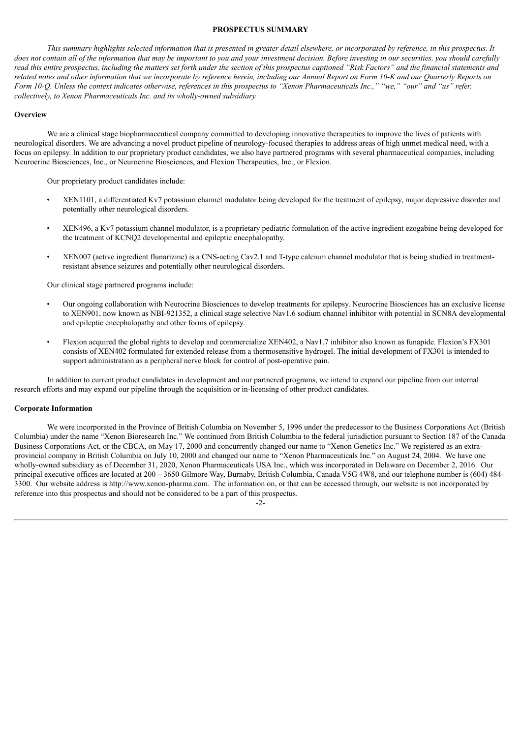### **PROSPECTUS SUMMARY**

This summary highlights selected information that is presented in greater detail elsewhere, or incorporated by reference, in this prospectus. It does not contain all of the information that may be important to you and your investment decision. Before investing in our securities, you should carefully read this entire prospectus, including the matters set forth under the section of this prospectus captioned "Risk Factors" and the financial statements and related notes and other information that we incorporate by reference herein, including our Annual Report on Form 10-K and our Ouarterly Reports on Form 10-O. Unless the context indicates otherwise, references in this prospectus to "Xenon Pharmaceuticals Inc.." "we." "our" and "us" refer. *collectively, to Xenon Pharmaceuticals Inc. and its wholly-owned subsidiary.*

#### **Overview**

We are a clinical stage biopharmaceutical company committed to developing innovative therapeutics to improve the lives of patients with neurological disorders. We are advancing a novel product pipeline of neurology-focused therapies to address areas of high unmet medical need, with a focus on epilepsy. In addition to our proprietary product candidates, we also have partnered programs with several pharmaceutical companies, including Neurocrine Biosciences, Inc., or Neurocrine Biosciences, and Flexion Therapeutics, Inc., or Flexion.

Our proprietary product candidates include:

- XEN1101, a differentiated Kv7 potassium channel modulator being developed for the treatment of epilepsy, major depressive disorder and potentially other neurological disorders.
- XEN496, a Kv7 potassium channel modulator, is a proprietary pediatric formulation of the active ingredient ezogabine being developed for the treatment of KCNQ2 developmental and epileptic encephalopathy.
- XEN007 (active ingredient flunarizine) is a CNS-acting Cav2.1 and T-type calcium channel modulator that is being studied in treatmentresistant absence seizures and potentially other neurological disorders.

Our clinical stage partnered programs include:

- Our ongoing collaboration with Neurocrine Biosciences to develop treatments for epilepsy. Neurocrine Biosciences has an exclusive license to XEN901, now known as NBI-921352, a clinical stage selective Nav1.6 sodium channel inhibitor with potential in SCN8A developmental and epileptic encephalopathy and other forms of epilepsy.
- Flexion acquired the global rights to develop and commercialize XEN402, a Nav1.7 inhibitor also known as funapide. Flexion's FX301 consists of XEN402 formulated for extended release from a thermosensitive hydrogel. The initial development of FX301 is intended to support administration as a peripheral nerve block for control of post-operative pain.

In addition to current product candidates in development and our partnered programs, we intend to expand our pipeline from our internal research efforts and may expand our pipeline through the acquisition or in-licensing of other product candidates.

### **Corporate Information**

We were incorporated in the Province of British Columbia on November 5, 1996 under the predecessor to the Business Corporations Act (British Columbia) under the name "Xenon Bioresearch Inc." We continued from British Columbia to the federal jurisdiction pursuant to Section 187 of the Canada Business Corporations Act, or the CBCA, on May 17, 2000 and concurrently changed our name to "Xenon Genetics Inc." We registered as an extraprovincial company in British Columbia on July 10, 2000 and changed our name to "Xenon Pharmaceuticals Inc." on August 24, 2004. We have one wholly-owned subsidiary as of December 31, 2020, Xenon Pharmaceuticals USA Inc., which was incorporated in Delaware on December 2, 2016. Our principal executive offices are located at 200 – 3650 Gilmore Way, Burnaby, British Columbia, Canada V5G 4W8, and our telephone number is (604) 484- 3300. Our website address is http://www.xenon-pharma.com. The information on, or that can be accessed through, our website is not incorporated by reference into this prospectus and should not be considered to be a part of this prospectus.

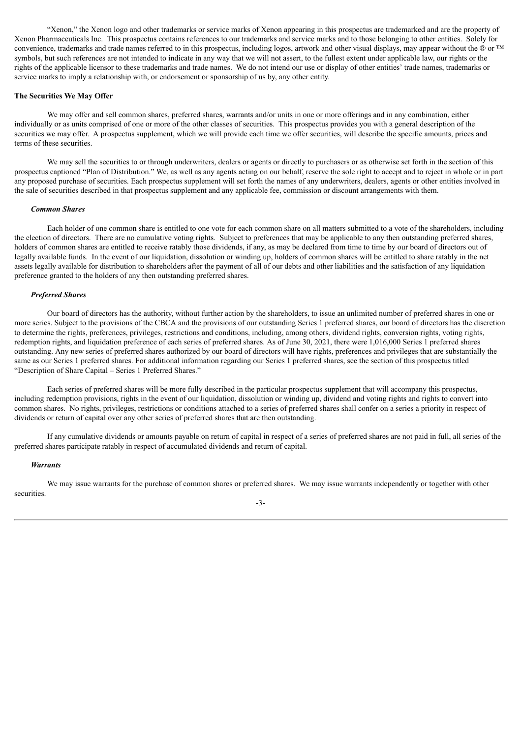"Xenon," the Xenon logo and other trademarks or service marks of Xenon appearing in this prospectus are trademarked and are the property of Xenon Pharmaceuticals Inc. This prospectus contains references to our trademarks and service marks and to those belonging to other entities. Solely for convenience, trademarks and trade names referred to in this prospectus, including logos, artwork and other visual displays, may appear without the ® or ™ symbols, but such references are not intended to indicate in any way that we will not assert, to the fullest extent under applicable law, our rights or the rights of the applicable licensor to these trademarks and trade names. We do not intend our use or display of other entities' trade names, trademarks or service marks to imply a relationship with, or endorsement or sponsorship of us by, any other entity.

### **The Securities We May Offer**

We may offer and sell common shares, preferred shares, warrants and/or units in one or more offerings and in any combination, either individually or as units comprised of one or more of the other classes of securities. This prospectus provides you with a general description of the securities we may offer. A prospectus supplement, which we will provide each time we offer securities, will describe the specific amounts, prices and terms of these securities.

We may sell the securities to or through underwriters, dealers or agents or directly to purchasers or as otherwise set forth in the section of this prospectus captioned "Plan of Distribution." We, as well as any agents acting on our behalf, reserve the sole right to accept and to reject in whole or in part any proposed purchase of securities. Each prospectus supplement will set forth the names of any underwriters, dealers, agents or other entities involved in the sale of securities described in that prospectus supplement and any applicable fee, commission or discount arrangements with them.

### *Common Shares*

Each holder of one common share is entitled to one vote for each common share on all matters submitted to a vote of the shareholders, including the election of directors. There are no cumulative voting rights. Subject to preferences that may be applicable to any then outstanding preferred shares, holders of common shares are entitled to receive ratably those dividends, if any, as may be declared from time to time by our board of directors out of legally available funds. In the event of our liquidation, dissolution or winding up, holders of common shares will be entitled to share ratably in the net assets legally available for distribution to shareholders after the payment of all of our debts and other liabilities and the satisfaction of any liquidation preference granted to the holders of any then outstanding preferred shares.

### *Preferred Shares*

Our board of directors has the authority, without further action by the shareholders, to issue an unlimited number of preferred shares in one or more series. Subject to the provisions of the CBCA and the provisions of our outstanding Series 1 preferred shares, our board of directors has the discretion to determine the rights, preferences, privileges, restrictions and conditions, including, among others, dividend rights, conversion rights, voting rights, redemption rights, and liquidation preference of each series of preferred shares. As of June 30, 2021, there were 1,016,000 Series 1 preferred shares outstanding. Any new series of preferred shares authorized by our board of directors will have rights, preferences and privileges that are substantially the same as our Series 1 preferred shares. For additional information regarding our Series 1 preferred shares, see the section of this prospectus titled "Description of Share Capital – Series 1 Preferred Shares."

Each series of preferred shares will be more fully described in the particular prospectus supplement that will accompany this prospectus, including redemption provisions, rights in the event of our liquidation, dissolution or winding up, dividend and voting rights and rights to convert into common shares. No rights, privileges, restrictions or conditions attached to a series of preferred shares shall confer on a series a priority in respect of dividends or return of capital over any other series of preferred shares that are then outstanding.

If any cumulative dividends or amounts payable on return of capital in respect of a series of preferred shares are not paid in full, all series of the preferred shares participate ratably in respect of accumulated dividends and return of capital.

### *Warrants*

We may issue warrants for the purchase of common shares or preferred shares. We may issue warrants independently or together with other securities.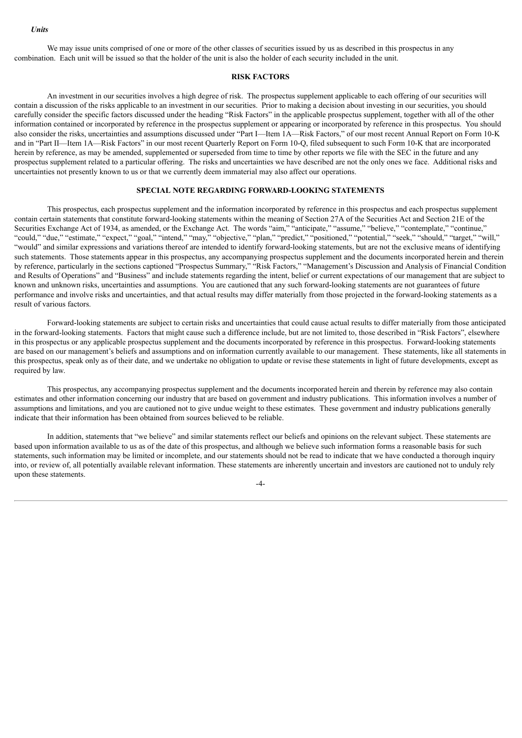We may issue units comprised of one or more of the other classes of securities issued by us as described in this prospectus in any combination. Each unit will be issued so that the holder of the unit is also the holder of each security included in the unit.

# **RISK FACTORS**

<span id="page-81-0"></span>An investment in our securities involves a high degree of risk. The prospectus supplement applicable to each offering of our securities will contain a discussion of the risks applicable to an investment in our securities. Prior to making a decision about investing in our securities, you should carefully consider the specific factors discussed under the heading "Risk Factors" in the applicable prospectus supplement, together with all of the other information contained or incorporated by reference in the prospectus supplement or appearing or incorporated by reference in this prospectus. You should also consider the risks, uncertainties and assumptions discussed under "Part I—Item 1A—Risk Factors," of our most recent Annual Report on Form 10-K and in "Part II—Item 1A—Risk Factors" in our most recent Quarterly Report on Form 10-Q, filed subsequent to such Form 10-K that are incorporated herein by reference, as may be amended, supplemented or superseded from time to time by other reports we file with the SEC in the future and any prospectus supplement related to a particular offering. The risks and uncertainties we have described are not the only ones we face. Additional risks and uncertainties not presently known to us or that we currently deem immaterial may also affect our operations.

# **SPECIAL NOTE REGARDING FORWARD-LOOKING STATEMENTS**

<span id="page-81-1"></span>This prospectus, each prospectus supplement and the information incorporated by reference in this prospectus and each prospectus supplement contain certain statements that constitute forward-looking statements within the meaning of Section 27A of the Securities Act and Section 21E of the Securities Exchange Act of 1934, as amended, or the Exchange Act. The words "aim," "anticipate," "assume," "believe," "contemplate," "continue," "could," "due," "estimate," "expect," "goal," "intend," "may," "objective," "plan," "predict," "positioned," "potential," "seek," "should," "target," "will," "would" and similar expressions and variations thereof are intended to identify forward-looking statements, but are not the exclusive means of identifying such statements. Those statements appear in this prospectus, any accompanying prospectus supplement and the documents incorporated herein and therein by reference, particularly in the sections captioned "Prospectus Summary," "Risk Factors," "Management's Discussion and Analysis of Financial Condition and Results of Operations" and "Business" and include statements regarding the intent, belief or current expectations of our management that are subject to known and unknown risks, uncertainties and assumptions. You are cautioned that any such forward-looking statements are not guarantees of future performance and involve risks and uncertainties, and that actual results may differ materially from those projected in the forward-looking statements as a result of various factors.

Forward-looking statements are subject to certain risks and uncertainties that could cause actual results to differ materially from those anticipated in the forward-looking statements. Factors that might cause such a difference include, but are not limited to, those described in "Risk Factors", elsewhere in this prospectus or any applicable prospectus supplement and the documents incorporated by reference in this prospectus. Forward-looking statements are based on our management's beliefs and assumptions and on information currently available to our management. These statements, like all statements in this prospectus, speak only as of their date, and we undertake no obligation to update or revise these statements in light of future developments, except as required by law.

This prospectus, any accompanying prospectus supplement and the documents incorporated herein and therein by reference may also contain estimates and other information concerning our industry that are based on government and industry publications. This information involves a number of assumptions and limitations, and you are cautioned not to give undue weight to these estimates. These government and industry publications generally indicate that their information has been obtained from sources believed to be reliable.

In addition, statements that "we believe" and similar statements reflect our beliefs and opinions on the relevant subject. These statements are based upon information available to us as of the date of this prospectus, and although we believe such information forms a reasonable basis for such statements, such information may be limited or incomplete, and our statements should not be read to indicate that we have conducted a thorough inquiry into, or review of, all potentially available relevant information. These statements are inherently uncertain and investors are cautioned not to unduly rely upon these statements.

 $-4-$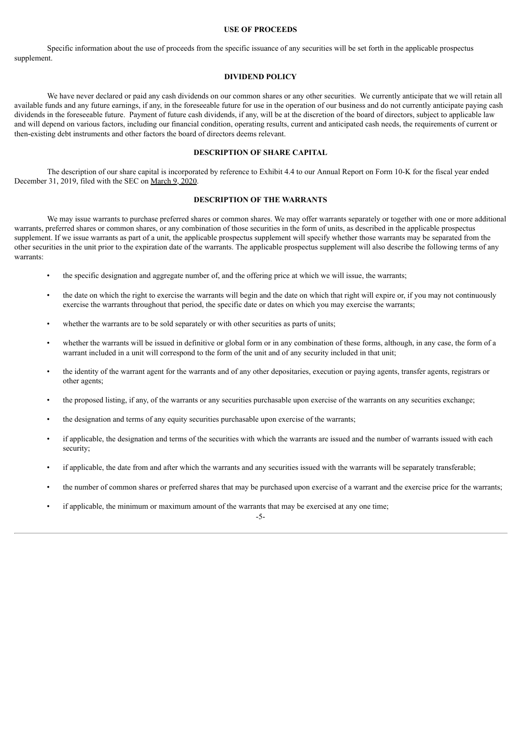### **USE OF PROCEEDS**

<span id="page-82-0"></span>Specific information about the use of proceeds from the specific issuance of any securities will be set forth in the applicable prospectus supplement.

# **DIVIDEND POLICY**

<span id="page-82-1"></span>We have never declared or paid any cash dividends on our common shares or any other securities. We currently anticipate that we will retain all available funds and any future earnings, if any, in the foreseeable future for use in the operation of our business and do not currently anticipate paying cash dividends in the foreseeable future. Payment of future cash dividends, if any, will be at the discretion of the board of directors, subject to applicable law and will depend on various factors, including our financial condition, operating results, current and anticipated cash needs, the requirements of current or then-existing debt instruments and other factors the board of directors deems relevant.

### **DESCRIPTION OF SHARE CAPITAL**

<span id="page-82-2"></span>The description of our share capital is incorporated by reference to Exhibit 4.4 to our Annual Report on Form 10-K for the fiscal year ended December 31, 2019, filed with the SEC on [March](http://www.sec.gov/Archives/edgar/data/1582313/000156459020009385/xene-ex44_540.htm) 9, 2020.

# **DESCRIPTION OF THE WARRANTS**

<span id="page-82-3"></span>We may issue warrants to purchase preferred shares or common shares. We may offer warrants separately or together with one or more additional warrants, preferred shares or common shares, or any combination of those securities in the form of units, as described in the applicable prospectus supplement. If we issue warrants as part of a unit, the applicable prospectus supplement will specify whether those warrants may be separated from the other securities in the unit prior to the expiration date of the warrants. The applicable prospectus supplement will also describe the following terms of any warrants:

- the specific designation and aggregate number of, and the offering price at which we will issue, the warrants;
- the date on which the right to exercise the warrants will begin and the date on which that right will expire or, if you may not continuously exercise the warrants throughout that period, the specific date or dates on which you may exercise the warrants;
- whether the warrants are to be sold separately or with other securities as parts of units;
- whether the warrants will be issued in definitive or global form or in any combination of these forms, although, in any case, the form of a warrant included in a unit will correspond to the form of the unit and of any security included in that unit;
- the identity of the warrant agent for the warrants and of any other depositaries, execution or paying agents, transfer agents, registrars or other agents;
- the proposed listing, if any, of the warrants or any securities purchasable upon exercise of the warrants on any securities exchange;
- the designation and terms of any equity securities purchasable upon exercise of the warrants;
- if applicable, the designation and terms of the securities with which the warrants are issued and the number of warrants issued with each security;
- if applicable, the date from and after which the warrants and any securities issued with the warrants will be separately transferable;
- the number of common shares or preferred shares that may be purchased upon exercise of a warrant and the exercise price for the warrants;
- if applicable, the minimum or maximum amount of the warrants that may be exercised at any one time;

-5-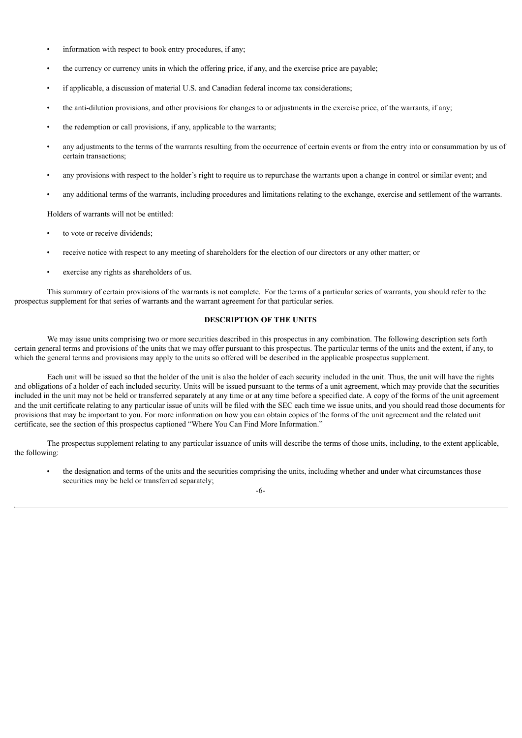- information with respect to book entry procedures, if any;
- the currency or currency units in which the offering price, if any, and the exercise price are payable;
- if applicable, a discussion of material U.S. and Canadian federal income tax considerations;
- the anti-dilution provisions, and other provisions for changes to or adjustments in the exercise price, of the warrants, if any;
- the redemption or call provisions, if any, applicable to the warrants;
- any adjustments to the terms of the warrants resulting from the occurrence of certain events or from the entry into or consummation by us of certain transactions;
- any provisions with respect to the holder's right to require us to repurchase the warrants upon a change in control or similar event; and
- any additional terms of the warrants, including procedures and limitations relating to the exchange, exercise and settlement of the warrants.

Holders of warrants will not be entitled:

- to vote or receive dividends;
- receive notice with respect to any meeting of shareholders for the election of our directors or any other matter; or
- exercise any rights as shareholders of us.

This summary of certain provisions of the warrants is not complete. For the terms of a particular series of warrants, you should refer to the prospectus supplement for that series of warrants and the warrant agreement for that particular series.

### **DESCRIPTION OF THE UNITS**

<span id="page-83-0"></span>We may issue units comprising two or more securities described in this prospectus in any combination. The following description sets forth certain general terms and provisions of the units that we may offer pursuant to this prospectus. The particular terms of the units and the extent, if any, to which the general terms and provisions may apply to the units so offered will be described in the applicable prospectus supplement.

Each unit will be issued so that the holder of the unit is also the holder of each security included in the unit. Thus, the unit will have the rights and obligations of a holder of each included security. Units will be issued pursuant to the terms of a unit agreement, which may provide that the securities included in the unit may not be held or transferred separately at any time or at any time before a specified date. A copy of the forms of the unit agreement and the unit certificate relating to any particular issue of units will be filed with the SEC each time we issue units, and you should read those documents for provisions that may be important to you. For more information on how you can obtain copies of the forms of the unit agreement and the related unit certificate, see the section of this prospectus captioned "Where You Can Find More Information."

The prospectus supplement relating to any particular issuance of units will describe the terms of those units, including, to the extent applicable, the following:

the designation and terms of the units and the securities comprising the units, including whether and under what circumstances those securities may be held or transferred separately;

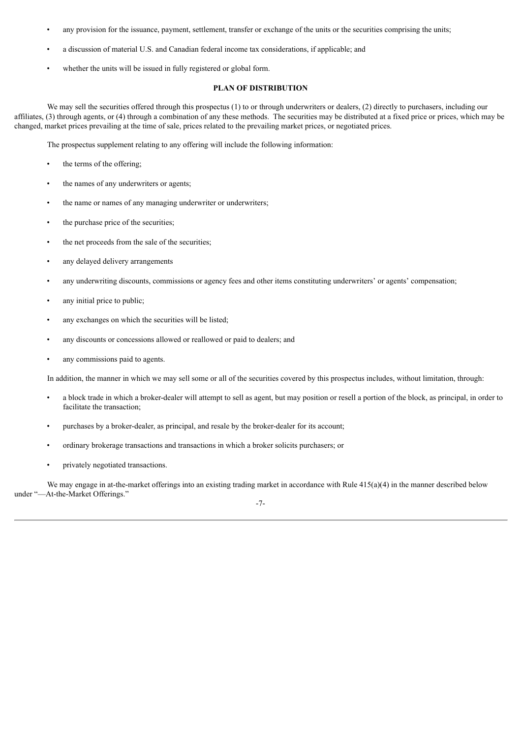- any provision for the issuance, payment, settlement, transfer or exchange of the units or the securities comprising the units;
- a discussion of material U.S. and Canadian federal income tax considerations, if applicable; and
- whether the units will be issued in fully registered or global form.

# **PLAN OF DISTRIBUTION**

<span id="page-84-0"></span>We may sell the securities offered through this prospectus (1) to or through underwriters or dealers, (2) directly to purchasers, including our affiliates, (3) through agents, or (4) through a combination of any these methods. The securities may be distributed at a fixed price or prices, which may be changed, market prices prevailing at the time of sale, prices related to the prevailing market prices, or negotiated prices.

The prospectus supplement relating to any offering will include the following information:

- the terms of the offering;
- the names of any underwriters or agents;
- the name or names of any managing underwriter or underwriters;
- the purchase price of the securities;
- the net proceeds from the sale of the securities;
- any delayed delivery arrangements
- any underwriting discounts, commissions or agency fees and other items constituting underwriters' or agents' compensation;
- any initial price to public;
- any exchanges on which the securities will be listed;
- any discounts or concessions allowed or reallowed or paid to dealers; and
- any commissions paid to agents.

In addition, the manner in which we may sell some or all of the securities covered by this prospectus includes, without limitation, through:

- a block trade in which a broker-dealer will attempt to sell as agent, but may position or resell a portion of the block, as principal, in order to facilitate the transaction;
- purchases by a broker-dealer, as principal, and resale by the broker-dealer for its account;
- ordinary brokerage transactions and transactions in which a broker solicits purchasers; or
- privately negotiated transactions.

We may engage in at-the-market offerings into an existing trading market in accordance with Rule  $415(a)(4)$  in the manner described below under "—At-the-Market Offerings."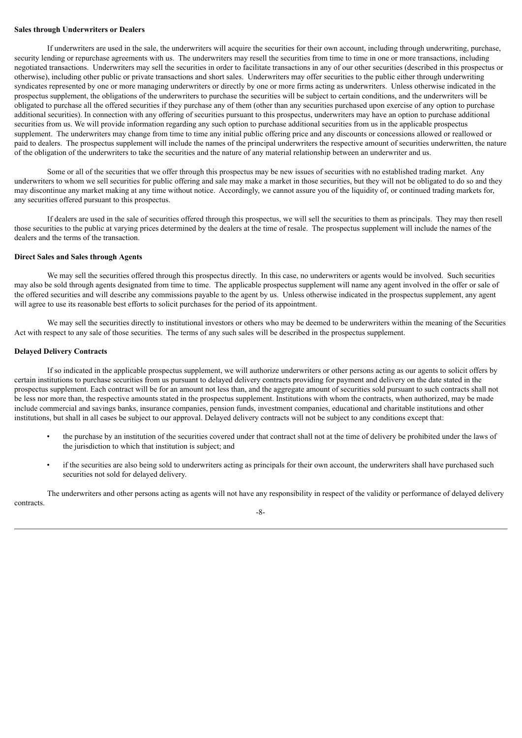### **Sales through Underwriters or Dealers**

If underwriters are used in the sale, the underwriters will acquire the securities for their own account, including through underwriting, purchase, security lending or repurchase agreements with us. The underwriters may resell the securities from time to time in one or more transactions, including negotiated transactions. Underwriters may sell the securities in order to facilitate transactions in any of our other securities (described in this prospectus or otherwise), including other public or private transactions and short sales. Underwriters may offer securities to the public either through underwriting syndicates represented by one or more managing underwriters or directly by one or more firms acting as underwriters. Unless otherwise indicated in the prospectus supplement, the obligations of the underwriters to purchase the securities will be subject to certain conditions, and the underwriters will be obligated to purchase all the offered securities if they purchase any of them (other than any securities purchased upon exercise of any option to purchase additional securities). In connection with any offering of securities pursuant to this prospectus, underwriters may have an option to purchase additional securities from us. We will provide information regarding any such option to purchase additional securities from us in the applicable prospectus supplement. The underwriters may change from time to time any initial public offering price and any discounts or concessions allowed or reallowed or paid to dealers. The prospectus supplement will include the names of the principal underwriters the respective amount of securities underwritten, the nature of the obligation of the underwriters to take the securities and the nature of any material relationship between an underwriter and us.

Some or all of the securities that we offer through this prospectus may be new issues of securities with no established trading market. Any underwriters to whom we sell securities for public offering and sale may make a market in those securities, but they will not be obligated to do so and they may discontinue any market making at any time without notice. Accordingly, we cannot assure you of the liquidity of, or continued trading markets for, any securities offered pursuant to this prospectus.

If dealers are used in the sale of securities offered through this prospectus, we will sell the securities to them as principals. They may then resell those securities to the public at varying prices determined by the dealers at the time of resale. The prospectus supplement will include the names of the dealers and the terms of the transaction.

### **Direct Sales and Sales through Agents**

We may sell the securities offered through this prospectus directly. In this case, no underwriters or agents would be involved. Such securities may also be sold through agents designated from time to time. The applicable prospectus supplement will name any agent involved in the offer or sale of the offered securities and will describe any commissions payable to the agent by us. Unless otherwise indicated in the prospectus supplement, any agent will agree to use its reasonable best efforts to solicit purchases for the period of its appointment.

We may sell the securities directly to institutional investors or others who may be deemed to be underwriters within the meaning of the Securities Act with respect to any sale of those securities. The terms of any such sales will be described in the prospectus supplement.

### **Delayed Delivery Contracts**

If so indicated in the applicable prospectus supplement, we will authorize underwriters or other persons acting as our agents to solicit offers by certain institutions to purchase securities from us pursuant to delayed delivery contracts providing for payment and delivery on the date stated in the prospectus supplement. Each contract will be for an amount not less than, and the aggregate amount of securities sold pursuant to such contracts shall not be less nor more than, the respective amounts stated in the prospectus supplement. Institutions with whom the contracts, when authorized, may be made include commercial and savings banks, insurance companies, pension funds, investment companies, educational and charitable institutions and other institutions, but shall in all cases be subject to our approval. Delayed delivery contracts will not be subject to any conditions except that:

- the purchase by an institution of the securities covered under that contract shall not at the time of delivery be prohibited under the laws of the jurisdiction to which that institution is subject; and
- if the securities are also being sold to underwriters acting as principals for their own account, the underwriters shall have purchased such securities not sold for delayed delivery.

The underwriters and other persons acting as agents will not have any responsibility in respect of the validity or performance of delayed delivery contracts.

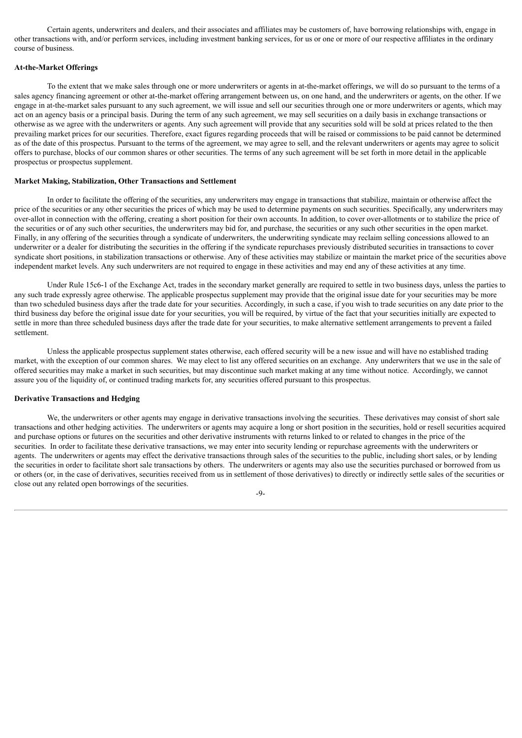Certain agents, underwriters and dealers, and their associates and affiliates may be customers of, have borrowing relationships with, engage in other transactions with, and/or perform services, including investment banking services, for us or one or more of our respective affiliates in the ordinary course of business.

### **At-the-Market Offerings**

To the extent that we make sales through one or more underwriters or agents in at-the-market offerings, we will do so pursuant to the terms of a sales agency financing agreement or other at-the-market offering arrangement between us, on one hand, and the underwriters or agents, on the other. If we engage in at-the-market sales pursuant to any such agreement, we will issue and sell our securities through one or more underwriters or agents, which may act on an agency basis or a principal basis. During the term of any such agreement, we may sell securities on a daily basis in exchange transactions or otherwise as we agree with the underwriters or agents. Any such agreement will provide that any securities sold will be sold at prices related to the then prevailing market prices for our securities. Therefore, exact figures regarding proceeds that will be raised or commissions to be paid cannot be determined as of the date of this prospectus. Pursuant to the terms of the agreement, we may agree to sell, and the relevant underwriters or agents may agree to solicit offers to purchase, blocks of our common shares or other securities. The terms of any such agreement will be set forth in more detail in the applicable prospectus or prospectus supplement.

### **Market Making, Stabilization, Other Transactions and Settlement**

In order to facilitate the offering of the securities, any underwriters may engage in transactions that stabilize, maintain or otherwise affect the price of the securities or any other securities the prices of which may be used to determine payments on such securities. Specifically, any underwriters may over-allot in connection with the offering, creating a short position for their own accounts. In addition, to cover over-allotments or to stabilize the price of the securities or of any such other securities, the underwriters may bid for, and purchase, the securities or any such other securities in the open market. Finally, in any offering of the securities through a syndicate of underwriters, the underwriting syndicate may reclaim selling concessions allowed to an underwriter or a dealer for distributing the securities in the offering if the syndicate repurchases previously distributed securities in transactions to cover syndicate short positions, in stabilization transactions or otherwise. Any of these activities may stabilize or maintain the market price of the securities above independent market levels. Any such underwriters are not required to engage in these activities and may end any of these activities at any time.

Under Rule 15c6-1 of the Exchange Act, trades in the secondary market generally are required to settle in two business days, unless the parties to any such trade expressly agree otherwise. The applicable prospectus supplement may provide that the original issue date for your securities may be more than two scheduled business days after the trade date for your securities. Accordingly, in such a case, if you wish to trade securities on any date prior to the third business day before the original issue date for your securities, you will be required, by virtue of the fact that your securities initially are expected to settle in more than three scheduled business days after the trade date for your securities, to make alternative settlement arrangements to prevent a failed settlement.

Unless the applicable prospectus supplement states otherwise, each offered security will be a new issue and will have no established trading market, with the exception of our common shares. We may elect to list any offered securities on an exchange. Any underwriters that we use in the sale of offered securities may make a market in such securities, but may discontinue such market making at any time without notice. Accordingly, we cannot assure you of the liquidity of, or continued trading markets for, any securities offered pursuant to this prospectus.

# **Derivative Transactions and Hedging**

We, the underwriters or other agents may engage in derivative transactions involving the securities. These derivatives may consist of short sale transactions and other hedging activities. The underwriters or agents may acquire a long or short position in the securities, hold or resell securities acquired and purchase options or futures on the securities and other derivative instruments with returns linked to or related to changes in the price of the securities. In order to facilitate these derivative transactions, we may enter into security lending or repurchase agreements with the underwriters or agents. The underwriters or agents may effect the derivative transactions through sales of the securities to the public, including short sales, or by lending the securities in order to facilitate short sale transactions by others. The underwriters or agents may also use the securities purchased or borrowed from us or others (or, in the case of derivatives, securities received from us in settlement of those derivatives) to directly or indirectly settle sales of the securities or close out any related open borrowings of the securities.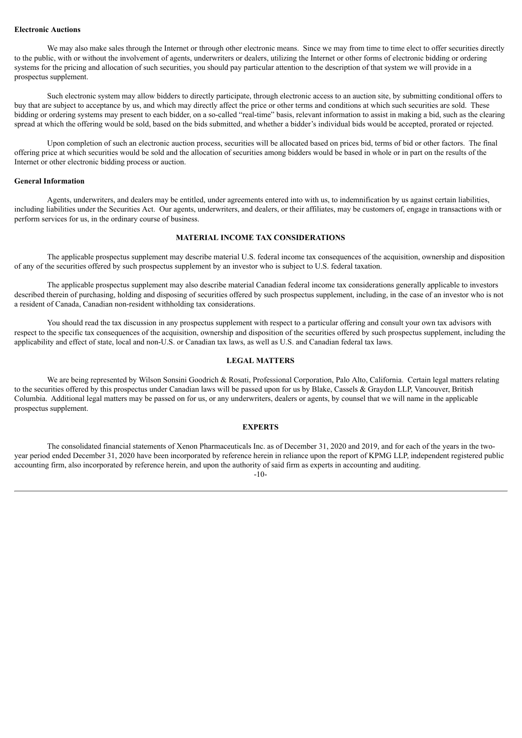## **Electronic Auctions**

We may also make sales through the Internet or through other electronic means. Since we may from time to time elect to offer securities directly to the public, with or without the involvement of agents, underwriters or dealers, utilizing the Internet or other forms of electronic bidding or ordering systems for the pricing and allocation of such securities, you should pay particular attention to the description of that system we will provide in a prospectus supplement.

Such electronic system may allow bidders to directly participate, through electronic access to an auction site, by submitting conditional offers to buy that are subject to acceptance by us, and which may directly affect the price or other terms and conditions at which such securities are sold. These bidding or ordering systems may present to each bidder, on a so-called "real-time" basis, relevant information to assist in making a bid, such as the clearing spread at which the offering would be sold, based on the bids submitted, and whether a bidder's individual bids would be accepted, prorated or rejected.

Upon completion of such an electronic auction process, securities will be allocated based on prices bid, terms of bid or other factors. The final offering price at which securities would be sold and the allocation of securities among bidders would be based in whole or in part on the results of the Internet or other electronic bidding process or auction.

### **General Information**

Agents, underwriters, and dealers may be entitled, under agreements entered into with us, to indemnification by us against certain liabilities, including liabilities under the Securities Act. Our agents, underwriters, and dealers, or their affiliates, may be customers of, engage in transactions with or perform services for us, in the ordinary course of business.

# **MATERIAL INCOME TAX CONSIDERATIONS**

<span id="page-87-0"></span>The applicable prospectus supplement may describe material U.S. federal income tax consequences of the acquisition, ownership and disposition of any of the securities offered by such prospectus supplement by an investor who is subject to U.S. federal taxation.

The applicable prospectus supplement may also describe material Canadian federal income tax considerations generally applicable to investors described therein of purchasing, holding and disposing of securities offered by such prospectus supplement, including, in the case of an investor who is not a resident of Canada, Canadian non-resident withholding tax considerations.

You should read the tax discussion in any prospectus supplement with respect to a particular offering and consult your own tax advisors with respect to the specific tax consequences of the acquisition, ownership and disposition of the securities offered by such prospectus supplement, including the applicability and effect of state, local and non-U.S. or Canadian tax laws, as well as U.S. and Canadian federal tax laws.

### **LEGAL MATTERS**

<span id="page-87-1"></span>We are being represented by Wilson Sonsini Goodrich & Rosati, Professional Corporation, Palo Alto, California. Certain legal matters relating to the securities offered by this prospectus under Canadian laws will be passed upon for us by Blake, Cassels & Graydon LLP, Vancouver, British Columbia. Additional legal matters may be passed on for us, or any underwriters, dealers or agents, by counsel that we will name in the applicable prospectus supplement.

# **EXPERTS**

<span id="page-87-2"></span>The consolidated financial statements of Xenon Pharmaceuticals Inc. as of December 31, 2020 and 2019, and for each of the years in the twoyear period ended December 31, 2020 have been incorporated by reference herein in reliance upon the report of KPMG LLP, independent registered public accounting firm, also incorporated by reference herein, and upon the authority of said firm as experts in accounting and auditing.

-10-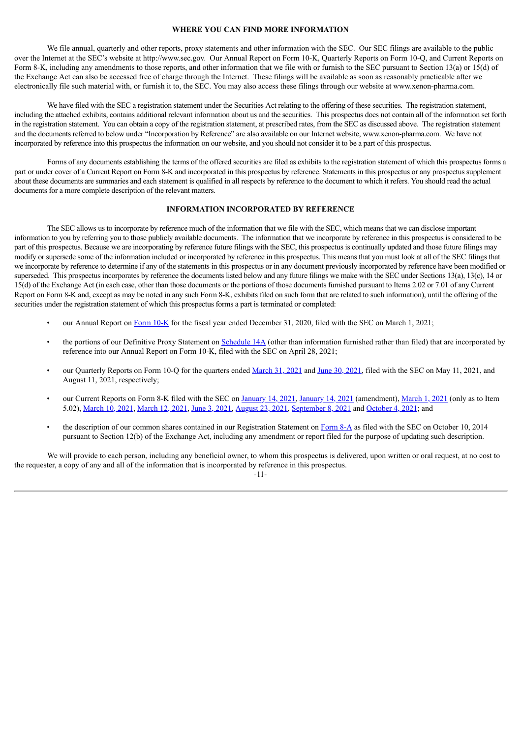### **WHERE YOU CAN FIND MORE INFORMATION**

<span id="page-88-0"></span>We file annual, quarterly and other reports, proxy statements and other information with the SEC. Our SEC filings are available to the public over the Internet at the SEC's website at http://www.sec.gov. Our Annual Report on Form 10-K, Quarterly Reports on Form 10-Q, and Current Reports on Form 8-K, including any amendments to those reports, and other information that we file with or furnish to the SEC pursuant to Section 13(a) or 15(d) of the Exchange Act can also be accessed free of charge through the Internet. These filings will be available as soon as reasonably practicable after we electronically file such material with, or furnish it to, the SEC. You may also access these filings through our website at www.xenon-pharma.com.

We have filed with the SEC a registration statement under the Securities Act relating to the offering of these securities. The registration statement, including the attached exhibits, contains additional relevant information about us and the securities. This prospectus does not contain all of the information set forth in the registration statement. You can obtain a copy of the registration statement, at prescribed rates, from the SEC as discussed above. The registration statement and the documents referred to below under "Incorporation by Reference" are also available on our Internet website, www.xenon-pharma.com. We have not incorporated by reference into this prospectus the information on our website, and you should not consider it to be a part of this prospectus.

Forms of any documents establishing the terms of the offered securities are filed as exhibits to the registration statement of which this prospectus forms a part or under cover of a Current Report on Form 8-K and incorporated in this prospectus by reference. Statements in this prospectus or any prospectus supplement about these documents are summaries and each statement is qualified in all respects by reference to the document to which it refers. You should read the actual documents for a more complete description of the relevant matters.

# **INFORMATION INCORPORATED BY REFERENCE**

<span id="page-88-1"></span>The SEC allows us to incorporate by reference much of the information that we file with the SEC, which means that we can disclose important information to you by referring you to those publicly available documents. The information that we incorporate by reference in this prospectus is considered to be part of this prospectus. Because we are incorporating by reference future filings with the SEC, this prospectus is continually updated and those future filings may modify or supersede some of the information included or incorporated by reference in this prospectus. This means that you must look at all of the SEC filings that we incorporate by reference to determine if any of the statements in this prospectus or in any document previously incorporated by reference have been modified or superseded. This prospectus incorporates by reference the documents listed below and any future filings we make with the SEC under Sections 13(a), 13(c), 14 or 15(d) of the Exchange Act (in each case, other than those documents or the portions of those documents furnished pursuant to Items 2.02 or 7.01 of any Current Report on Form 8-K and, except as may be noted in any such Form 8-K, exhibits filed on such form that are related to such information), until the offering of the securities under the registration statement of which this prospectus forms a part is terminated or completed:

- our Annual Report on [Form](https://www.sec.gov/ix?doc=/Archives/edgar/data/1582313/000156459021009905/xene-10k_20201231.htm) 10-K for the fiscal year ended December 31, 2020, filed with the SEC on March 1, 2021;
- the portions of our Definitive Proxy Statement on [Schedule](http://www.sec.gov/Archives/edgar/data/1582313/000156459021021327/xene-def14a_20210603.htm) 14A (other than information furnished rather than filed) that are incorporated by reference into our Annual Report on Form 10-K, filed with the SEC on April 28, 2021;
- our Quarterly Reports on Form 10-Q for the quarters ended [March](https://www.sec.gov/ix?doc=/Archives/edgar/data/1582313/000156459021026590/xene-10q_20210331.htm) 31, 2021 and June 30, [2021,](https://www.sec.gov/ix?doc=/Archives/edgar/data/1582313/000156459021043484/xene-10q_20210630.htm) filed with the SEC on May 11, 2021, and August 11, 2021, respectively;
- our Current Reports on Form 8-K filed with the SEC on [January](https://www.sec.gov/ix?doc=/Archives/edgar/data/0001582313/000156459021001139/xene-8k_20210112.htm) 14, 2021, [January](https://www.sec.gov/ix?doc=/Archives/edgar/data/0001582313/000156459021001141/xene-8ka_20201103.htm) 14, 2021 (amendment), [March](https://www.sec.gov/ix?doc=/Archives/edgar/data/0001582313/000156459021009839/xene-8k_20210223.htm) 1, 2021 (only as to Item 5.02), [March](https://www.sec.gov/ix?doc=/Archives/edgar/data/1582313/000156459021012118/xene-8k_20210309.htm) 10, 2021, [March](https://www.sec.gov/ix?doc=/Archives/edgar/data/1582313/000156459021012910/xene-8k_20210312.htm) 12, 2021, June 3, [2021](https://www.sec.gov/ix?doc=/Archives/edgar/data/1582313/000156459021031608/xene-8k_20210603.htm), [August](https://www.sec.gov/ix?doc=/Archives/edgar/data/0001582313/000156459021045346/xene-8k_20210823.htm) 23, 2021, [September](https://www.sec.gov/ix?doc=/Archives/edgar/data/1582313/000156459021047258/xene-8k_20210908.htm) 8, 2021 and [October](https://www.sec.gov/ix?doc=/Archives/edgar/data/1582313/000156459021049880/xene-8k_20211004.htm) 4, 2021; and
- the description of our common shares contained in our Registration Statement on [Form](http://www.sec.gov/Archives/edgar/data/0001582313/000119312514369146/d803267d8a12b.htm) 8-A as filed with the SEC on October 10, 2014 pursuant to Section 12(b) of the Exchange Act, including any amendment or report filed for the purpose of updating such description.

We will provide to each person, including any beneficial owner, to whom this prospectus is delivered, upon written or oral request, at no cost to the requester, a copy of any and all of the information that is incorporated by reference in this prospectus.

#### -11-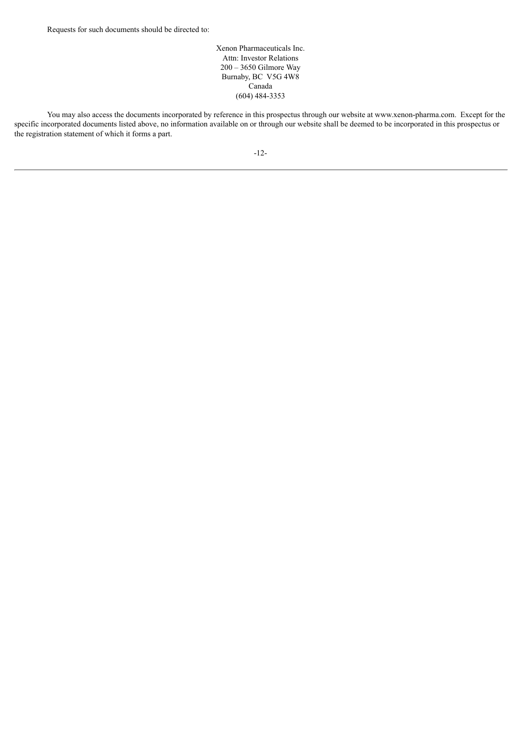Xenon Pharmaceuticals Inc. Attn: Investor Relations 200 – 3650 Gilmore Way Burnaby, BC V5G 4W8 Canada (604) 484-3353

You may also access the documents incorporated by reference in this prospectus through our website at www.xenon-pharma.com. Except for the specific incorporated documents listed above, no information available on or through our website shall be deemed to be incorporated in this prospectus or the registration statement of which it forms a part.

-12-